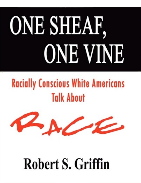# ONE SHEAF, ONE VINE

### **Racially Conscious White Americans Talk About**



## **Robert S. Griffin**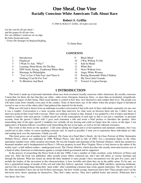### **One Sheaf, One Vine Racially Conscious White Americans Talk About Race**

### **Robert S. Griffin**

© 2004 by Robert S. Griffin. All rights reserved.

Let the corn be all one sheaf and the grapes be all one vine, Ere our children's teeth are set on edge By bitter bread and wine. —From *The Stranger* by Rudyard Kipling

To Denis Ruiz

### **CONTENTS**

- 1 Introduction
- 2 Displaced
- 3 I Want To Ask, "Why?"
- 4 Learning About Booty On The Bus
- 5 SWF Seeks Strong, Traditional White Male
- 6 Mornings In Philadelphia
- 7 "You've Got A Pale Face And There Is Nothing I Can Do For You"
- 8 To Rhodesia And Back
- 9 Black Metal
- 10 I Was Willing To Die
- 11 Safe In Maine
- 12 White Boy
- 13 News Without Jews
- 14 Angry White Woman
- 15 Raising Honorable White Children
- 16 My Own Little Crusade
- 17 Toward A Legion Europa

### **1 INTRODUCTION**

This book is made up of personal statements about race from seventeen racially conscious white Americans. By racially conscious I mean that, for them, the fact that they are white—other terms, European American, Euro—is more than an incidental, insignificant, or peripheral aspect of their being. Their racial identity is central to how they view themselves and conduct their lives. The people you will meet come from virtually every part of the country. None of them knew any of the others when this project began (I introduced several to one or two of the others after I had gathered the material for the book).

What you will read is drawn from an audiotape-recorded conversation I had with each of these individuals separately (in one case it was a couple). Conversation is a more accurate term than interview for what went on between them and me. I didn't have an interview protocol that I used with everyone. There was nothing so formal as that. Instead, I was guided by a list of topics and themes I wanted to explore with each person. I edited myself out of the transcription of each tape so that it was just a statement, or personal account, from the person I talked with. I gave each statement a title and wrote a brief preface to introduce the speaker. After transcribing nine of the tapes myself, I suddenly lost virtually all my hearing and could no longer hear the voices on the tapes. I am appreciative of Katrina Gibson's excellent work transcribing the last seven tapes, as well as for her editorial assistance.

The words in this book are the speakers'. I did some editing for length and to avoid repetition and maintain continuity, but I was careful not to alter, soften, or censor anything someone said. As much as possible, I want you to experience these individuals as I did, and reading back over the statements, I think you will.

This book grows out of another book I authored, *The Fame of a Dead Man's Deeds: An Up-Close Portrait of White Nationalist William Pierce,* which was published in 2000. William Pierce, who died in July of 2002, was a prominent figure in the white nationalist (another term, white racialist) movement. He was the founder and chairman of the National Alliance, which has around two thousand members and is headquartered on Pierce's 340-acre property in rural West Virginia. Pierce is best known as the author of the widely read—a half million readers—underground novel, *The Turner Diaries,* which describes the racially motivated terrorist acts of a band of white American revolutionaries against a corrupt federal government and its supporters.

In the process of researching the Pierce book in the late 1990s, I met a number of white racialists, some followers of Pierce and some not. After the book was published, other racially aware whites contacted me, and I met still others at various meetings and through the Internet. What has struck me about the three hundred or more people I have encountered over the past five years, and I include the leaders of the movement in this characterization, is how invisible and silent they are in the public arena. To be sure, we have a generalized image of people of this sort and what they believe: ignorant, violence-prone KKK members, menacing skinheads, and low-life or deranged thugs doing their "perp walks" after committing a heinous hate crime against minorities. The vast majority of the white nationalists I have met do not fit these stereotypes, but how would average Americans know that? These people aren't on the television news shows speaking for themselves. They don't make movies. They don't publish books and articles. Politicians don't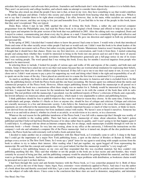articulate their perspective and advocate their positions. Journalists and intellectuals don't write about them unless it is to belittle them. They aren't on university and college faculties, and schools make no attempt to consider them objectively.

What has also struck me about the people I have met is that, at least in my view, they have something to say that would contribute to the public dialogue and debate. I believe this society and culture would benefit from hearing what they think about race. Which is not to say that I consider them to be right about everything. I do offer, however, that, in the main, white racialists are serious and thoughtful and sincere, and they are trying to live just and honorable lives. If you find this to be true of the people in this book, know that they aren't exceptional. They are typical.

Denis Ruiz, whom I met in late 2000, sparked the idea of writing this book. Denis, a rather shy and reserved computer programmer from the Philadelphia area, had read the Pierce book in its original e-book format and offered to help me clean up its many typos and misprints for the print version of the book that was published in 2001. After the editing task was completed, Denis and I stayed in contact, communicating just about every day by phone or e-mail. I found him to be a remarkably bright and reflective and decent human being. Denis became a highly valued colleague and friend. He gave me direction and support in both my professional and personal life.

In the spring of 2002, I decided that I wanted others to know the person I had come to know. I would write a book that introduced Denis and some of the other racially aware white people I had met or would seek out. I didn't want this book to be about leaders of the white nationalist movement such as Pierce but rather everyday people like Dennis. Mainstream America wasn't hearing from them and I thought that it should have that chance. Denis was my first interview, or conversation, and I took it from there. I started contacting people and asking them whether they would be interested in being in the book (not one person said no) and if they knew of anyone they could recommend to me. The monthly newsletter *American Renaissance* generously put a full-page notice in one of its issues that I was seeking people. The word spread that I was writing this book. Every day for months I received inquiries from people who wanted to be interviewed.

In selecting those to include, I looked for people of various ages and walks of life and regions of the country, and both men and women. Some of them have asked me not to use their real names because they are worried about retaliation for expressing their beliefs, that they might lose their jobs or their children might be harassed. If they left it up to me to use their real name or not, in every case I chose not to. I didn't want anyone to pay a price for supporting my work and doing what I think is the right and responsibility of us all: to speak out on the issues of the day. I have placed an asterisk next to a name the first time it is mentioned if it is a pseudonym.

As much as anything, this book is about what is allowed into the public discourse in America and what is excluded from it. In that light, the publishing history of both the Pierce book and this one bears recounting. My literary agent was enthused about the merits and commercial prospects of the Pierce book. However, fifteen major publishing houses he submitted the manuscript to all passed on it saying that while the book was a meritorious effort there simply was no market for it. Nobody would be interested in buying it, they told him. I suspected that the real reason for the turndowns had much more to do with the content of the book than with its sales potential. The real problem with the manuscript, I speculated, was the unfiltered reports of Pierce's criticisms of blacks and, especially, the Jewish influence on American culture and foreign policy, which made it very unpalatable to editors and publishing houses.

I think publishers should be free to publish whatever they want for whatever reason they choose. At the same time, I believe that no individuals and groups, whether it's blacks or Jews or anyone else, should be free of critique and criticism. Critique and criticism are crucially necessary to a free and democratic society. I also believe the American public needs to be aware that certain topics and arguments are not reflected in the mainstream media. That is crucially important because so much of what we know, or think we know, is not derived from our direct experience but from mediated contact with reality. We haven't seen or heard it ourselves. Someone has shown it to us and told us about it, whether in a book or an article, or on television or in a movie, or in a classroom.

Whatever the real reason for the publisher turndowns of the Pierce book, I was left with a manuscript that I thought was worthy of being made available to the reading public. There had been an earlier manuscript of mine, about education, that hadn't gotten published and that I believed had been blocked because of its ideas rather than its quality, and I wasn't going to let that happen again if I could help it. A colleague told me about an Internet company that, for no charge, made manuscripts available through its web site in electronic book— e-book—format. So very late one evening, alone in my office at the university, I followed the instructions on this company's web site and submitted a computer file of the Pierce manuscript. And as it turned out, despite all the dire predictions from editors, the Pierce book has sold extremely well in both e-book and print form.

I decided to make another run at commercial publishers with this Sheaf book, as I eventually came to call it. I clung to the hope that I could get the imprimatur of a major New York publishing house, a spot on the shelves of Borders or Barnes & Noble, and perhaps even a review in *The New York Times.* So I wrote up a "pitch" letter for my agent to send along with sample sections from the book to editors to try to induce their interest. After reading what I had put together, my agent begged off from representing the manuscript. He said that the concept and samples were very good indeed, but that this manuscript would be "a very tough sell."

I contacted a few publishing houses on my own and they responded that this was excellent material, but they couldn't risk publishing anything like this. They said that whether or not the people in the book are in fact racists and anti-Semites, they would certainly be accused of being just that, and the publishing company would be attacked for getting behind this material, and they didn't want to go through that hassle. And besides, there undoubtedly would be major problems with distribution, as bookstore chains would be pressured not to put it on their shelves.

I had been through this racist and anti-Semite business with the Pierce book, so I was somewhat prepared for it. Both of those epithets, as well as the rest of the litany—hater, bigot, Nazi, extremist—were relentlessly applied to Pierce. And since I was the author of a book about him and thereby associated with him, I got a taste of name-calling attacks myself in articles and interviews and when I was the subject of radio talk shows. I have come to the conclusion that these slurs are used to demonize, marginalize, and intimidate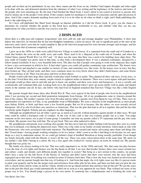people and set them up for punishment. In my case, these smears put the focus on me, whether I had impure thoughts and what ought to be done with me, and distracted attention from the substance of what I was writing and the legitimacy of the motives and tactics of the people who were attacking me. By the time I had finished the Sheaf book, I wasn't about to run scared or kowtow to anyone who tried to silence me or the people I write about. If this country stands for anything it is freedom of conscience and the open discussion of ideas. And if this country demands anything from each of us it is to do what we do what we think is right, and I think publishing this book is the right thing to do.

So I have self-published this Sheaf book through an Internet publisher as I did the Pierce book. It gives you the chance to determine for yourself whether the people in this book have anything worthwhile to say, and whether what they say has any implications for what you believe and the way you live your life.

### **2 DISPLACED**

Denis Ruiz is a fifty-year-old computer programmer who lives with his wife and teenage daughter near Philadelphia. A short time before this interview, he learned that he has non-Hodgkins lymphoma, a form of cancer. He was in significant pain at the start of the interview, and I wasn't sure that he could complete it. But as the interview progressed his voice became stronger and stronger, and his *manner became that of someone completely well.*

I grew up in the 1950s in a little town called Fairview Village in south Jersey. It is separated from the south end of Camden by a creek that borders the town on the north, west, and south. There used to be a shipyard at the south end of Camden, and when the United States entered World War I in 1917 and ' 18, there was the sense that there was a need to be building more ships there. The area south of Camden was pretty rural at that time, so they built a development there. It was a planned community, designed by a fellow named Litchfield. It was a very beautiful little town. The idea was that if people were going to work in the shipyard, they ought to have a nice environment in which to live. It had what I guess you could call garden community-type architecture. The houses were all made of brick and attached to one another in clusters of four, and sometimes two, like twins. So the houses were in rows, but they were broken up. They all had yards, and there were commons areas on every block where they didn't build houses, and some blocks didn't have houses at all. There was just grass and trees in those places.

People would walk their dogs there and kids would play touch football or tackle. They planted all these oak trees, lovely trees, so by the time I lived there they were mature, maybe sixteen to eighteen inches in diameter. There was a town square with park benches, and people would go there and sit and talk and get to know one another, and there were stores and businesses—it was a socially and economically self-contained little unit. Looking back on it, the neighborhood where I grew up seems idyllic with its parks and shaded streets in the summer and all. In fact, one fellow who had lived in England remarked that Fairview Village was like a little English town.

My parents bought their house there after World War II. They were typical of the kind of people who lived in the neighborhood when I was growing up: second and third generation immigrants from Europe. All of my grandparents came to America around the turn of the century. My mother's parents were from Slovakia and my father's parents were from Spain by way of Cuba. There were no opportunities for typesetters in Cuba, so my grandfather went to Philadelphia. We were a minority in the neighborhood, as most people were Italian, Polish, or Irish, and there were a few Scottish people. But we fit in because, like the others, we were recently arrived Europeans. All of us who lived there saw ourselves as Americans. That was the glue that kept us all in it together, that and the fact that everybody spoke English. Nobody put any emphasis on other languages.

Although my neighborhood was all white, I grew up, as much as I can tell, without prejudice against people of other races. We had what could be called a European code of conduct. At the core of this code is that you evaluate people one at a time. You judge someone on his own merits, not as part of some group. I remember one time my parents called a TV repairman and the guy who came was black. My parents were fine with that. The set got fixed. That was what mattered to them.

My grandparents and parents were working class people, but they never had any trouble finding work because they were in a trade that was in demand, even during the depression years. There was a big value in my family on trade unionism, which made us side with the Democrats, who were associated with trade unionism. The Republicans seemed anti-union, advocating open shops and things like that. Closed shops—forcing people working someplace to be in a union—didn't seem to us like a bad thing to do because we saw open shops as a way to undermine unions. So we could get behind a kind of hardball liberalism as being morally justifiable. Even though my family basically sided with the liberals, it wasn't all the way. There was some conservatism there at the same time. My uncle on my mother's side didn't belong to a union. He was a free agent who worked for various places on terms he worked out. My parents thought that was good, too.

My family was always looking to be fair. That was really important to us. In the 1950s and early '60s, that came into play because it was the time of civil rights and fairness was the big theme in all that. I see now that besides fairness there were issues around race and culture: could, and should, such different people mix together in society? But being in a new terrain in this country, my people didn't have a taste for the full flavor of the history of America and didn't know that there were reasons why the races had been segregated up to that time. Everything was couched in terms of fairness back then. That is how the issue was framed on television and everywhere, and my parents bought into that way of looking at it. And from that angle, the civil rights issue was like if a person wants to paint your property and he has the proper tools and references from other jobs he has done, and there are bids and you pick the one who is clearly better and he comes in and he's black, should you not go ahead and hire him and have him do the job? We got the sense that in the past this black guy would automatically be ruled out as soon as it was apparent he was black. That violated our sense of the proper way to live. You should judge a person on his own merits. If somebody has a sledgehammer and is breaking the rocks and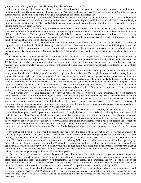getting the work done, you respect that. To do anything else isn't proper, it isn't fair.

Plus, my parents were big supporters of John Kennedy. They thought he was going to be a salvation. He was young and forwardlooking, and he was Catholic, that played some role in it. We were Catholic, and here for the first time was a Catholic president. Kennedy seemed to be on the side of the civil rights movement, and so that had an effect on us.

And something else that got us on the side of civil rights was what I now see as a white or European trait—at least in the second and third generation sort that made up my neighborhood—and that is to be disposed to think we should all kick in and do the right thing and make something work. Also, we had the tendency to placate and smooth things over and keep the peace and keep things moving along and not get in the way.

Our impulse all along had been to bury our heritage and minimize our differences with others and become full-fledged Americans. That orientation went along with the racial message we were getting from the media and liberal politicians and the churches that racial differences don't matter. They are just a different paint job; it is the same car. I think we would have been less receptive to the big agenda that we were going to live among blacks and everything was going to be peachy keen if we had lived in America for two hundred years and knew the score better than we did.

Although as I think back on it, we knew that when a neighborhood gets mixed, it is bad news. My grandparents had seen what happened where they lived in Philadelphia—they went there in the '20s—when the area became flooded with black people from the South. Their children moved out of the area because it had been taken over by blacks and they knew that neighborhood wasn't for them any more. My mother grew up in Camden in a largely Polish neighborhood. Puerto Ricans moved in and the whole place went to shit.

In the late 1950s, economic changes had a big effect on my hometown. The shipyard folded, as did another place where a lot of people worked, an iron and forge plant. So the town was weakened. But I think it would have eventually rebounded by the end of the 1970s when other kinds of businesses reflecting the changes away from industrialization would have come into that area. Like the business I am in, the computer business. But that never happened because a second process was at work: the integration of non-whites into the town.

Before it became illegal, local realtors would show houses only to white families. Although it has been painted as an unfair arrangement, it really reflected the point of view of the people who lived in the town. The people there wanted to live among their own people. They wanted to live in a white community. Now, I see that as the highest form of self-determination: people defining their own community, people deciding what comes into their collective lives, people determining their own standards. It doesn't matter if their standards are rational or moral by someone else's measure. People have a right to decide whom they are comfortable living next to and not comfortable living next to. This is fundamental and it is not a matter of rationality or of morality. It is simply human. It's not that they have ill will toward anyone. It is just that they know what atmosphere they like. They might, for instance, prefer to live among Catholics or with people who are compatible with some other of the churches in a town.

When realtors were screening people and only showing houses to whites, it wasn't the dark conspiracy it has been painted as being. Rather, it was a matter of realtors being true to the community, being part of the community. But of course the issue never got defined in those terms, and in the late '60s-early '70s there were lawsuits, and realtors had to sell houses to blacks and anyone else who was interested in moving in there. A lot of the blacks that have moved in there have been "section eights." Section eight is part of a law where the government encourages integration by paying the rent of minorities who move into white areas. That has turned out to be a deadly poison administered to the Fairview Village of my youth.

The neighborhood where I grew up has turned into a wasteland. Whites still make up a majority of the community—55%—but nevertheless the neighborhood has gone in the same direction of a typical urban black area. When I was living there, when a tree died an Irish guy named Fred Fagan would plant a new one. Now, those saplings are mighty trees. When a tree dies these days, no one plants a new one. There is broken glass all over the place, and things like busted up shopping carts lying on their side blocking the alleys. Many of the old brick houses are covered over with some kind of god-awful siding. When I was a kid, repairs and restorations were done in the mode of the existing architecture of the town. Now, from one house to the next, they are all different. There is no common thread to the look of the houses now. There used to be hedges and white picket fences that lent a common feel to the area no more.

My mother still lives there, and when I go back to visit her, I have the feeling when I get out of my car, "Is this an ambush? Is someone going to jump me?" Recently, a black teenager knocked my mother to the ground, injuring her, and took her purse. This sort of thing was unheard of in the old neighborhood, but it is commonplace now. My mother never had to contend with that kind of thing before. The black woman across the street was just arrested for robbing 7-Eleven stores with an accomplice. When I was growing up, kids could go anywhere in town on their bicycles. We could go in the woods and explore down by the creek and there would be no danger at all. Now, there is no way you would allow your child to even take a walk around the neighborhood. Just this year, a young white woman was abducted by two black men and taken to the place where we used to play ball and raped and murdered. These heinous crimes are happening regularly there. Who are these people?

There is no sense of connectedness among the people in my old hometown. There is this white teenager just down the street who not long ago hung himself in his bedroom. The word is he spent a lot of time alone listening to rap music. So much of popular music these years is dark and sinister and negative, with fragmentary images that confuse and bamboozle, and for someone already on the edge, like I assume this kid was, that can be deadly. In the old days, the risk of a terrible thing like that happening would have been much less. A boy like this wouldn't have been without the context of a supportive white community and way of life.

One Sheaf, One Vine 4 Back in 1967 or so, I listened to Jim Morrison—he was the lead singer of The Doors—and took what he sang very seriously, as if it were a volume of Keats or Walt Whitman. In those years, white groups were covering a lot of black music. I remember this one Morrison song. I think the name of it was "Alabama" or something like that. The message of the song was "I must have whiskey and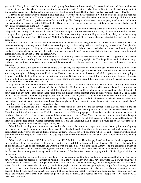your wife." The lyric was rock bottom, about drunks going from house to house looking for alcohol and sex, and there is Morrison recasting it in a way that glamorizes and legitimizes scum of the earth. That was what I was taking in. But I lived in a place that counteracted that poison. I had something the boy down the street didn't have. But the place I had has been destroyed, obliterated.

There is no good reason why I shouldn't have been able to do what my mother dreamed I would do: come back and live near her in the town where I was born. There is no good reason that I shouldn't have been able to buy a home and raise my child in the same town I grew up in. There is no good reason that Fairview Village, New Jersey shouldn't have continued pretty much on the track that it had been on for forty years up to the 1960s and '70s. There are no good reasons for any of that, but there are bad reasons, bad reasons I have come to understand in the last few years.

Back in the 1960s, when I was a teenager, and on into the 1970s, I picked up the strong sense that there was a major revolution going on in this country. A change was in the air. There was going to be a reorientation in the society. There was a turntable that was rotating and was going to keep on rotating. A lot of self-assured media figures were telling me that. I especially remember ranting types like Jerry Rubin and Abby Hoffman and Malcolm X. There was a lot of revolution talk, and I decided this must be what was going on.

Looking back on it, I can see that what they were talking about wasn't what was going on at all. It was like the Wizard of Oz, a big presentation being put on to give the illusion that some big thing was happening. What was really going on was a lot of people who had access to a microphone telling me what was going on. In those years, I didn't understand what media was and how they shaped reality for people. Media for me was like water for a fish in a tank. I didn't comprehend that someone was adding color to it and creating illusions so I swam around in a certain way.

When Jimmy Carter got into office, I thought he was a good guy because he seemed like a moral man. I suppose to some extent that perception came out of my Christian upbringing, the idea of living a morally upright life. That helped keep me in the liberal camp. Although, by that time I was living on my own and the contradictions between reality and what I was being told were increasingly apparent.

Lyndon Johnson's talk back in the '60s about the Great Society had registered deeply with my dad. To him, it was a kind of trade unionism for the country, the idea that there would be health care for the aged and so on. But it started to hit me that there was something wrong here. I thought to myself, all this stuff costs enormous amounts of money, and all these programs that were going to fix poverty and the black problem and all the rest aren't working. Not only are the ghettos still here, they are worse than ever. There is a flaw in the liberal agenda somewhere. And then Reagan came along saying that all these programs were just making things worse, and that confirmed what I had been thinking.

Any level of white racial consciousness wasn't there yet for me— I'm talking about in the 1980s. Coming out of my childhood, I had an awareness that there were Italians and Irish and Polish, but I had no real sense of being white. As for blacks, I just saw them as different. They had a different accent and cooked different food and went to a different church and conducted themselves differently. I really didn't go any farther than that in those years. But I did think about the fact that trying to improve their situation along the lines of LBJ's vision seemed to be making things worse for them. Here we were, twenty years later, and the nuclear family with a present and working father that had once been the norm among blacks was falling apart. Standards with reference to blacks seemed to be lower than before. Conduct that at one time would have been simply condemned came to be attributed to circumstances beyond blacks' control, whether it was white racism or something else.

I like classical music and in the 1980s I listened to public radio because it was the last stronghold for classical music. I had the button on my car radio set to the public station. But then a strange thing happened: public radio all but abandoned classical music. They dropped it for all voice, which, as I look back on it now, was all liberal propaganda. An endless number of shows came on out of nowhere. There were Terri Gross's interviews, and there was a woman named Mary Moss Kahane, and I remember a family therapist named Dan Gottlieb. I didn't simply tune out the station because public radio had put itself across as reflecting an enlightened point of view, so I got the idea that if I wanted something more in depth and thoughtful than the snippets I could get on the other stations, I should listen to public radio. So these people had my ear.

What I find interesting now is that it was not that I really chose to listen to these people. It was more that they just sort of sprung up. It is sort of scary to think about how it happened. It is like the legend where the guy throws dragon teeth and everywhere the dragon teeth land a warrior springs up. It is as if someone threw some dragon teeth and these radio personalities sprung up where I had been innocently listening to classical music. I was getting a heavy dose of their point of view and I didn't know where it was coming from or why.

White racial consciousness didn't happen for me until 1997, I think it was. There is a guy I work with whom I really respect—very bright and capable and accomplished, a ham radio operator, a wonderful, likable soul with a great manner. One day, I followed a link on his bookmarks page on his computer and went to a web site called the White Nationalist Library. The site contained a bunch of essays on white nationalism. I started reading them and it was clarity and sunshine. Here was somebody explaining the history of the last few decades accurately and in a way that I could understand. I felt like a fool. I was kicking myself that I hadn't figured all this out on my own.

One Sheaf, One Vine 5 That started it for me, and in the years since then I have been reading and thinking and talking to people and looking at things in a new way, and race has become a lens through which I look at the world and my own life. I have concluded that a war is being waged against whites in America, against European Americans. It is not being conducted violently, and it is being conducted at a very slow speed. But it is a war nevertheless. In a war, there is demographic turmoil: populations get displaced, people flee. The neighborhood that was destroyed in my hometown and the refugees that were created are a component of that war. Exactly who is waging this war against whites, I really don't know. But I do believe that blacks, and more recently Hispanics, are being used as weapons against the racial and cultural world created by European people on this continent, and against the white people who live here now. A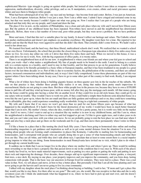sophisticated Marxist– type struggle is going on against white people, but instead of class warfare it uses ideas as weapons—racism, oppression, multiculturalism, diversity, white privilege, and so on. It manipulates, even creates, ethnic and racial grievances against whites and uses them to bludgeon white people.

What had been submerged all of my life—my race and my heritage—has become front and center. Before, I was just an American. Now, I am a *European* American. Before I was just a man. Now I am a *white* man. I admit I have cringed and retreated some in my time, but that was mostly because I couldn't figure out what was going on. Now I realize that I am part of a people who are being attacked and that truly they are my people, and I stand and draw the line.

The place I live in now, on the outskirts of Philadelphia, was a clean and safe place when my wife and I moved here fifteen years ago. But the pattern of my childhood home has been repeated. Non-whites have moved in and the neighborhood has deteriorated drastically. Before, there were a fair number of lower-end, poor white people, but they were never a problem. But we have problems now.

More and more, I find that this isn't a suitable place for my family. It doesn't reflect our heritage and values. The Catholic school here pushes multiracialism and doesn't put emphasis on academic excellence. My daughter went there for a time. She reported to her mother and me that the black boys were aggressive and that she didn't like them. That certainly didn't come from us. We hadn't said a word to her about race.

We learned first hand, and the hard way, that these liberal, multicultural schools don't work. We realized that we wanted a school of our own flavor. Unfortunately, the school that provides the closest thing to a European-type education is thirty-five miles away from where we live. So every day either my wife or I drive that thirty-five miles there and back. When we moved to this house, it was a nine-mile drive for me to work. Now, with the big expansion of office parks, it is twenty miles.

There is no neighborhood here at all for me now. A neighborhood is where your friends are and where your kid goes to school and where you work—that's what makes a neighborhood. My line of people needs to be bound to the earth. I need to belong to a certain soil, to a certain region, to a locality, and I need to stay in that locality, and for that process to go on for generations. I really believe that that my desire to be literally grounded is a basic white or European impulse, and that it has been irradiated in my people to a great extent over the last three decades or so. Part of this is due to economic factors, the globalization of the economy, and there are cultural factors, increased consumerism and individualism; and, in ways I don't fully comprehend, I sense these phenomena are part of this war against whites I have been talking about. In any case, I have to go to some other part of the country to find work. Really, I am migrant worker.

What a lot of whites have been doing is building gigantic houses on three-quarter acre lots in the far reaches of the suburbs. My take on that practice is that, whether these people fully realize it or not, doing that makes them pretty much impervious to encroachment; blacks are not going to come there. But these white people lose in the process too, because they have to own a \$350,000 house to pull this off and they wind up house-poor, with no money left after they pay the mortgage each month. All that money going into the house could be going into having a richer life on another level. If they could live in an old style house, they could get by on one salary with no trouble. They wouldn't have to work two jobs. If they could build a simple three bedroom semi-detached house in a town like the one I grew up in, where the lots are small and there are little gardens and walkways and so on, they could have something that is affordable, plus they could experience something really worthwhile: living in a tight knit community of white people.

My wife and I know that if we move we won't get more than we paid for our house fifteen years ago because of what has happened to the neighborhood. If it hadn't been for the literal destruction of my world, I would have been in much better financial shape that I am in now. My mother's house, when she dies, would have sold for a pretty penny, but it is worth very little on the market now. And if we move, I don't want to end up in a situation like my mother is in now in my childhood home, and like I am in, where the neighborhood is declining and I have to either stay and feel trapped or get out. I'd like to grow apple trees, and it takes years to do that, and you can't take your trees with you when you move. So we are probably going to rent the best place we can find near where I work and also buy a rural place and go there on the weekends and fix it up, and then move there permanently when I retire in fifteen years.

I'd like a house in a place that is like turning the clock back fifty years. I have been going to homestead sites online and reading homesteading magazines to get guidance and inspiration as well as to get some mental distance from the situation I'm in now. I'm reading about people who are forming small communities in places like Kentucky. I subscribe to mailing lists for homesteading and homesteaders, and I correspond with people who are actually doing this to get a sense of what homesteading entails and what their lives are like. They are all white, and while they don't talk about race, I speculate that at least to some extent there is a racial impulse giving impetus to what they are doing. Some homesteaders in rural Pennsylvania have invited me to visit, which I plan to do when I get through my current health issue.

It saddens me to think that I can no longer live in the place where my mother lives and where I grew up. There would be nothing more rewarding to me than to have a property like that passed down to me in the condition that it was once in. With each of the places my family has lived in, we have made material improvements, such as putting in a nice garden or gutting the walls and putting in new sheet rock and improving the drainage. Over decades, these changes add up to significant improvements: a better garden, a vineyard, fruit trees, a nice deck. By staying in one place, your property improves and you improve the community, and you form deep, lasting connections with people. That is the basic way our ancestors in Europe lived for centuries. They were tied to a place. There was a real value in that. Now, we sell places and move, at best to buy a better place. But personally I feel that I am all the time planting and I am never going to get the harvest and I am never going to live in a true community.

One Sheaf, One Vine 6 I talked with my daughter about the rural place I'm thinking about buying or building. I said to her, "If mom and I get a place like that, would you like to stay there, live there after we are gone?" She said, yes, she would. She was receptive to that idea and she is only seventeen years old. I think she understands what has happened to us, where we have had to pick up and start over, and she doesn't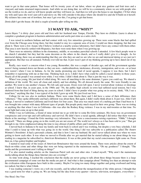want to get in that same pattern. That house will be twenty years of our labor, where we plant nice gardens and fruit trees and a vineyard, and make structural improvements. And while we are doing that, we will be in a community where we are with people who see the world as we do, and we will know people and they will know us. And then we will give the house to our daughter. I'll bet when my wife and I pass she won't just sell it and move on. She will consider it the place where she should live and she'll build on it herself. My sickness has come out of nowhere, but once I get over this, I'm going to get that house.

*Denis didn't get the house. He died a couple of months after telling me this.*

### **3 I WANT TO ASK, "WHY?"**

Laura Hayes \* is thirty -four years old and lives with her husband near Tampa, Florida. They have no children. Laura is about to *complete a graduate program in business administration and works part-time as a sales clerk.*

I was raised in northern Indiana and had contact with very few minorities growing up. There were some blacks that had spilled over from the Chicago area living there, but they tended to stay in a separate area of town. I would see them shopping, but that was about it. There were a few Asians who I believe worked at a nearby science laboratory, but I didn't have any contact with them either. That area is now heavily settled with Hispanics, but there were none there when I was growing up.

There were no minority children in the elementary, middle, or secondary parochial schools I attended. A few black people went to the church I attended, but they had the same decorum as the others in the church, and so I really didn't give it a thought. As for interracial dating, there was an understanding that they are who they are and we are who we are and interracial dating or sex just isn't appropriate. But that was all unstated. Nobody ever told me that. It just wasn't part of my thinking growing up to have dated out of my color.

Really, race wasn't a concern when I was young. Remember, this was a couple of decades ago, and all the government agendas weren't being rammed down our throats as they are now—multiculturalism, intolerance, diversity, immigration, and so on—or at least they weren't where I was in Indiana. As for the media promoting any kind of racial agenda, I suppose it was there, but I don't remember it registering with me at that time. Thinking back on it, I didn't have what could be called a racial identity in those years. Nearly all of the people I was around were white. I was white. I didn't think about it. That is just the way it was.

When I was young, life just kind of rolled along. We were all marching to the same drummer, I guess you could say. We shared a definition of the world. We were all clean and orderly and law-abiding. We all dressed nearly the same. We were friendly to one another. We went to one another's houses. We felt safe and secure. Doors were left open. I never worried about violence or shootings at school. I knew that, in years past, in the 1960s and '70s, the public high schools in town had suffered racial tension, but I was sheltered from that kind of thing during my years in school. I didn't have to ponder what was going on in society, think, "Oh, I see a trend here," anything like that. I was typical of the kids I grew up with. We just lived our lives.

College for me was also in northern Indiana. There were some blacks there and I did have a sense of their difference, their "otherness." They spoke differently and had a different way about them. But again, I didn't really think about it. It just was. After I left college, I moved to southern California and lived there for four years. That area was much more of a melting pot than I had been in. I was brought into contact with many different types of people. But people pretty much stayed in their own group. There was no rioting or anything like that when I was in California—this was after the Rodney King violence. I was in my mid-twenties at that time. No racial light had come on up to that point.

While I was in California, a friend of mine invited me to go with her to some Bo Gritz seminars. His focus was on government conspiracies and cover-ups and self-sufficiency and survival. He didn't have a racial agenda, although I did notice that there were no blacks at his meetings. I found the Gritz meetings very informative. They were a consciousness-raising experience. "Ohhh," I thought to myself. "There are things going on in this world you are not aware of! The world isn't always as it has been sold to you." That got through to me. Gritz emphasized taking the time to stay abreast of public affairs and I started to do that.

I moved back to Indiana to be near my family and went back to school and I was working, but despite a very busy schedule, I did what I could to keep up with what was going on in the world. One thing I did was subscribe to a publication called *The Aware Woman's Newsletter.* It had a personals column, and that is how I met my husband. He and I never talked about race when we were getting to know each other. It was when we moved to Florida after we got married that he started talking to me about things he was reading in a magazine he subscribed to, *American Renaissance.* It was at this point that my racial consciousness light came on. From then on, it has gotten brighter and brighter.

I started to read some of the issues of *American Renaissance* that were around the house. There were articles about the extent of black-on-white crime and other things that were not being reported in the mainstream media. "Oh my goodness!" I thought. "The media and the government aren't telling us things!"

I've also started reading articles on the American Patrol web site and other sites. I asked myself, "Why aren't the mainstream media talking about the things these Internet sites are covering?"

As time went along, I reached the conclusion that the media are never going to talk about these things because there is a large governmental campaign of some sort that the media are part of. And what is that campaign about? Nothing less than an attempt to ruin the civilization white Europeans have built in this country. Maybe I'm tying too many things together and going overboard and being too radical, but that is what I think.

I was reading someone's views on a web site recently, and he talked about the mongrelization of the white person. I thought that was a good term for what is going on. We are being fed the idea from every quarter—movies, television, newspapers, everywhere—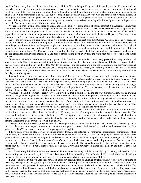that it is OK to marry interracially and have interracial children. We are being told by the politicians that we should embrace all the non-white immigrants that are pouring into our country. We are being fed the line that everybody's equal and they aren't. Socrates and Aristotle were white. The people who developed penicillin and invented the airplane and the computer were white. White people can think. I know it is unfashionable to say that, but it is true. It gets me on my high horse the way the schools are rewriting history. It really gets to me that we can't point with pride to all the white geniuses. White people have been the victors in history, but now in school children go through these exercises where they are supposed to relate to how the losing side felt so, I guess, they will go over to their side. We are not going to stay the winners doing that.

We are losing touch with our heritage as a race, and I don't think it is just a matter of chance that that it's happening. I know this sounds radical, but I think there is an attempt to do no less than obliterate the white race. I read somewhere that white people are only eight percent of the world's population. I think there are people out there that would like to see us be no percent of the world's population. I think there is an attempt to dumb us down, soften us up, and interbreed us with blacks and Hispanics. Then, after a few generations, we'll be so stupid and docile we will do whatever the people in charge tell us to do.

As for the government we have now, I think it is a crock, a farce. The current president [George W. Bush] is a one-worlder. His take on it is that what is good for the immigrants is good for America. Hogwash. The Hispanics pouring into this country now, most of them illegal, are different from the European people who came here, in capability, in work ethic, in culture, and in race. Personally, I think Bush is just a front man, in front of the curtain, so to speak, posturing and pandering to the crowd. I think all the politicians report to some kind of New World Order group who is pulling the strings. I really do. I think we are being maneuvered into becoming one big globalized, mongrelized melting pot, and part of that is tearing down everything the white man has stood for and done in this country.

Whoever is behind the curtain, whatever group—and I don't really know who they are—is very powerful and very insidious and very deadly to the Caucasian race. With all their talk about justice and equality, they are taking advantage of the basic fairness of white people, who are of a kind to have authored the Mayflower Compact and the Magna Carta and the Constitution. We aren't savages and that has been cleverly used to hurt us, because we are accepting the pitch to be tolerant, be accepting, to be nice. The Mexican people flooding into the country and those who want to re-annex parts of the United States, the Reconquista Movement, they aren't playing fair, they aren't being nice.

It is as if we are rolling over and saying, "Rape me again." It's incredible. "Whatever you want, we'll give it to you: our homes, our schools, our jobs." Several states are talking about giving in-state college tuition rates to illegal immigrants. That's ridiculous. And even that won't be the end of it. They will hire Hispanic faculty, discriminating against white applicants in the process, and these faculty will teach students what the war in Texas war was "really" about and what they should do about it. English as a foreign language programs will have to be put in place, and "Whitey" will pay for them. The parents won't be able to afford the tuition, and Whitey will pay it. The students will default on their loans, and Whitey will pay them off.

Whoever is behind the curtain is really clever, I'll give them that. I find it fascinating the way multiculturalism gets us trashing ourselves. Its gotten us to go on and on about all the terrible things we have done in the past and are doing now. Multiculturalism gets us to accept, and even invite, minorities blaming us for every problem they have. We wind up looking after others' welfare and serving their interests while we ignore our own. That is really clever. They have it so that we can't say anything positive about our race, our heritage, our culture, because that is white supremacy, and we can't say anything negative about minorities because that is racism. This has all happened quite recently, because even when I was growing up it wasn't in place the way it is now.

Go to the American Patrol web site sometime. It is run by Glenn Spencer. His site is mostly on immigration, although it does touch a little on whiteness. He points out that since 1965, ninety percent of immigration to this country has been non-white. The American Patrol site is a daily account of the ludicrous. We are supposed to give amnesty to millions of immigrants, which will only encourage more illegals to come across the border. I read in Spencer's site that they are actually putting water tanks in the dry areas so that the illegal immigrants from Mexico won't get thirsty.

The question I ask of myself is, once they ruin all the things European people have built up in this country and it becomes just like the place they came from —poor infrastructure, no education, gutted economy, bad medical care, crime, and so on—where are they going to go then? There won't be any more European people to exploit.

I have been trying to stay abreast of things mainly through the Internet—governmental conspiracies, immigration, white nationalism, those areas mainly. And I talk with my husband and some of his friends. This has been going on for the last two or three years, and it has affected my perception greatly, and some of my choices in life. Even though I know that I am going to be vilified, if I am in a conversation that leans in the direction of any of these issues, I will make one or two leading statements. But I can't say they have any effect. I can't undo all the brainwashing people have been through. The people I come into contact with day-to-day find some movie star more credible on racial matters than they do me. Everything nowadays is glitter and glamour and fluff. There is no substance.

And I have to say I think women are more susceptible to what we are being sold. Put a morally high sounding and emotional spin on something and women will buy into it. That is how you sell them something. "Do it for the children"—tell them that. It will get them every time. But what women ought to be asking is at what cost, what is going to come out of this?

One Sheaf, One Vine 8 I am not involved in big crusades right now. I'm not in any organizations or anything or taking on any big projects. I'm trying to make my marriage work and get through school, and I have a clerking job to bring in some money, and that keeps me tied up. But there have been small, personal changes in me. I'm more aware now than before of where I conduct my business and where I live. I'm thankful we live a little bit out of town, and I think a lot about where we will live in the future. I am more conscious of my connection to the media. I realize, for instance, that minorities are portrayed as virtuous and in need. They have been done wrong, send money now. I notice how ads and television shows—especially UPN—show interracial relationships involving white women especially. I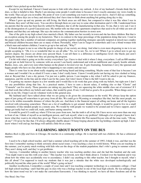wouldn't have picked up on that before.

Except for my husband, I haven't found anyone to link with who shares my outlook. A few of my husband's friends think like he does, so that is helpful to him. Maybe I am missing some people I could relate to because I don't exactly announce my views loudly to the world. That can get you in trouble. My point of view is not something you want to wear on your sleeve. And if I did say something, most people these days are so busy and stressed they don't have time to think about anything but getting along day to day.

Where I grew up and my parents are still living, the black areas are still there, but compared to what it was like when I was in California, they aren't all that scary. You can drive through them on your way to some other destination and it's OK. I understand from my parents that the area has been heavily settled by Hispanics due to all the manufacturing in that area. To me, that is very sad. I see it as the disintegration of a good Caucasian area. My mother tells me that some apartment complexes that used to be all white are now all Hispanic and that they are unkempt. She says she notices the communication barriers in stores now.

One of the girls in my high school class married a black. My father saw her recently in town and she has three children. But that is an exception among the people in my hometown. That is in contrast to the large percentage of the population doing that now. I read in the paper today that a number of national companies are putting together marketing strategies specially targeted at mixed-race couples and biracial children because there are so many of them. Personally, when I am in Target or somewhere and I see a blond woman with a black man and mulatto children, I want to go up to her and ask, "Why?"

It breeds disgust in me to see what the people in charge of our society are doing. And what is even more disgusting to me is to see people accepting it. "Oh, it is so wonderful that we are all alike." No, we're not. No, we're not! Where I go to school now to get my masters degree, the classes are about sixty percent black. I can tell there is a difference in intelligence level–-the blacks just aren't getting the material. I wonder how they are passing the program.

I'm hit with what is going on in this society everywhere I go. I have to deal with it where I shop, everywhere. I call an 800 number and get put on hold forever by someone with an accent I can barely understand and with an indifferent and vaguely hostile attitude. Bushes, trees, cats, and every non-white human on the planet is favored over me. It gets frustrating. Sometimes I envy the ignorant and happy people who have no clue about what is happening to our country and our race.

There is some fear in me about really stepping out and being heard and doing something. Maybe some of that fear is because I am a woman and I wouldn't be as afraid if I were a man, I don't really know. I know I would prefer not having my tires slashed or being shot at. Beyond that, I am a shy person. I'm just not a public person. I can imagine a day when I will be asked to put my finances, reputation, and life on the line and do what I can for the cause, but I don't know if that is the hill I want to die on.

I'm getting my masters degree in a few months and I would like to do work that goes along with my beliefs, but right now I don't see any possibilities along that line. As a practical matter, I have to earn a decent salary, if nothing else so that "Cleotis" and "Consuela" can live nicely. Those parasites are taking my paycheck! They are squeezing the white middle class out of existence! If I can find work that reflects my beliefs and values, that would be great. If not, I will find as good a fit as possible. When things aren't so hectic in my life, I hope I can do volunteer work in this general area.

My husband and I have talked about what we are going to do given the circumstance in the world. We always keep the option open of just going off somewhere to get away from all this. We could go to Wyoming or someplace like that, but like most people, we have to be within reasonable distance of where the jobs are. And there is the financial aspect of selling our home and all the logistics involved with relocating somewhere. There are a lot of roadblocks to get around. Ideally though, it would be good to live in a small community of like-minded people in a remote area. We would be with people we wanted to be around and we'd have support, and if things got really bad we could sell, trade, and barter among ourselves.

It would be good if I could say where I'll be ten years from now, but the truth is all of my life I have never seen more than one step in front of me. I think of myself as an intelligent person, and I ask myself, what is my problem? Although a lot of people I know don't know what they want to do when they grow up. There is a character in *Winnie the Poo* named Eeyore who all the time wails, "Oh me, oh my!" I'll never be like that. I'll always diligently shuffle ahead. I'll keep forging ahead in the fog holding a lantern up high. I don't know where I will end up, but things will unfold a little bit at a time.

### **4 LEARNING ABOUT BOOTY ON THE BUS**

Mathew Rock is fifty and lives in Chicago. He teaches in a community college. He is married with two children. He has a whimsical *manner.*

I used to be a high school teacher, and I had a summer school teaching job in the summer of 1993, I think it was, and that was the first time I remember starting to think seriously about racial issues. I was teaching a class in world history. When you are teaching in the summer, you're pretty much working with kids who are the dregs of the student population; that's who's going to summer school. They aren't doing well, and they've got problems.

Anyway, I remember talking to another history teacher who was teaching another class and she had this handout and she said, "You might want to use this with your class." This teacher was Jewish, now that I think about it. I looked over the handout and it was about how the white race accidentally rose to ascendancy. I didn't say anything to this other teacher, but I thought to myself, what's this all about? I'm supposed to teach my students that it was just a mistake that the white race developed technologically and politically beyond the other parts of the world? What's going on here?

Another recollection, I remember a couple of years later and I was teaching computer technology in a community college—I had left high school teaching—and I had this guy in class who was a biology teacher in one of the local high schools. He was talking about how the latest trend was let's not make the curriculum Eurocentric. I was thinking to myself, we have all these freedoms and all the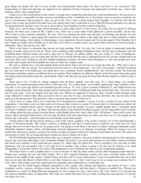great things our people did, and I'm sorry if they were heterosexual white males, but that is just how it was, you know? This brainwashing of white kids that they are supposed to be ashamed of being Caucasian and understand everybody else—what is this business, where's this coming from?

I think a lot of the racial tension in this country is people aren't taught the truth about the world and themselves. We get across to kids that nobody is responsible for their successes and failures in life—somebody else is. Everybody is just as good as everybody else and it's circumstances that account for what you get in life. Now, I have a friend named Tom Chandler. I've told his wife that the reason Tom is more successful in life than I am is he smarter than I am. I could look at it in a Third World and minorities way and say I'm being held back and that's why I'm not as successful as Tom Chandler, but that would be ridiculous.

There was a movie about a high school principal at a black high school in New Jersey, Joe Clark. He was played by Morgan Freeman, the black actor. *Lean on Me,* I think it was. There was a scene where Clark addressed a school assembly, and he said, "We're here to raise academic standards." He said, "Don't go blaming the white man and don't go blaming your parents for your shortcomings." I think to a great degree the animosity of nonwhites toward whites is they think they have to find somebody to blame for their shortcomings. I have plenty of shortcomings. I am a hopelessly flawed creature and I'm not the equal of Tom Chandler, but I don't blame my buddy Tom Chandler for it. He didn't do it that he is smarter than I am, and he didn't prevent me from becoming a millionaire. That is just the fact of it, OK?

There is this theory in education that anyone can learn anything. Well, I'm sorry but I am not going to understand molecular biology no matter what you do with me. There's also something called multiple intelligences that's the big rage in education. Like the basketball player Michael Jordan who used to play here in Chicago; his athletic ability, they are saying, is a form of intelligence. Jordan was a great player, you can't deny that, but don't try to tell me that this man is intelligent because he can put a leather ball in an iron hoop. They aren't fooling us with this multiple intelligence business. We know what intelligence is, and some people have more of it than other people and Tom Chandler has more of it than I do, simple as that.

My wife is certainly less vocal and strident about racial matters than I am, but she was saying the other day, "Why don't I get to have a culture?" She was saying, "If an Irish guy lived next door to a Norwegian guy"—my wife's Norwegian—"and the Norwegian guy lives next door to an Italian guy, you mean that is not a culturally diverse neighborhood?" My wife has a point. The Irish and Norwegian and Italian cultures are different from one another. Their traditions are different. Maybe in the Norwegian home they speak Norwegian and in the Italian home they speak Italian. What's this idea that you gotta be from Third World countries or black to have a culture?

There used to be a T-shirt on college campuses that the black students wore that said, "It's a black thing—you wouldn't understand." If someone paraded around with a T-shirt that said, "It's a white thing—you wouldn't understand," there would be a furor over that. A few years ago, blacks wore baseball-type hats with an "X" on it, I guess in honor of Malcolm X, and I think the hat was pushing a movie about him. Then other people started wearing shirts with a Confederate battle flag on them that said, "You wear yours and I'll wear mine." You can imagine how that went over. Whites are supposed to keep any show of pride in their heritage under wraps. Malcolm X called whites blue-eyed devils, but it is just fine to wear a hat honoring him. But that's the way the rules of the game go at the present time. The question is who set up those rules and how'd they do it?

I don't know if I agree with a lot of stuff they do in Scandinavian countries—I mean, I'm not a socialist by any stretch of the imagination —but things work over there and it isn't because their system is so great. It's because they're a homogeneous culture, the people have a common thread, and it's because of the make-up of the people. You have capable people there. I remember about seventeen or eighteen years ago, the Bears [the Chicago Bears in the National Football League] won the Super Bowl and everybody was talking about the great system [assistant Bears coach] Buddy Ryan had—they called it the "46 Defense." Ryan said it wasn't the system, that it basically boiled down to the fact that the Bears had more talent than any other team that year. It's the people not the system, that's the point— and Norwegians are good people, good white people.

I firmly believe that the big reason America is one of the richest countries in the world is because we've been predominantly a country of European people. This country could be a melting pot and have it work because everybody who came here was from Europe. But now we have this bio-stir fry going and it's not going to work. Race is the basis of culture. Genotype [internally coded, inheritable impulses] shapes culture, and phenotype [outward appearance] is an indicator of genotype. What I'm saying is you can predict how advanced a country is going to be and how people are going to behave by looking at racial make-up. It isn't all a matter of circumstance or luck. We are being pressured to think race doesn't matter, but it does.

The World Health Organization has criteria they use to measure countries—the gross domestic purchasing power, life expectancy, literacy rate, and some other things I can't remember offhand. The point is you can lay that measure over the white countries and black and mixed race countries of the world and get a perfect fit: whites high, the others low. You're crucified if you even hint at white supremacy, but you can predict with a very high level of certainty what a place is going to be like just by looking at its racial demographics. If you don't believe me, look at what happened to every American city when its racial composition changed.

The United States is such a popular place to come to because of what the white settlers and the other European people built here. People aren't pouring into any non-white country. We're still a majority European country, but I have read that whites will be a minority by the middle of this century. I think Clinton said that, and I've read it other places. I won't be around then, but I bet at that time we are more like Brazil or Puerto Rico is now than America is now. I don't want to go so far as saying race is destiny, but it's close. That's what I think, and I fully understand how unpopular and condemned it is to think that way.

One Sheaf, One Vine 10 Chicago has the fourth biggest Hispanic population in this country. San Antonio and Houston, and maybe El Paso, I can't remember exactly—anyway, all places down near the border of Mexico, and then there is Chicago at number four. Chicago got established as a center for illegal Mexican immigrants. If you're asking me why, I don't know. My wife's theory is it's because the rich want an abundant source of cheap labor. She works in a school that used to be in a white working class area and now it's heavily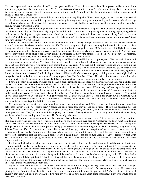Mexican. I agree with her about why a lot of Mexicans gravitated here. If the rich, or whoever is really in power in this country, didn't want these people here, they wouldn't be here. You'd have divisions of army at the border. They'd do something like tell the Mexican government you've got ninety days to stop it on your own, and if you don't, we'll consider illegal immigrants hostile forces and shoot to kill. Believe me, it would stop.

The news we get is managed, whether it is about immigration or anything else. When I was single, I dated a woman who worked for a local newspaper and she said that by the time something, let's say about race, gets into print, it gets fit into the official message regardless of what actually happened. Information in this country is controlled by a small elite, and if you don't go along with their agenda, you are represented as evil.

I have to admit the system of thought control works really well on white people, to the point that they turn on anyone who tries to talk about what is going on. We are the only people I can think of that come down on any among them who brings up anything related to their own well-being as a people. You know, a black person says, "Let's take a look at how blacks are doing," and other blacks don't go, "Shut the guy up." But a white person says to white people, "Let's talk about how whites are doing," and whites say, "Stone him, he's a Nazi!" We've been had.

Really, to a large extent we don't produce our own culture in this country. Hollywood does it with their movies and television shows. I remember the shows on television in the '50s. I'm not saying it was high art or anything, but I wouldn't have any problem letting my kid watch those variety shows and situation comedies. But it's just garbage now, MTV and the rest of it. Ugly, base, brings us down as a people. My theme is we have to start looking more at who is in charge of feeding us entertainment. Who are these people? Maybe it is Jewish revenge for the way gentiles have treated them over the centuries, I don't know. I don't advocate violence, but there could come a day where we barge into a Hollywood office like Marine raiders.

I believe a lot of the news and entertainment coming out of New York and Hollywood is propaganda. Like the media love to tell us how violent we are as a culture. You know, the United States leads the industrialized nations in murders and violent crime and so on. What they don't tell you is who among us is committing all this crime. You take out the minority crime and we are just like the Scandinavian countries or Belgium. White people commit just about the same level of crime no matter where you go. And that is also true of blacks—black crime rates here in this country are very much like black crime rates in African countries. High here, high there. But the mainstream media—and I'm including the book publishers, all of them—aren't going to bring that up. You might find out things like that from the Internet, but you aren't going to get it from *The New York Times.* That kind of information isn't in line with the program to get us to welcome minorities and all that comes with them into our homes and workplaces and bedrooms.

I have a nephew in his early twenties and he had a black girlfriend and he ended up marrying her and they had a child. This woman has turned out to be trouble and he has filed for divorce. Those of us who told him not to get involved with her in the first place were called racists. But I told him he failed to understand that the races have different ways of looking at the world and approaching things. He bought the idea he was getting in school and everywhere that we are all the same. We're running from the truth in this country, or maybe it's we're being led away from the truth. And it's cost my nephew big time. I mean, it is crazy—it's pounded into us. Some Hollywood actor in a movie will get up there and ... I don't watch a lot of TV and I don't want my kids watching it, all these shows and these little ads for diversity. Personally, I've always believed that high fences make good neighbors. I know that isn't a acceptable idea these days, but I think it is the truth.

My wife was talking about her childhood and everybody was white and she said, "Forgive me, but I liked the way it was then better than the way it is now." I said to her, "What are you apologizing for? They got you apologizing." There's this pervasive message that if you want to be among your own and you're black or Hispanic or Asian, you're fine, but if you're white and you want the same thing, you're a hater. They've got it painted that anybody who's proud of being white and wants to hang around with white people is, you know, a Nazi or something, or a Klansman. That's patently ridiculous.

The problem now is us whites aren't racially conscious. We've been so conditioned to be "other race conscious" we don't see blue-eyed poverty and suffering, or we glance at it and move on. If you have ever been to Appalachia you know what I am talking about. Last night, I was watching this show on public television about Sun Records [in Memphis, Tennessee] and [its owner] Sam Phillips and the birth of rockabilly music [in the 1950s]. [Sun Records is where recording artists like Elvis Presley, Jerry Lee Lewis, Johnny Cash, and Carl Perkins got their start.] Every one of those guys with the exception of maybe one or two came out of sharecropper backgrounds. They were all blue-eyed white guys that grew up dirt poor. Billy Lee Riley was one of them, although people don't remember him. He could have been big, but I guess Phillips decided to push Jerry Lee Lewis' record "Whole Lotta Shakin' Goin' On" instead. Anyway, nobody is going to tell me a lack of melanin and blue eyes means the world is your oyster, 'cause it's just not that way.

I got out of high school teaching for a while and was trying to get back into a Chicago high school, and the principal just came right out and told me that he had been told to hire a minority. Most of the time they do it but they don't say it. Three weeks later he gives me a call and says to come in for an interview, that he was having trouble finding a qualified black to fill this teaching position. I got that interview and then a second one. They were really candid with me. They said, you're more than qualified, but if we can find a black that we think can do the job without being so bad the roof caves in on us, that is what we are going to do. Well, they finally found a black and I didn't get the job. That does put me off, but more than anything I feel helpless. The ones who could do something about what's going on, the politicians, don't care about people like me. They are a professional class to themselves and they are interested in their own survival, bottom line.

One Sheaf, One Vine 11 My kid is seven and rides a bus to school. We adopted kids late in life. I'm going to be sixty-two when this kid goes off to college. Anyway, my kid is coming home and he's talking about booty and this and that and he's cussing left and right. He's obviously picking this up from the older black kids on the bus—where else does a little white kid get this stuff? It's one of the outcomes of diversity they don't talk about but we have to live with. My wife and I have talked about home schooling, but my wife would have to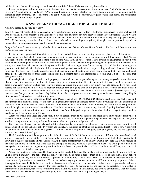quit her job and that would be tough on us financially, and I don't know if she wants to stay home all day.

I see us white people shooting ourselves in the foot. It just seems like we accept whatever we are told. And it's like as long as we have our TVs and shopping malls and SUVs we aren't even going to pay attention to what's going on much less complain and do something about anything. I guess one thing is to get the word out to white people that, hey, just because your pantry and refrigerator are full doesn't mean things are good.

### **5 SWF SEEKS STRONG, TRADITIONAL WHITE MALE**

### *An online personals ad read as follows:*

I am a 30-year old, single white woman seeking a strong, traditional white man for family building. I am a racially aware Southern gal with Scotch-Irish/Swiss ancestry. I am a graduate of a four-year university but have recovered from the brainwashing. I have worked as a newspaper editor, play traditional Irish and Appalachian fiddle, and like to dance. I am a former county beauty pageant winner, 5'6", 120 lbs., blue eyes, and have long, red hair. I am ready to have an intelligent, physically fit Anglo man support me in my role as homemaker. I welcome correspondence from racially conscious men.

### Margie O'Connor\* lives with her grandmother in a small town near Winston-Salem, North Carolina. She has a soft Southern accent *and gentle, sincere manner.*

In high school, I graduated fifteenth in a class of four hundred. I was the homecoming queen and played three different sports soccer, tennis, and basketball. I was most valuable player in soccer and tennis, and all-conference in all three sports. I had African American students on my teams and spent a lot of time with them. In those years, I saw myself as enlightened in that I was nonjudgmental about people who were black. Many other people I knew seemed to be pretending as though they didn't see black and white, but I saw their behavior as patronizing toward blacks. I felt as though I wasn't even seeing color and that I was treating each person as an individual. After high school, I went on to college and received a degree in psychology and worked as an editor for a newspaper for three years. I wrote several articles that touched on racial matters and some people implied that I was evil and hated black people and was one of those knee -jerk racists that Southern people are stereotyped as being. But I didn't come from that background at all.

Increasingly after college, I noticed things going on around me that began rubbing me the wrong way—the music that was blasting, television, movies, all the things that were being piped into our culture. It got to the point that it went completely against my grain. I was happy with my culture here—playing traditional music and going over to my ninety-year-old grandmother's house and hearing her talk about when there was no highway through here, and going over to my great aunt's house where she made quilts. I embraced what I loved around here and everyone else was talking about the next "Friends" episode and making \$60,000 a year. Also, over the past five years there has been a big influx of mixed-race migrant workers here—they work in tobacco—and everything is bilingual now. That has been very disturbing to me.

Two years ago, a friend recommended that I read David Duke's book [*My Awakening].* Reading that book, I saw that Duke isn't the ogre that he is painted as being. He is a very intelligent and thoughtful and sincere person who at a young age became committed to deal with some very controversial issues. He talked in the book about his childhood—he is Southern, as I am. I felt a kinship with his story. I thought, here is someone I can relate to. Here is someone who, when he was young, instead of getting involved with art or music or sports, got involved with social issues. David Duke's book helped me put words to what I had been experiencing. Reading that book was a real turning point for me.

About two weeks after I read the Duke book, it just so happened that he was scheduled to speak about thirty minutes from where I live here in North Carolina. That area has a lot of chicken farms and is around fifty percent Hispanic now. Not to get all mystical, but I saw his coming to my area as a sign. I went there and met him and got him to sign my book.

For a long time, I have been disenchanted with the idea of just having a professional career—being a career woman doesn't appeal to me. Duke's book has a chapter called "Women and Society," I think it is, and that helped make it all right for me to say, "I just want to stay home and play music and have a garden." My mother is on the big kick of me going back and getting my masters degree for some reason. She still doesn't get it.

Until I read the research Duke presented in his book, I was of the belief that there were no real differences between blacks and whites. I accepted the argument that any differences that we saw were a product of slavery and poverty and the lack of opportunity. If you were to suggest that blacks in Africa seem to have the same problems that blacks do here, I would have said that is was because of the harsh conditions in Africa. But Duke used the example of Iceland, which is a godforsaken place. The white people there have managed to turn it into a thriving economy and livable place. Duke compared Iceland to Haiti. Haiti is a virtual Eden, with ports and natural resources, yet it is like a cesspool.

When I go into town, I get accosted by black men on the street all the time. They make overt comments and just glare and look me up and down. I am now of the belief that that behavior is every bit as much a part of them as the color of their skin. I don't believe anymore that what they do to me is simply a product of their rearing. And I think there is a difference in intelligence, and in temperament, I guess that is the word for it. To me, an evolutionary argument to explain racial differences, or a good portion of them, is completely reasonable. Duke has a section in his book—not that he developed the material, but that is where I got it—that in human beings, like with any animal species, any trait that enables the species to survive is the one that will be selected. If you evolve in extremely cold conditions, that selects for different traits than if you evolve in an extremely hot, tropical environment. That just makes perfect sense to me. The Duke book goes through my mind whenever I see black people acting as they do.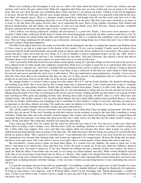When I was working at the newspaper, I went out on a limb a few times about the black issue. I cited some violence and rape statistics, and I know that gets controversial. Make the suggestion that black men are more violent and you are going to be called a racist. But you can't deny that they are committing these crimes and that it's not getting any better. I think it is best for the happiness of all races, not just the white race, that the races remain separate. I don't think there is going to be a peaceful world until all the races have their own separate spaces. There is a furniture market around here, and people from all over the world come here to it, to this little city. There is something enchanting about that, to see all the diversity in one place. But then I just want everybody to go home. It is ironic to me that those who praise diversity don't favor separating the races. Races living together encourages both cultural and physical interbreeding, and that dilutes the uniqueness of each race and blends away their diversity. Nature provides wonderful diversity, and then the diversity advocates take it away—it makes no sense.

I don't believe race-mixing [interracial coupling and procreation] is a good idea. Really, I have never been attracted to that. Actually, I think if they could peel off the layers of media and school propaganda, practically all white women would feel as I do. So many women I know are taking Zoloft and other anti-depressants. To me, that is a symptom that something is just not right in their lives. They are being conditioned by the media to go in directions, interracial dating being one of them, that aren't true to their nature and aren't going to bring them happiness.

The Duke book talked about how the media are basically Jewish dominated, and after re-reading that material and thinking about it, I have come to see that as a major part of the disease in this country. I'll give you an example: Country music has always been associated with the South and Christianity and people going to church, and it has always tended to be conservative. The country music station that plays videos never had any racy things on it, and on Sundays it always maintained respect for the day. CBS, which is Jewish owned, bought the station and now I see commercials for rap music. This past Christmas, they played a movie that had no Christmas theme at all. It had the most explicit sex scenes that I have ever seen on television.

I don't necessarily think that Jewish men are sitting around openly saying let's put these things on television and in the movies to force cultural norms on white people and completely corrupt their whole race so it makes it easier for us to control them. But I now see Jewish people as a separate race, and I have concluded that psychological traits can be as much a part of someone's being as physical traits. The direction Jewish people take things, I think, is just them, is just a reflection of who they are. And I think it is their strategy for survival and success and that they don't have to talk about it. They just understand it among themselves. Actually, I am in awe of what they have been able to do considering that they are only two or three percent of the population and yet control most of what people see on television, listen to on the radio, see in the movies, and read in books.

My younger brother is a victim of what is going on in this culture. He's 6'4" and has broad shoulders. He should be lifting things and working in the fields. But it seems that he, like so many white men, is distracted and—I don't know quite how to put it—softened, or domesticated, or emasculated somehow. People like my brother evolved from nature. Nature is in their souls. But they are losing touch with that. They are being taken away from things that are real and important to things that are not real and that are trivial. I'm talking about the kinds of lives they see portrayed in the movies and on sitcoms. Nothing disturbs me more than to see a group of white men watching an NBA game and spending all their time idolizing those kinds of people. On MTV, there is a show where they tour celebrity homes. My brother watches it. He sees these black athletes who have multi-million dollar homes and Rolls Royces. For white men like my brother, hardworking men struggling to have something for their families, it makes it seem like what they are doing isn't as important as what these athletes are doing. The media has made out athletes to be the big heroes of our day because they can put a ball in a net or run with a football. My brother watches that and is affected by it.

Also, all the explicit images you see everywhere now encourage men to think that if they are happy staying home with their wife and kids, they are uncool. If they aren't hooking up with their mistress on the weekend or going to the strip clubs, something is wrong with them. I think that white men who normally would be happy with a family and a home and having somebody to support them and encourage them feel pressure to do things that deep down they don't really want to do. But they feel the whole world is doing it, so what's wrong with them? They think they should be out doing the same thing.

I have some guy friends who, for certain, feel the same way about the race issue as I do. You can see it in their eyes when loud blacks drive by acting, to put it simply, crazy. But they don't really say anything. And here is where I see white women coming into this. I think white men suppress their views and their true natures about race because they know white women are going to be embarrassed and afraid that the men are going to lose their jobs. The white men know that the women are going to be worried that their friends are going to think, "She's married to a horrible racist." I can understand why women want to stay away from the race issue and the immigration issue because they insinuate hate, and women are supposed to be compassionate. Women like things that are pretty, and these can be ugly issues, that's true, and it is seen as even uglier when a woman speaks of these things than when a man does.

But nevertheless, women need to speak out about these things. If a woman loves her children, she needs to speak out. If she doesn't want them to be enticed into a base and alien way of life, she needs to speak out. If she cares about her children's physical safety and her own, she needs to speak out. If she cares whether her children become a minority in their own country, she needs to speak out. With the influx of non-whites into our land, we are losing our cultural identity and unity. White women should be repelled at the idea of our sacred space being turned into an Africa or a Mexico. They ought to be outraged that they and their children are not able to walk on the street without fear of being accosted or raped. Nothing is more important than women letting their men know they support them in dealing honestly with their feelings. At the very least, women can stop being barriers to men confronting this crisis in our lives.

One Sheaf, One Vine 13 I've quit the newspaper and am living with my grandmother. I'm building a small cabin on eight acres of land I bought five years ago. I have plans for a home I'd like to build, and I'd like a big garden. I've studied Jefferson's designs for Monticello for inspiration. To bring in some money, I do temporary work in Winston-Salem, which I'm not real happy with. Taking photographs is a hobby of mine. I'd like to get better at that. I started a novel a couple of years ago and I hope to complete it. The book is a Southern novel and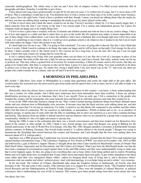somewhat autobiographical. The whole story is laid out and I have bits of chapters written. I've filled several notebooks full of paragraphs and ideas. Someday I would like to get a horse.

I have played and sung music professionally on and off for the past ten years. I've written lots of songs, but I've never done a CD of them. That is something I would like to do. You definitely have to look a certain way these days to be in the country music business, and I guess I have the right looks. I kind of have a problem with that, though. I mean, you heard me talking about what the media do, and now you hear me talking about wanting to manipulate the media to get my music played on the radio.

I'd like to travel more and I think the music would let me do that. I haven't traveled a whole lot. I've been mostly happy here. I dated someone from the time I was twenty to the time I was twenty-eight. I'm a curious and independent person, but I guess his company made me happy just to do simple things here.

I'd love to have a place that is isolated, with lots of animals and children around and with me free to do my creative things. I had a lot of love and support as a child, and that is what I have to give to the world. My life situation now makes it almost impossible to do any of these things I have talked about. I can't have the children; I don't have a husband. But even though right now I don't have what I want, it is comforting to me to know what it is. I could go on to graduate school or do whatever else I wanted to do, but I am in touch with what makes me happy. I have this picture in my head.

It's hard right now for me to say, "OK, I'm going to find a husband." I'm wary of going after it directly like that. I don't think that is how it works. I think I need to continue to do things that make me happy and he will be there on that path. I feel strange for the ad to be there. I didn't actually write it. My friend wrote it. He's known me for a long time. It was his idea. He's the guy I saw for eight years. I know that must sound very strange that he wrote the ad.

It isn't a natural thing to be living with your grandma when you are thirty as I am. But she is sort of a surrogate in place of not having a husband. She kind of fills that role a little bit and my mom does too, and I have friends. But really, nobody looks out for me or protects me. That may reflect a general lack of reverence for women nowadays. I think all women want to feel secure, that they are going to be looked after, that there is someone to take up for them. I guess it is just a primitive thing. You want somebody to be there to protect you, to beat up the bad guy. No matter how strong I might think I am, how much I go to the "Y" and work out, there are people who could overtake me in a minute, take me off and I'd never be seen again.

### **6 MORNINGS IN PHILADELPHIA**

Bill Jordan \*, fifty-three, lives alone in Philadelphia in a neatly kept apartment and works the night shift at the post office. His cerebral palsy has worsened over the years and he gets tired easily and his speech slurs a bit at times, but he is still able to make it to *work every day.*

Historically, there has always been a certain level of racial consciousness in this country—you know, a basic understanding that this was a country for white people—but I think most Americans have been nationalists more than racialists. I know my primary identification growing up was as an American, that's how I saw myself. From an early age, I felt a connection to the people who founded this country and the immigrants who came honestly here and blessed us with their presence and what they created for us.

It was in the 1960s when that started to change for me. That's when I started hearing slanderous things from black militants about whites and race relations here in Philadelphia were atrocious. It became clear that the black activists were talking about me, and that increased my sense that I'm not just an American, I'm white. I started to see that blacks felt connected to one another and that whites didn't feel that kind of connection. We see ourselves as individuals, or nationalities—Polish or Italian and so on—or as members of religious groups, or maybe part of some order like the Elks or something, but we don't see ourselves as a race with a common heritage and destiny. That detracts from our ability to defend ourselves and our interests when we are attacked by a group with a strong sense of commonality, whether it's the civil rights movement or anyone else.

During the 1980s I came to the realization that there was a Jewish consciousness and that Jews looked out for themselves first, ahead of the country or other people. In 1985, I think it was, Jewish groups were upset that Reagan was going to Bitburg for the fortieth anniversary of the end of World War II in Europe. [On May 8th, 1985, Reagan attended a ceremony at Kolmeshohe German military cemetery in Bitburg, Germany. One Jewish leader termed it "a callous offense to the Jewish people."] Reagan was trying to demonstrate the friendship that existed between this country and Germany, and I just thought that the Jews were putting their own interests ahead of U.S. foreign policy.

And there was a PBS program that I understand was Jewish produced that falsely claimed that the black 761st tank battalion had opened Dachau concentration camp. ["The Liberators: Fighting on Two Fronts in WWII" was aired on November 11th, 1993 on PBS and followed by a gala at Harlem's Appolo Theater.] I thought about that when I later read Kevin MacDonald's books [*A People That Shall Dwell Alone; Separation and Its Discontents;* and *The Culture of Critique].* What I got from the MacDonald books was that the Jews had a campaign of extermination waged against them in the mid-20th century and they were understandably trying to make sure that it never happens again. So they are going to do everything they can to keep whites from being unified and in control. Promoting blacks and civil rights helps Jews accomplish that. It puts whites down and makes them feel guilty. It gets whites attending to the black cause rather than their own. Integration dilutes whites' culture by bringing black ways of living into it, and it decreases whites' connection with one another and whites' political power. And, with intermarriage, it even helps bring an end to whites' very existence.

In his last book, *The Culture of Critique,* MacDonald talks about the Frankfort School of intellectuals, all Jewish, who fled Germany in the '30s and came to this country. [The reference here is to chapter five of MacDonald's book, "The Frankfurt School of Social Research and the Pathologization of Gentile Group Allegiances."] They were the founders of cultural Marxism, or political correctness, that is undermining our way of life in America. This country gave these people refuge from their worst enemy and what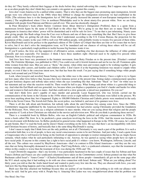do they do? They barely collected their luggage at the docks before they started subverting this country. But I suppose since they see us as an alien people they don't think they can commit a sin against us or against this country.

Jews don't want America to be a unified white country. That is why they are the biggest ones promoting open immigration. Jewish groups were very effective back in the 1960s when they lobbied to change the immigration restrictions we had established in the 1920s. [The reference here is to the Immigration Act of 1965 that greatly increased the amount of non-European immigration to this country.] The neighborhood where I live in northeast Philadelphia used to be about ninety-five percent white. Now we are being inundated with people from Pakistan and Mexico and all over. This area has drastically changed.

In Peter Brimelow's book [*Alien Nation: Common Sense About America's Immigration Problem],* there is a quote from a mainstream Jewish figure by the name of Earl Raab to the effect that "We're going to see that there are so many Third World immigrants in America that whites' power will be diminished and it will be safe for Jews." To me that is just infuriating. Ninety years after giving people like Raab refuge from the Czar over in Russia and one of them says something like that. But I have to give those people credit. They are getting the job done. From what I understand, according to the U.S. Census Bureau, the projection for the population of this country in the year 2100 is well over 500 million people, with probably twenty to twenty-five percent of them white. Kevin MacDonald said in his preface to the paperback edition of *The Culture of Critique* that there are four or five issues that we have to solve, but if we don't solve the immigration issue, we'll be inundated and our chances of solving these others will be cut off. Immigration is a particularly tough problem to tackle because big business wants it too.

If you'll notice, the Jews are big supporters of affirmative action, something else that decreases the influence of white gentiles generally and men especially. For instance—I think I have these numbers right—Harvard used to be eighty-five percent white Christian. Now it is twenty-five percent.

And Jews have been very prominent in the feminist movement, from Betty Friedan on to the present time. [Friedan's seminal book, *The Feminine Mystique,* was published in 1963.] You could even call it Jewish feminism and not be too far off. Feminism splits white women from their men. Men are seen as "them," the enemy, when white men and women ought to be working together. It gets women running after careers, and families and children suffer. I don't know if at the beginning feminism was meant to cripple white people, or even if that is the conscious intent now, but that has been the result. I'm just saying that if something brings white people down, look around and you'll find Jews.

Look, when [essayist and novelist] Susan Sontag says the white race is the cancer of human history, I have a right to try to figure out how many other Jews believe that, because they have immense power at the present time. Sontag makes commencement speeches and gets honorary degrees and nobody takes notice when she says something like that. Substitute "black" or "Jew" for white race in her statement and see what the reaction would be. There would be hell to pay. What Sontag said about whites is a genocidal thing to say. And what this Earl Raab said was genocidal, too, because when you displace a population you find it's harder and harder for white men and women to find each other as mates. And that could end in a slow genocide, a mixed race population. Do you see?

And don't think Jews aren't capable of mass murder and genocide. Lazar Kaganovich, who was Jewish, carried out the communization of the farms in the Ukraine in the 1930s where seven or eight million white Christians were killed in the process. We never hear anything about that, but it happened. Eighty to 100,000 Orthodox Christian and Catholic priests were murdered in the early 1920s in the Soviet Union. The Jewish-led Cheka, the secret police, was behind it, and most of its gunmen were Jews.

There is all this talk about anti-Semitism, but nobody talks about the anti-Christian fury among some Jews. Since the 1980s, *Commentary* magazine [published by the American Jewish Committee] has had articles saying Christianity provided the foundation for the Holocaust. Now, when you say a religion culminates in mass murder, what are you saying about that religion and the people who practice it? Look at how Christians are ridiculed in the movies and television now. Who do you think is producing those movies?

There is a wonderful book by Hillaire Belloc, who was an English Catholic political and religious commentator in 1920s. He wrote a book called *The Jews.* In it, he predicted a great cataclysm involving the Jews in the 1930s. And the reason was because of their involvement with Bolshevism. So Belloc predicted in general terms what happened in Europe in the 1930s. Of course, he's called an anti-Semite. But I've read the book and he doesn't blame everything on the Jews. He says that there's an incompatibility with Jews and Christians because of history, and basically that is the same thing MacDonald is saying.

I don't mean to imply that I think Jews are the only problem, not at all. Christianity is very much a part of the problem. It is such a universalist faith that, to a lot of people, to have any racial consciousness seems to be un-Christian. And just today, I read a quote from a Congressman who is well known for being on the forefront of opposition to attempts to restrict immigration. He has an Anglo-Saxon surname, which makes what he said particularly infuriating to me. Anyway, he was quoted as saying white people have no right to have racial pride. If anyone in this country has a right to have racial pride it's whites—you know, Washington, Jefferson, Lincoln, and all the rest. This culture was created by Mayflower Americans—that's in contrast to Ellis Island Americans— and they are the very ones that are being thoroughly demeaned in our colleges. Paul Craig Roberts, who's a syndicated columnist, says that the treatment of whites in this country is worse than the treatment of Jews was during the 1920s and '30s.

I read *Chronicles* magazine—that's my favorite. I was particularly heartened in the last couple of issues that Joe Sobran and Sam Francis [Sobran and Francis are also syndicated columnists] have taken on the *Commentary* crowd. Sobran pointed out that what Pat Buchanan called Israel's "Amen Corner"—[Charles] Krauthammer and all those people—immediately all got on the same page after the 9/11 attack saying that it had nothing to do with our close connection with Israel. Sobran said, "What are you talking about? For thirty years you told us that the Arabs hated Israel and wanted to push every Jew into the sea. They are obsessed with Jews, you said. And now this big thing happens and it has nothing to do with the Jews?"

Bush says that they attacked our buildings because they are jealous of our freedoms. It had nothing to do with our alliance with Israel, he said. And he gets away with it. People buy it. Amazing! Bin Laden was very straightforward about what his problem was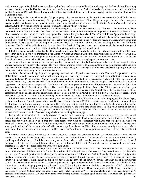with us: our troops in Saudi Arabia, our sanctions against Iraq, and our support of Israeli terrorism against the Palestinians. Everything we have done in the Middle East has been to serve Israel's interests against the Arabs. Switzerland's a free country. Why didn't they go after Switzerland? Charlie Reese, the syndicated columnist, said that there's an old Yiddish saying that there's nothing thicker than a Christian's head.

It's beginning to dawn on white people—I hope, anyway—that that we have no leadership. Take someone like Jared Taylor [editor of the newsletter, *American Renaissance].* First, practically nobody has ever heard of him. He gets to appear on radio talk shows every once in a while, and he got on the Donahue program when it was on cable, and very occasionally the *Washington Post* will give him a column. But the *Post* makes sure to line up six columnists to attack whatever he says.

Without an exception that I can think of, the white ruling class has no racial consciousness. They are a denatured bunch. Their main motivation is to preserve what they have. I think they have contempt for the average white person and have no problem making him a second-class citizen and discriminating against his children if it gets them ahead. The white politicians figure that the average white guy will never get off his couch and stop sucking on his beer long enough to make any trouble for them, and all they have to do to hold on to what they've got is keep the minorities calm with affirmative action and welfare and maybe even reparations some time in the future. If they thought it would keep them in power, they'd be fine with a million Mexicans flooding into Texas or California tomorrow. The few white politicians that do care about the flood of Hispanics across our borders would be hit with charges of racism—the cardinal sin of our time—if they tried to do anything, so they keep their mouths shut.

I think the Republicans have decided that Third World immigration has snowballed to the point where if they don't appeal to these people they're all going to vote Democrat. Peter Brimelow wrote an article in *National Review* magazine in 1995 or so saying that, with the big rise in the Third World population in this country, Republicans won't be able win a national election from 2008 on. So the Republicans have come up with a Hispanic strategy assuming whites will keep voting Republican no matter what.

And it is not just that minorities are coming into this country in droves, it's the kind of people they are. They're people with a welfare mentality, if you know what I mean. They will vote for whoever promises to take something away from someone else and give it to them. So the Republicans have gotten more and more into that game. Although it's to be seen whether it is going to work for them, because it is really tough to out-promise a Democrat.

As for the Democratic Party, they are also getting more and more dependent on minority votes. Take my Congressman here in Philadelphia. He is dependent on Third-World votes to stay in office. Do you think he is going to bring up the fact that America is becoming balkanized? Not a chance. And anyway, the Democratic party is the home of deraciated whites. Either they have no racial consciousness or they have been so effectively conditioned they are actually hostile to their own people. I really believe that there is a suppressed—or maybe not so suppressed—hostility toward their own people among a lot of Southern whites. There is an old saying that there is no liberal like a Southern liberal. They are the kings at being guilt-ridden. People like Clinton and Jimmie Carter just wring their hands over the history of the South. A lot of people on the left consider the United States illegitimate because of the dispossession of the Indians and the enslavement of the blacks. It's not just a Jewish position. So they are on a kind of parallel track with the Jews, who are—I don't know how many people know this—the biggest contributors to the Democratic Party.

I think we have to pay more attention to the way the media deals with race. We all know about the dragging death of James Byrd, a black man down in Texas, by some white guys. [In Jasper County, Texas in 1998, three white men beat and cut the throat of James Byrd, a black man, before chaining him by his ankles to a pick-up truck and dragging him to his death, decapitating him in the process.] It was played up big by the media, I suppose to illustrate all the white hate crimes that are going on. A pamphlet Taylor's group [The New Century Foundation] put out shows that ninety percent of interracial crime is black on white, not the other way around. You'd never know that from watching television and reading the newspaper.

Let me tell you about a horrible racially motivated crime that was covered up. [In 2000,] a little white boy, eight years old, named Kevin Shiflett was standing in the front yard of his grandmother's house and a black man, yelling racial slurs, cut his throat. Now, the media does not want us to know about that hate crime because they want us to integrate with blacks, that's the program. And if we know what's happening, like Kevin Shiflett's murder, and all the statistics around assaults and robberies and murders of whites every year by minorities, and the actual number of white women raped by blacks and Hispanics every year, we might not be so ready to integrate with minorities like we are supposed to. One reason that Sam Francis is such a gem is that he reports things like the Shiflett case.

It's hard to defend yourself when you don't see yourself as a people, and white people don't see themselves as a people. Even if we did, I'm not sure we have the guts to protect our race and our place on this earth. I'm the son of a combat veteran in World War II, and I'm proud of my heritage. But I live in a country where the term brave white man is an oxymoron. Anglo-Saxons like me founded this country, but the mighty have fallen, or at least we are falling and falling fast. We're under siege as a race and we need to be together more, and we need leadership and we need to take action.

One Sheaf, One Vine 16 Maybe 9/11 will wake us up some, I don't know. We've had this tar-baby alliance with Israel for a half-century and it has gotten us all of her enemies. All the Arabs want from us is to sell us oil like they do every other country. They would have no problem with us if we weren't so tied up with Israel and supporting its attacks against the Palestinians. Back in the early '90s, we picked a fight with Saddam Hussein, who had not attacked America or any Americans but who just happened to be Israel's big enemy, and then Bush junior gets in and starts doing it again at the bidding of people like Richard Perle and Paul Wolfowitz. Sobran in one of his newsletters said that in the period when the Senate was deciding whether to approve the senior Bush's war, the American Israel Public Affairs Committee [a Jewish lobbying group] was all over Capitol Hill pushing for that war. And the same people—AIPAC and the neoconservatives, almost all of them Jewish, like William Kristol, Norman Podhoretz, David Frum, and Jonah Goldberg—were banging the drums to go after Saddam again ten years later. Really, what happened on 9/11 was predictable, and if we keep doing Israel's business in the Middle East we'd better be prepared for something like that to happen again on our soil. The Arabs have proven they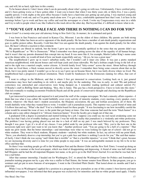can, and will, hit us hard, right here in this country.

To be honest about it, I don't know what I can do personally about what's going on with race. Unfortunately, I have cerebral palsy, and it's been getting worse as I have gotten older. I want you to know that when I was thirty years old, or thirty-five, I was a pretty capable person. I work nights at the post office because I really have a hard time just getting up and going. I was married young and basically it didn't work out, and so I'm pretty much alone now. I've got a nice, comfortable apartment here that I rent. I sit here in the mornings before I go to work and have my coffee and read the newspaper or a book. I write my Congressman every once in a while and I try to talk to people when I can, like I talked to this truck driver the other day. But beyond that, it's difficult to know what to do.

### **7 "YOU'VE GOT A PALE FACE AND THERE IS NOTHING I CAN DO FOR YOU"**

Steven Grant\* is a twenty-nine year old attorney living in New York City. In manner, he is animated and quick.

I was born in San Francisco and raised in Kansas City, Missouri. I am the oldest of three children. My parents are both strong Christians. My father has been an active opponent of the death penalty. He has been a member of anti-death penalty organizations and goes to public protest rallies. Recently, I told him that I too am against the death penalty. I am against the death penalty for the white race. He hasn't offered a reaction to that comment.

My parents are liberal in outlook, but the home I grew up in was essentially apolitical in the sense that my parents didn't say "We're Republicans" or "We're Democrats." What I remember was them getting across the idea of the equality of all human beings. And it wasn't that my parents drummed that concept into my head. It was more like if, for example, Martin Luther King's name came up at the dinner table, we would all kind of bow our heads respectfully and say, "Ah yes, he was a great man."

The neighborhood I grew up in wasn't suburban really, but I wouldn't call it inner city either. It was just a pretty standard American neighborhood, with decent houses and well-kept yards and clean sidewalks. We had a lesbian couple living to the left of us and to the right was a married couple, senior citizens. A Jewish family lived "kitty-corner" across the street. About halfway through the time we lived there, a black woman moved in directly across the street. I remember there being some concern about that on the block, but it was pretty muted. I wouldn't go so far as to say I grew up on Sesame Street, but it was fairly diverse where we lived. The neighborhood had a progressive political orientation. There would be fundraisers for the Democrats running for office, that sort of thing.

I went to college in the Midwest, and that is where I first got interested in conservatism. Looking back on it, just general contrariness may have had something to do with it, and maybe pity for the underdog. This was in early- to mid-'90s and political correctness was entrenched and conservatives were being dumped on. I remember reading [political and cultural satirist] P.J. O'Rourke's stuff in *Rolling Stone* and thinking, "Boy, this is funny. This guy has a fresh perspective. I have to look into this more." That led eventually to reading [economist Friedrich] Hayek and all the greats of conservative thought and checking out the Republican club on campus.

I got interested in journalism and majored in it and joined the staff of the campus newspaper. We had a minority affairs reporter—I think that was what it was called. He would faithfully cover every activity of minority students, every meeting, every speaker, every protest, whatever—the black men's student association, the Hispanic association, the gay and lesbian association, all of them. He would dutifully write what they wanted him to write. I wouldn't call it journalism exactly. This reporter was a good friend of mine and I'd elbow him and say, "What's the deal? You're a bulletin board for these people." It was fascinating to me how incredibly careful the paper would be around the issue of race, to the point that got funny at times. One time someone had used the term "black humor" in a column and a copy editor changed it to "African American humor." Even the faculty got a laugh out of that one.

I graduated with a degree in journalism and started looking for a job. I suppose you could say my real racial awakening came out of the fact that I had a lot of trouble finding a good one. I was hit with the reality that journalism is a virulently anti-white profession. The problem I was having getting placed was not due to a lack of skill on my part. I was much beloved by my professors. They thought I was great. I got A's in all of my classes. I was pulled aside by one professor who said, "Hey, you're the best one in the newsroom right now and I just want to let you know that." Another professor said, "You are going to be a hell of a reporter." That made me glow inside. But the better internships—and internships were what we were looking for right out of school—did not go to white students. They went to black students, Hispanic students—anybody but white students. In fact, my advisor told me point blank, "Steve, you absolutely deserve a top internship, but you've got a pale face and there is nothing I can do for you." She said that matterof-factly. I don't think she was saying "and I think that is terrible" or "that is a horrible injustice," or even "I think that's great, because we are increasing diversity and it is time for you white people to step aside." It was an unforgettable moment in my life to be in her office and hear that.

So there I was watching people go off to the *Washington Post* and the *Boston Globe* and the *New York Times.* I wound up doing an internship for a summer at the local newspaper, which was kind of disappointing and depressing. A friend of mine was half white and half Hispanic and he had the all-important Hispanic last name, so he got to go to the *Wall Street Journal.* It is not that he was bad, but I was a tad better.

After that summer internship, I headed out for Washington, D.C. to attend the Washington Center for Politics and Journalism, a journalist training program run by a guy who was a staffer to Paul Simon, the former senator from Illinois. In that program, you go to seminars and get put in news bureaus of newspapers. I went to the *Cleveland Plain Dealer.* That lasted about six months and I had a great time.

While I was in Washington I applied for a position in a program for new journalists at one of this country's best-known and most influential newspapers. I was informed that their program was exclusively for minorities and that no white people need apply. I finally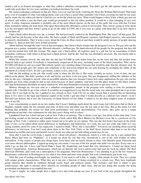landed a job at an Eastern newspaper as what they called a suburban correspondent. You didn't get the full reporter salary and you could only work there for two years and then you looked elsewhere for work.

My racial awakening continued on that job. Have you ever read the book, *Coloring the News* [by William McGowan]? That book gives a lot of examples of what I am talking about. Like you'd have a good white journalist who'd been covering city hall for ten years and he wants the city editor job that he'd had his eye on for the whole ten years. What would happen is they'd hire a black guy just out of school, and within a year the black guy would get promoted to the city editor position. It would be a clear trumping of race over merit. A white American journalist is probably one of the more liberal species on the face of the earth, but even with that I'd hear white journalists talking out loud about what upset them about the affirmative action in newsrooms. They weren't going to write about it in the newspaper and they weren't going to go on the radio or CNN, but if you were at a party with them they'd say how much it pissed them off.

I had a black editor directly over me, a woman. She had previously worked at the *Washington Post.* She wasn't all that great. She clearly had her job because of her skin color. We had a couple of black and Hispanic reporters, full-fledged reporters, who amounted to minority cheerleaders. They'd write a story about the Cinco de Mayo festival and there would be pretty pictures of people dancing and that's it. And yet here they were in their positions.

About halfway through the time I was at that newspaper, they hired a black woman into the program I was in. The guy who ran the program was a genius -journalist type, Harvard educated, a brilliant guy. He hand-selected all the people for the program, but they did an end run around him with this woman. The paper sent a black editor, all expenses paid, to a job fair for an association of black journalists conference with orders to bring back a black person. And he did. And she was absolutely atrocious. She was barely able to spell her own name.

When this woman arrived, she said that she had had \$15,000 in cash stolen from her on the train and that she needed some financial help to get started. Everybody is immediately suspicious of the story, including some of the black journalists. Who carries \$15,000 with them in cash on a train? But nobody openly says anything about it because that would be rude. But the whispers start. So she arrives and people gave her money and somebody in the newsroom helped her out with housing by arranging the sublet of the apartment of a friend of hers. So she's got money, a place to live, and a car.

And she did nothing on the job. She would come in when she felt like it. She wrote virtually no stories. A lot of time, she just talked on the phone. She didn't produce at all, and before you knew it she was gone. She just disappeared, stiffing the subletter on the rent, by the way. I thought to myself, what an incredible injustice that was, because I knew how many applications the guy who ran the program got from white people he had to turn down because of sheer numbers. And here was this place made for this black woman who had demonstrated absolutely no merit whatsoever, who then blindsided everybody and seem to get away with it.

Midway through my two-year stint as a suburban correspondent, people in the program were starting to look for permanent reporter jobs. I decided to go to law school. It would be an exaggeration to say that the racial issue was what prompted me to go to law school, but it was high on the list. I applied to law schools in New York City for no other reason than it seemed like an interesting place to live and it is the legal and financial capital of the world. I got into what I would describe as a mid-tier law school—it isn't Harvard Law School, but it isn't the University of Guam School of Law either. I settled in for the three toughest years of academic rigor of my life.

I was concentrating so much on my law studies that I wasn't thinking much about the racial issue, but I did notice that no black or Hispanic students made the law journals and none of them were anywhere near the top rank in the class. But at this point I'm still thinking that probably the reason for their poor performance was racial discrimination. You know, they grew up in a tough neighborhood and that's the explanation for why they aren't doing well in school.

I graduated from law school and got a job in New York as an attorney. This is about a year ago. Just about at that same time, I was just fooling around on the Internet and stumbled onto a book called *Why Race Matters* by Michael Levin. He is a professor at City College of New York. I ordered it online and it turned out to be quite an eye-opener. This was the first book I had read on the whole topic of race. Levin talked about racial differences in intelligence and disposition. As I read, my eyes got wider and wider as I was seeing scientific proof for some of my suspicions. I started to think, "Wow, this is incredible!" You never see anything about racial IQ differences on television. You don't read about them in the *New York Times* or the *Wall Street Journal* other than to see the idea denounced as terrible and racist and hateful. Levin's book was what got the ball rolling around race for me.

Soon after I read the Levin book, I signed on to—drum roll please!—Stormfront, which is a web site run by a guy named Don Black. Black had been on "Nightline," so I found out about his site that way. Stormfront is sort of the wild frontier of white nationalism. A big variety of people post things there, from those who are barely literate to those who liberally quote Nietzsche and even more obscure philosophers. I signed up using my own name. I was one of the few people who didn't use an alias. Every once in a while I go on that site. I have read David Duke's book, *My Awakening,* and found that very informative. I found out about Jared Taylor's organization, American Renaissance, which has an Internet site [www.amren.com] and read the book he edited, *The Real American Dilemma,* and I took out a subscription to his magazine, *American Renaissance.* I was planning to go to the last American Renaissance conference in Washington to see what it was about and meet some people, but work commitments got in the way.

After this year of reading and thought, my manifesto, if you want to call it that, is, simply, white people do exist. They are a group with unique genetic characteristics. What they are is not just a function of being socialized in a certain way. They have legitimate group interests that should be furthered through social, legal, and political means. This includes—and here is where it gets controversial—the right to advance those interests by excluding people of other races, and not just doing that socially but using government mechanisms to accomplish that end.

To put it simply, we white people have a right to live and work among our own. If you look at the way people throughout the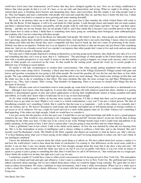world have lived since time immemorial, you'll notice that they have clumped together by race. Now we are being conditioned to believe that when people do that it is evil. It's base, so we are told, and chauvinistic and wrong. What we ought to be doing, so the current pitch goes, is breaking down barriers and integrating here, there, and everywhere. But this simply is not what people want to do. They feel happier and more comfortable with people who look and sound like they do, and they have a better life that way. I think living with your own kind is as natural as trees growing and water running downhill.

My work as an attorney takes me to the Bronx. I must say, my great fear is that someday the whole United States will come to look like the Bronx. If that happens, it will to be soul death for white people. I walk through streets and tunnels that are urine-soaked, and there's chicken bones everywhere and graffiti, and the people walk by with their gold chains and their "do-rags" and their music blaring ... and they are not my friends, they are not people I talk to, and I don't think that is because I am a terrible person or that I just don't know how to relate to them. I think there is something more basic going on, something more biological, more anthropological, that explains why I am not connecting with these people.

I don't think these people I see in the Bronx are inherently bad people. My belief is that, hey, when people are different and they don't get along, maybe there should be some distance between them. And maybe that is not such a bad thing. I mean, when two people are dating each other and they decide they aren't compatible and they need to break up, that isn't cause for protesting in the streets. Nobody sees that as an injustice. Nobody sees it as an injustice if a woman declines to date me because she just doesn't like something about me. And yet on a broader social level we consider it an injustice that white people don't want to live and work and eat and sleep and play with black people or Hispanic people.

Not only aren't white people disposed to looking at themselves as having group racial interests, they think the very idea of it is evil and something that they can't even go near, that it is "radioactive." The percentage of white people in the United States at the present time with a racialist perspective is very small. It seems to me that nothing is going to happen, on a large scale anyway, until a critical mass of white people are convinced on the issue. So that would be the starting point: spread the word, try to recruit people to a different way of looking at racial matters.

Or maybe it will take circumstances to awaken their consciousness—like white people getting inundated with minorities and everything that comes along with it. Yesterday, a black man burst into a bar in the Village [Greenwich Village] armed with guns and knives and gasoline screaming he was going to kill white people. He tossed the gasoline all over the bar and shot three or four white people. The cops subdued him before he could light the gasoline and do any more damage. They found some writings on him that said the white race has to die or something to that effect. The more incidents like that, the more average Joe and Mary Whiteperson are going to say, "Hey, wait a minute. That's wrong. That shouldn't be happening. There is no reason we should suffer things like this in the name of diversity."

Maybe it will take some sort of watershed event to wake people up, some kind of racial policy or action that is so detrimental to us that ... although I don't know what that might be. It seems that white people roll with whatever punch hits them, whether it is getting belittled or discriminated against in jobs and school applications or having their neighborhoods ruined or being assaulted and raped and robbed, so I really don't know what it would take for us to say we have had enough.

As for what would happen if whites do become more racially conscious, I'd like to think that there can be peaceful legal and political ways to get what we need. Might it ever come to a violent confrontation, a race war? I am not a violent person. The idea of bloodletting certainly isn't something I relish. But it could be that the issue is so important ... well, in this culture we certainly don't rule out warfare, per se. We haven't hesitated to send troops and warships and fighter jets to kill human beings in foreign countries to get access to oil or whatever. For me, a fight for racial survival is a more noble purpose than oil. So while violence isn't something I find appealing, if the stakes are high enough, I think we would have to consider it.

I was just sworn into the practice of law this past year. I would like to use my legal knowledge and skills to serve a grand purpose related to the race. That would be very satisfying to me. Litigating "tripped and fell" lawsuits doesn't excite me, but the idea of doing something for the white race does. I'd like race to be a focus in my work. Perhaps besides legal work I could write and publish or do public speaking. At this point at least, I don't have a master plan. I am just going to step out there and see where things go.

I have a girlfriend I met in law school. I talk to her about racial matters. At first she was shocked by what she was hearing from me. She is in the stratosphere in terms of intelligence and is always willing to embrace a bold idea, and so she listened. She and I recently read Pat Buchanan's book, *The Death of the West,* together and shared our reactions to what he had to say. She's told me, "I've been thinking about what you've been saying on the subject of race and I'm trying desperately to refute you, but I can't think of any intelligent comeback."

I know she definitely has a concern about this whole racial thing as it affects us. We have talked about how serious a matter it is and how the world doesn't want to hear about the kinds of conclusions I'm coming to. Our differences on the racial issue could be a divider, I can see that. I care very deeply about her, but I feel strongly enough about this issue that if she drew a line and said, "All right, you can have these beliefs about the white race and so on, but if you ever go public with them, if you ever write an article or speak to a group or join a group or something like that, then I would have to call it off between us," that would put me in a tough spot. I don't think she would ever do that, but right now I can't say for sure.

I sometimes wonder if I would have come to white racial consciousness but for having moved to New York City. The atmosphere here can be so brutal and loud and ugly and offensive. I don't want to continue to live in New York City. My girlfriend and I haven't talked concretely about marriage, but we have talked about places where we would be happy living someday. We agree that we don't want an urban environment. We want a suburban or rural environment. And I want a white environment. When I go to a white area it is like a cloud lifts. There is such a drastic difference. I'm struck with how peaceful and clean and nice it is compared to where I am living now.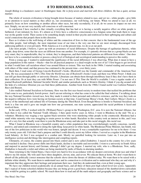### **8 TO RHODESIA AND BACK**

Joseph Bishop is a bookstore owner in Washington State. He is forty-seven and married with three children. He has a quiet, serious *manner.*

The whole of western civilization is being brought down because of matters related to race, and yet we—white people—give little or no attention to racial matters as they affect us, our circumstance, our well-being, our future. When we attend to race at all, we primarily focus on how something or another affects other races, but only secondarily, if at all, do we assess its impact on our own race. Simply, we are not very racially self-conscious or self-concerned.

A conclusion I have reached is that virtually everything that has had or is having a racially negative effect on white people is furthered, if not initiated, by Jews. It's almost as if Jews have a collective consciousness in a Jungian sense that leads them to wage war on the gentile world. There seems to be something deeply rooted in their psyche and reinforced in their upbringing and culture and social connections that propels them in this direction.

Race as it relates to the well-being of whites and the connection of Jews to that concern: that is the fundamental issue of the age for white people. And tellingly, the most important issue of our time is the very one that we are most strongly discouraged from addressing publicly or even privately. With America as it is at the present time, we do so at our peril.

Like most people, I believe, I grew up with an awareness of racial differences. Despite the barrage of egalitarian rhetoric, white people, deep down, sense that the races are different from one another. For example, it's patently obvious that as a group blacks are not very smart, they're unpredictable, they're violent, they're dangerous, and their behavioral patterns are different from whites'. One does not have to be a committed racialist or possess a deep level of biological and sociological understanding to perceive this reality.

From a young age, I wanted to understand the significance of the racial differences I was observing. What does it mean to have a large population in this nation —blacks—that for all practical purposes is a dead weight on the rest of us? I first began to get involved in what I would later call racialism when I was around fifteen or sixteen. This was back in the 1960s. I started reading and associating with others of like mind, and that process has continued to the present time—over thirty years.

Back then, I read some of George Lincoln Rockwell's books. [Rockwell was the founder and commander of the American Nazi Party. He was assassinated in 1967.] *This Time the World* was one of Rockwell's books I read, and there was *White Power.* I think you can still get them through public or university libraries. Librarians can obtain them through interlibrary loan if they don't have them in their collection. Or at least they can with *White Power.* I'm not sure if *This Time the World* is available. I was a regular reader of a journal Rockwell published, *National Socialist World,* and similar periodicals such as *Western Destiny.* I think if you dig around with the help of a reference librarian you can find these publications. Another book from the 1960s I found useful was Carleton Putnam's *Race and Reason.*

I also studied National Socialism in Germany. Here was the first race-based society in modern times that tackled the problems that I had come to see, particularly Jewish power. And I am not referring to what has come to be called the final solution. I'm talking about the way National Socialists viewed race, how they made it central to their personal and collective existence, and the way they took on the negative influence Jews were having on German society at that time. I read George Mosse's book, *Nazi Culture.* Mosse's book is a survey of the intellectual and cultural life of Germany during the Third Reich. Even though Mosse is hostile to National Socialism, the book is a fine one and it gave me insight into how one government, one state system, appreciated the racial problems it faced and resolved them.

In the early 1970s, I worked with Dr. [William] Pierce's group in the Washington, D.C. area. It is now the National Alliance, but back then it was called the National Youth Alliance. I then spent twelve years in Africa. I went to Rhodesia in the mid-'70s as a volunteer. Rhodesia was waging a war against black terrorists who were murdering white people in the countryside. Rhodesia had a small white minority who was struggling to retain power in white hands. Racialists in this country took an interest in this, and I was one of a very few that actually went there to join the Rhodesian army and take part in this racial struggle, this racial war.

What I found in Rhodesia was a beautiful country and a white population that was overwhelmingly racially conscious, racially positive, and united and committed to doing the right thing: keep power in white hands. The Rhodesian Prime Minister, Ian Smith, was one of the few politicians in this world who was honest, upright and decent. It was a remarkable experience for me to be there—I was only twenty years old. I felt that I had a purpose and that I could directly assist my fellow whites. I served as a regular in the Rhodesian Land Infantry. At first I was assigned to a combat unit. Mostly we patrolled looking for terrorists. Later on, I was put into an intelligence section and did things like interrogation and compiling reports.

Ultimately, of course, the country passed into black control and is now called Zimbabwe. I stayed in the country for a few years and watched it decline. Once power shifts into black hands, decline is inevitable and irreversible. I went to a university in South Africa and majored in ancient history and German, although I didn't get my degree. I married my wife, who is a Rhodesian. Now, sadly, Zimbabwe is basically a toilet and whites are being murdered by mobs of blacks in alarming numbers.

Since returning to the United States, I have tried very hard to live in accordance with my deepest convictions about race and what I believe my life means. My wife and I have three daughters, eleven, nine, and seven. We educate them at home. We don't want them to absorb all the politically correct nonsense that the schools shove down the throats of children today. We want them to be raised with a definite white identity. We want them to understand race and its connection to civilization and to understand who they are and why it's important that they appreciate their heritage and perpetuate their race. And they do understand that, even at their young ages.

We have our children tested academically on an annual basis, and all three of them post high school level test scores. Apparently that's typical of home-schooled children because they are being given a good basic education instead of the dumbed-down curriculum they would be getting in a public school. We teach them how to read and all the math subjects and geography and basic science and so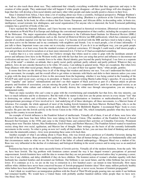on. And we also teach them about race. They understand that virtually everything worthwhile that they appreciate and enjoy is the creation of white people. They understand what will happen if white people disappear—all these good things will also disappear. We hope that they will develop a firm racial identity and marry other white people and make racially positive choices in their lives.

Since I returned from Africa, I have done a lot of reading about race from a scientific, biological perspective. Philippe Rushton's book, *Race, Evolution and Behavior,* has been a particularly important reading. [Rushton is a professor at the University of Western Ontario in Canada. In his book, he offers evidence that East Asians, Europeans, and Africans differ, in descending order, in brain size, intelligence, sexual restraint, law abidingness, and social organization.] For anyone who is interested, the Scott-Townsend publishing company has a good list of books of this sort.

I have rejoined the National Alliance, and I have become very interested in historical revisionism. [Historical revisionists focus their attention on World War II in Europe and challenge the conventional interpretation of that conflict, including the accepted account of the Holocaust. The major organization reflecting this orientation is the California-based Institute for Historical Review (IHR).] There are various revisionist publications such as the *Journal of Historical Review* [an IHR publication], which has contained a great amount of excellent material over the last twenty-five years. I've become involved with the IHR and have tried to help it along. I've also been active on the Internet and in my community with neighbors and friends. I try to reach people, a lot of times informally—I just talk to them. Important issues can come out in everyday conversations. If you do it in an intelligent way, you can guide people toward racialism, or at least away from the standard avenues of political correctness. If I thought I could reach a half dozen people a year and get them involved in racialism or at least more interested in it, I'd feel as if I had accomplished something.

I realize that it is a very sensitive topic, but I believe strongly that whites need to come to grips with the inordinate amount of power and influence Jews have in the Western world, and with the fact that Jews are using that power and influence to deconstruct our civilization and our race. I don't consider Jews to be white. Racial identity goes beyond the purely biological. I see Jews as a separate "race of the mind": a mindset, an attitude, that is partly racial, partly spiritual, partly cultural, and partly political. Whatever they say publicly, Jews do not consider themselves to be white. Of course, I am talking in general terms. There are exceptions. But when Jews forge alliances with other racial groups, blacks or Hispanics, say, it is part of their war against "them," white people, gentiles.

It seems that Jews are the driving force in all of the things that weaken and destroy our race. You can't understand the black civil rights movement, for example, and the overall effort to get whites to intermix with blacks and defer to their interests unless you come to grips with the deep involvement of Jews in this movement from the beginning, whether it was being central in the founding of the NAACP and, until recent years, serving as its president, or Stanley Levinson writing Martin Luther King's speeches. If you accept the Jews' "equality" and "justice" rationalizations and don't see their support of black activism as part of a Marxist attack on private property and freedom of association, you are missing the point. If you don't comprehend Jews' push for an integrated society as an attempt to dilute white culture and solidarity and to literally destroy the white race through miscegenation, you are missing a fundamental reality.

There are many racialists who can't come to grips with the overwhelming and remarkable fact that Jews, this tiny minority, can have so much influence and be so destructive. But the truth of the matter is that Jews are the prime movers in every insane "ism" that is destroying our culture and civilization and race. Whether it is egalitarianism or feminism or multiculturalism, you'll find a disproportionate percentage of Jews involved in it. And underlying all of these ideologies, all these movements, is a Marxist frame of reference. For example, the whole approach of most of the leading Jewish feminists has been Marxist. Richard Pipes, who is on the faculty at Harvard, has written a very good book called *Russia Under the Bolshevik Regime.* I recommend Pipes' book to every racialist. He goes into the Jewish activity in the Soviet Union in the 1920s and '30s, which remarkably parallels what they have been doing in this country in recent decades.

An example of Jewish influence is the Frankfort School of intellectuals. Virtually all of them, if not all of them, were Jews who followed the same basic line their fellow Jews were taking in the Soviet Union. [The members of the Frankfort School of Social Research fled Germany in the 1930s and came to the United States and centered their activities at Columbia University. Prominent among them were Theodor Adorno, Max Horkheimer, Erich Fromm, and Herbert Marcuse.] The Frankfurt School wanted to transform society along their own racial, egalitarian, and Marxist line of thought. Their writings are the basis of all the currently fashionable movements in the society. So what is going on now isn't really all that modern. In fact, you can trace this kind of thinking and activity back into the nineteenth century—Jews were promoting these same evils back then.

Another example of what I am talking about is Franz Boas, who was Jewish and a professor at Columbia University during the first half of the last century. Boas promoted the egalitarian, and false, idea that all human beings, all races, are fundamentally alike and that circumstances make us what we are. He was kind of the father of cultural anthropology—Margaret Mead was a student of his. Boas was very influential in the decline of evolutionary and biological thinking in the social sciences and in using race as an analytical category.

Feminism has been one of the most successful forms of Jewish activity. Virtually all of the modern feminists, from the early '60s on, have been Jewish. The big problem with feminism centers around the way it has shaped women's perceptions of personal empowerment. Jewish feminists have sold the idea to women that they are not personally empowered unless they're pursuing a career, have few if any children, and delay childbirth if they do have children. The feminist notion of woman's absolute equality with their husbands has smashed families and devastated our birthrate. Our birthrate is our racial future, and the white birthrate has never been lower. If it continues as it is, we are on the way to extinction in a few hundred years—an instant in time historically. How many million white children have never been conceived because of Jewish-propagated feminist ideas? How many million perfectly healthy white babies have been aborted? How many marriages have been smashed up, or never occur, because of feminist propaganda?

One Sheaf, One Vine 21 I don't think we would have an immigration problem with the flood of Third World people pouring into our midst if our birthrate had remained healthy. We would have a United States with probably another hundred million white people than we have now.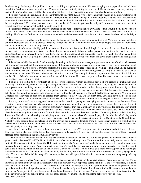Fundamentally, the immigration problem is other races filling a population vacuum. We have an aging white population, and all these nonwhites flooding into America and other Western nations are basically filling the labor pool. Racialists have been very willing to take on the immigration issue, but they have failed to see that it is a consequence of another, more fundamental, problem.

I've been reading Michael Levin's book *Feminism and Freedom.* Levin, who is Jewish himself, makes no mention whatsoever of the disproportionate number of Jews involved in feminism. I had an e-mail exchange with him about this. I said to him, "How can you write a book about feminism and not mention all the Jews involved in this evil thing that has done so much destruction to our race?" Levin's reply was, "Well, what you say is true, but I really didn't want to get into that subject." He doesn't want to get into that subject, and that is understandable. But I want to get into it.

Feminism is probably the biggest evil ever imposed on our race. Yet few racialists are willing to talk about it. Some have confided to me, "We shouldn't talk about feminism because we need to enlist more women and we don't want to upset them." So they say nothing. That's insane. Serious racialists—and that includes racialist women—have to face all of our issues head on and be forthright about it.

Homosexuality is another terrible burden on our birthrate, and Jews have been very supportive of it. Very few homosexuals have children. Homosexuality is like a disease spreading through the society. How many millions of white people have been destroyed this way or, another way to put it, racially neutralized?

As for multiculturalism, the big push in schools at all levels, it is just more Jewish inspired craziness. Each race should immerse themselves in its own culture and history. I make it clear to my children that there are other people, other cultures, but that they need to understand their own culture, their own race, first. They need to understand and appreciate who they are and where they came from and where their people are going, because that is their identity and that is what roots them and gives them dignity and strength and purpose.

It is understandable that we don't acknowledge the reality of the Jewish problem—getting smeared as an anti-Semite and so on but if we don't comprehend the Jewish underpinnings of the racial problems we face, how can we ever possibly hope to resolve them? I'm not saying we have to shout it from the rooftops, but it is something we need to face and be willing to talk about among ourselves and with others. The Jewish issue is not something we should be hiding or misrepresenting because doing that seems to be a clever way to advance our cause. We need to be honest and upfront about it. That's why I admire an organization like the National Alliance and Dr. Pierce. When he was alive, he was absolutely candid about Jews. He never compromised on this issue. He never retreated from this reality. I respected him for that.

I think it is possible to be forthright about the Jewish question without alienating people if we discuss it intelligently and rationally. Unfortunately, some of the people calling themselves racialists deal with this in a very kooky way, and that deters a lot of white people from involving themselves with racialism. Besides the whole mindset of Jews being innocent victims, the big problem trying to talk about Jews is that people see you pushing a nutty conspiracy theory and write you off. But the fact is that some Jewish activity is what could be called a conspiracy. Jews do get together at meetings of the Anti-Defamation League and World Jewish Congress and elsewhere to plan how to enforce their agendas on the world. On the other hand, you have Jews in the media and business and the arts and politics that seem to operate as individuals but nevertheless promote the same agendas as the organized Jews.

Recently, someone I respect suggested to me that, as Jews see it, crippling or destroying whites is a matter of self-defense. They have the suspicion and fear that whites are either anti-Semitic now or will become so at some point. He may have a point. It might explain why Jews work so hard to deconstruct Christianity, because they see Christianity as a unifying force for gentiles. They might believe that the Christian church, particularly the Catholic Church, has been used to combat them in the past, and that it could be an obstacle to achieving their agenda in the future. It does seem that no matter how far organized Christianity bends in their direction, Jews are still dead set on debunking and crippling it. All these court cases about Christmas displays in the schools and all; they aren't really about the separation of church and state. It is Jewish intellectuals and activists attempting to de-Christianize the United States. Virtually every sadistic killer on television and the movies has a crucifix dangling from his neck. Every priest is a weakling or a pervert. Don't think that it is coincidence. Have you ever seen a sadistic killer in one of those shows with a Star of David around his neck? No, and you probably never will.

And how do white liberals come to their own mindset on these issues? To a large extent, it comes back to the influence of Jews. How many liberals have sat at the feet of Jewish professors in the academy? How many of them have absorbed the politically correct message of the mass media that is dominated by Jews?

The Institute for Historical Review is an organization that understands the need to study Jewish power. Its focus for the last twenty years or so has been on World War II and the Holocaust. One could ask why is the Holocaust so important. Why do we need to focus on that? The reason is that, for Jews, the Holocaust legitimizes the "anti-Semitism" sledgehammer they use to pound anyone who opposes them into submission. They have it set up in people's mind that any criticism of Jews or any opposition to what they want equals anti-Semitism, which in turn equals the Holocaust. You don't like the level of aid we give Israel or our support of its campaigns against the Palestinians? You are an anti-Semite and, by implication, insensitive to the events of the Holocaust or actually sympathetic to it. "You are an anti-Semite" is a very effective weapon because white people hit with that immediately start retreating and pandering to their accusers.

One Sheaf, One Vine 22 The Holocaust-grounded "anti-Semite" epithet has been a terrific enabler for the Jewish agenda. That's one reason why it's so important to examine the events of the Holocaust and find out what really happened during that time. If the Holocaust story is riddled with lies and distortions—and it is—it helps remove this bludgeon, this weapon, and, it is hoped, will encourage white people to stand up to these various Jewish agendas. Also, we need to understand exactly what kind of Jewish activities led Germans to turn on them in those years. Why specifically was there so much dislike and hatred of Jews in Germany? It wasn't just some sort of irrational impulse as the Jews would have us believe. If we look into that question, we might come to understand better how Jews operate.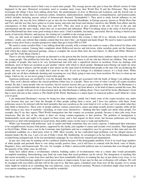Historical revisionists need to find a way to reach more people. The average person only gets to hear the official version of what happened in the past. Historical revisionists need to examine more issues than World War II and the Holocaust. They should investigate the things I have been talking about here: the predominance of Jews in Marxism and Leninism, and the Jewish role in promoting all the trendy ideas in American culture, feminism, multiculturalism, multiracialism, cosmopolitanism, and homosexuality (which includes declaring anyone critical of homosexuals diseased, "homophobic"). They need to study Jewish influence in our foreign policy: the way the Jews lobbied to get us into the two fratricidal bloodbaths, in Europe anyway, known as World Wars One and Two, and the way they have gotten us to pour money and arms into Israel and interject ourselves into Middle East affairs and the consequences of that, including the Iraq wars and 9/11. They also need to give attention to the role of Jews in the arts and entertainment and the mass media, where they are so prevalent and influential. What I'm talking about is the study of Jewish power. Kevin MacDonald has done some good writing in these areas. I find it readable, fascinating, and useful. But his writing is buried in the stacks of university libraries, and anyway, his writing isn't readable to the average person.

Also, our side needs to exploit the possibilities of the Internet before this avenue is shut off to us. Already in Europe, racialist websites—really, any website that contains content that Jews don't like—are banned and made illegal. We need to make it possible for people to hear news from a racialist perspective rather than get it from CBS or CNN.

We need to create racialist films. I was talking about this recently with a woman who wants to create a film festival for films with racially positive content. [Among their complaints about Hollywood movies and television, white racialists point out the frequency with which they depict interracial pairings, citing as examples the recent films *Save the Last Dance, O, Black and White, Monster's Ball,* and *The Truth About Charlie.]*

There is also the challenge to provide an alternative to the poison that the Jewish controlled music industry injects into the veins of our young people. The problem has been that, for the most part, skinhead music is all our side has offered our children. That music is the product of people who tend to be very dysfunctional and with only a superficial interest in racialism. From my dealings with skinheads, most of them see racialism as just another vehicle with which to shock people. Skinhead noise blaring out repels far more white people than it attracts, and the people it does attract are the same kind of dysfunctional people as the ones who are producing the music, the very sort of people we really don't need on our side. If you see footage of a skinhead concert, it's a freak show. White people who see all these skinheads shouting and screaming are very likely going to turn away from racialism. We have to clean up our image. Until we do, we are never going to reach white people.

American politicians are terrified by even the thought that they might get associated with the kinds of things I am talking about here. They won't directly address the crucial problems whites face as a people. There are a few of what I would call crypto-racialists around. By that, I mean people who are racialists, but for tactical reasons they go to great lengths to hide that fact. Pat Buchanan is a crypto-racialist. He understands the issue of race, but he doesn't want to be up front about it, so he kind of dances around the issue. But nonetheless, people with any level of discernment pick up what Buchanan is talking about. I have read all his books [Buchanan's book that is most relevant in this context is *The Death of the West].* Buchanan is a major figure in American politics, and I think he's done a lot of good.

I can understand Buchanan's reasons for being less than completely candid, but I think some of the crypto-racialists stay under cover because they just can't bear the thought of other people calling them a racist, and I have less patience with them. Some politicians seem to be infected with the herd mentality that sees racialism as the worst kind of evil, so they can't even admit what they truly think to themselves. These sorts of people embrace various conservative causes and adopt racially positive agendas while all the while trying to stay clear of anybody—including, in some cases, themselves— thinking that they might care about white people. For example, they'll say they oppose Third World immigration into this country on economic grounds, because it takes jobs away from Americans. But the fact of the matter is there are strong counter-arguments to that position. The problem of immigration is fundamentally racial and ought to be argued on those terms, and is best argued on those terms, but because politicians can't bring themselves to deal with immigration in racial terms, their public stance on the issue is weak and ineffective.

While I get frustrated with politicians' lack of candor and think sometimes they are overly cautious, I understand their reluctance to be straightforward, because both parties, supported by the media, join together to smear and exclude overt racialists. That happened to David Duke. [Duke won a seat in the Louisiana state legislature and ran a competitive race for governor in that state and was the presidential candidate on a third party ticket in 1988. More recently, he has confronted legal problems over his alleged misuse of donated funds.] By the way, I got a lot out of Duke's book, *My Awakening.* As circumspect as he has been, Patrick Buchanan hasn't avoided being castigated and, in his last presidential campaign, he was effectively smeared and marginalized.

In any case, time may be running out for a political solution because of the demographic problem. Even if we reach large numbers of white people and persuade them to vote along racially positive lines, you'd still have to contend with the block votes of blacks, Hispanics, Jews, and homosexuals. We saw, for example, in Duke's unsuccessful political runs in Louisiana that even though he got the majority of the white votes, he still lost.

Some have talked about a revolutionary solution, building cadres of revolutionaries who at a future date would presumably accomplish something. Biotechnology may hold out some hope that racial problems can be solved. The denigration of anything like that seems invariably to come from Jews and they have been remarkably effective in winning the day on just about every issue, so we may never see biotechnology applied to racial preservation or improvement. It just may be that our civilization will collapse. We will be swamped with non-whites and that will be the end of us. But then again, a hundred years from now all this insanity we're seeing today might be looked on as something that was ludicrous, crazy, a historical anomaly. Western civilization might clean itself up or even spawn something new and better. That would be wonderful.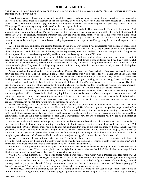### **9 BLACK METAL**

Nadine Taylor, a native Texan, is twenty-three and a senior at the University of Texas in Austin. She comes across as personally *grounded and positive in outlook.*

Since I was a teenager, I have always been into metal, the music. I've always liked the sound of it and everything else. I especially like black metal. Black metal is a segment of the underground, as we call it, where the bands are more obscure and a little more artistic. They have a big heathen and pagan element, and they are concerned with expressing old European ways, like a lot of old Viking ways. There is a pretty strong anti-Judeo-Christian message in black metal.

I really like the idea that the guys in the bands are very big and strong and tall. They look capable. They look like warriors. And whatever band you are talking about, Danzig or whatever, the front man is very outspoken. I am really drawn to that because that means they aren't just passively consuming what they see. They are trying to apply some sort of critical eye to the world. I like seeing men who are actually self-reliant and not kind of wimpy and ready to just cower in front of someone. I think being against homosexuality as they are is good because homosexuality is promoted as this experimental happy thing that we are all supposed to go through.

Also, I like the slant on history and cultural traditions in the music. Way before I was comfortable with the idea of race, I liked hearing about all these noble and great things that the English or the Germans did. I was very inspired by the idea of greatness, historical greatness, that individuals, actual figures, can rise to greatness, produce art and lead nations and things like that. I appreciate all the emphasis in black metal on responsibility and being noble and courageous and stuff like that.

I was always a pretty quiet girl growing up and I didn't express a lot of things, and so when I saw these guys in bands and that they had a sort of righteous anger, I thought there was really something to that. It was a good outlet for me. I was finally real grateful to see white kids be very defiant, to stand up for themselves and be very combative. I thought how great that was. White kids don't have much of a place. They don't have things they can turn to. It is starting to be that they are passive and just want do the hip-hop thing. I really liked that a band was standing against that.

When I was about thirteen I started listening to one band, Pantera. They are from Texas, actually. They have managed to become a really big band without MTV or radio airplay. I had a couple of best friends who were sisters. They were a year apart in age. They both got into the aggression of the music. They also thought the lead singer of the band, Philip, was so cool. They thought he was the best looking guy and whatever. I think that is because he was strong and he was good looking, he was. Actually, I met him. I had a big crush on his best friend, and that's how I got to be friends with Phil himself. Both Phil and his friend are very good people. They have their flaws, of course. Like a lot of musicians, they live kind of chaotic lives and have a lot of trouble and whatnot. But they are really good people, warm and affectionate, and, yeah, I liked hanging out with them. This is when I was sixteen and seventeen.

At sixteen I started reading [the late-nineteenth century German philosopher Friedrich] Nietzsche, and he became my favorite author and probably still is. Nietszsche has had a very big influence on me—the concept of overcoming, the concept that power and being very aggressive in war and everything is not an evil thing, or if it is an evil thing, then evil is actually of highest value. Nietzsche's book *Thus Spoke Zarathustra* is so neat because every time you go back to it there are more and more layers to it. You can uncover more. I'm still not done figuring out all the things he throws in.

When I was younger, it was the standard American deal of watching a lot of TV. I was really hooked on TV talk shows. The talk shows sent a kind of flippant message about race. Here's this Mexican gal. Her Mexican boyfriend just got her pregnant and isn't it funny and interesting, like the drama that they go through. Then they would show just regular white people acting trashy too. What I took from that was everyone is pretty much going through the same struggle. At that time, it wasn't occurring to me that there might be constitutional traits and things that differentiate people a lot. I was thinking, how can we be different when we are all going through the drama of love and all this back-and-forth relationship stuff?

As for my racial consciousness in those years, it would be the deal where at school all the kids who were into metal were white, so there was that. I was feeling all these great things from the music, but if someone had turned around and said, "Are you a racist?" I would have said, "Oh, no!" But it's true I had a disdain for rap, and when they tried to mix rock and metal with rap, I thought that was just terrible. I thought that was the most lame thing in the world. And if I was someplace where I didn't know people, like in a mall or something, I would go toward people that looked like me. But basically I was pretty much in line with all the other kids in that I thought anyone who was kind of down on blacks or whatever was just a stodgy old conservative and they're not cool.

Actually, my mom would say stuff to me. She was, like, "I can talk to black people, I can have a civil conversation with them, but I wouldn't want them in my house and I wouldn't want to be friends with them and I certainly wouldn't want to date one," and I remember I would just berate her for that. I thought she was closed-minded and whatnot.

But really I was fairly neutral to whatever—you know, it didn't concern me much. When me and my girlfriend Carrie were sitting around, she confessed to me, "You know, maybe it's not the right thing to say or whatever, but I don't like the Mexican gangs. I don't like the black gangs." I'm like, "Yeah, I hear you." It was no big deal to me.

When I was about eighteen, there was a girl named Casey I was friends with. Casey was a troubled girl. Her mom was an alcoholic— on the wagon and off the wagon—and her dad was in prison for something or another. Casey had gotten into a big fight and was kicked out of her house, and so me and my mom gave her a place to stay kind of the fly, you know. My mom being a normal and very cautious type person, she said, "Casey cannot stay here more than three or four nights, because we can't house a young girl." I said, "I understand." And so I was trying to figure out what this girl Casey was going to do next.

The next day, I went up to a community college—I was taking an extra class there my last year of high school—'cause I had to turn in something. I brought Casey along. We were trying to figure out where she was going to go. She had nowhere to go. I told her,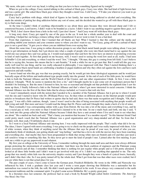"My mom, who puts a roof over my head, is telling me that you have to have something figured out by tonight."

When we got to the college, Casey started talking to this carload of black guys. Casey was white. She had kind of light brown hair and was a petite girl. She asked these black guys where they thought a motel was. I told Casey, "I'll take you wherever you want to go and drop you off."

Casey had a problem with drugs, which kind of figures in her family, her mom being addicted to alcohol and everything. She made the mistake of putting her drug addiction before any sort of sense, and she decided she wanted to go off with these black guys to try to find some drugs.

At the time I couldn't think of anything objectionable to say about these guys because they were dressed sharp and I felt so constricted because, Lord knows, I didn't want to be branded as a racist. I didn't want to say anything negative against these guys, so I said, "Well, I don't know them from a hole in the wall, I just don't know." And Casey went off with these black guys.

A long story short, Casey got raped by one of the guys in the car. It took her a whole another year to deal with the court and everything. I helped her out being a witness telling what I remembered. It never went to trial. It was a bad deal.

From that experience, it wasn't that I learned that all blacks are bad. What I learned is that this culture and the media and everything inhibit your instincts and your common sense to where you don't want to say, "No Casey, going off with a carload of black guys is not a good idea." It gets you to where you are inhibited from even saying that.

About this same time, I was going to online discussion groups to see what black metal bands people were talking about. I was just there to get information on bands, but I got drawn into what a couple of people who were into black metal had to say against the one world-one race project they said was going on. I would read arguments that said how the Jews have an interest in promoting everyone to kind of melt together. At first that grated on me because, well, I wasn't used to seeing the word Jew used at all, really. I had seen *Schindler's List* and everything, so when I read the word "Jew," I thought, "Oh man, this guy is coming from left field. I can't believe that he is saying this, because this means that he is anti-Semitic." It took a while for me to get past that. But I could tell this guy was really well read for one thing, and he was really educated in philosophy. I was impressed with that. Then I started thinking there's a reason that these black metal bands are celebrating a heathen or pagan tradition and why they often rail against the Jews and have such aggression and talk warlike.

I never found out who this guy was that was posting exactly, but he would get into these ideological arguments and he would just basically argue all the leftists and multicultural-type people totally into the ground. At the end of each of his little posts, he would have a link to both the National Alliance and the World Church of the Creator, and one other organization I think. At first, I was a little skeptical. I thought, "Well, he seems to mention the Jews a lot," and I thought maybe he is just some sort of reactionary person that I shouldn't be listening to. But the more I listened to him, he was so reasoned and thought out that probably the eightieth time I saw his name up there, I finally followed a link to the National Alliance and that's when I got more interested in racial concerns. I think the National Alliance was the first of the three links that he always included, so I went to that web site first.

I wasn't immediately struck with the notion that I needed to be a member of the National Alliance, but it got me to where I would visit the site and I started to know who Dr. [William] Pierce was. So then when on different places on the Internet people would post articles or broadcasts that Dr Pierce had written or quotes that he had said, there was that name recognition and I thought, "Oh, that's that guy." I was still a little cautious, though, 'cause I wasn't used to the idea of being associated with anything that people would call right wing and stuff. But more and more I would read the things that Dr. Pierce said and I thought they made a heck of a lot of sense.

Then eventually I was corresponding online with a guy from Detroit. He was into a lot of the music and everything I was, and he was a racial guy as well, even more so than I would have claimed to be at the time. In our e-mails back and forth, one day I said, "I may look into this group called the National Alliance because I think they have a unit around where I live and I want to see what they are about." He e-mailed me back and said, "That's funny you mention that because I'm a member myself." So this Internet friend I had could pretty much vouch that the National Alliance was a good organization and very sharp-minded and all that. So from that I decided, well, then yeah, I'll definitely check it out.

So I went to a local National Alliance unit meeting here. I was really impressed with the people. That's really what did it for me. The ideas, I knew I agreed with most everything. I was going to try to check out the people and I was really impressed with them. A lot of white women, when they think of anything racial like the Alliance that says be proud of your race, be proud of who you are, immediately think of skinheads, just getting drunk and "sieg heiling," and that has a lot to do with the movies they have been watching and everything else. And maybe they have been programmed to think that strong white men are brutish and evil and they just need a soft sensitive wimp or something like that. So they never get to meet the kind of people I met. I joined after the first meeting. It just took me a while to get my paperwork in and whatnot.

My first year at college at the University of Texas, I remember walking through the main mall area and there were always different groups protesting the mistreatment of somebody or another. And there was the black coalition of engineers and the Pakistani young nurses association and all that. I remember thinking that there is nothing for just regular white people and so I felt pretty alienated. I looked at all these little booths and I didn't want to get involved with any of it. I didn't see anything that appealed to me. The only group that was mostly white kids was the university skeptics society and I just thought they were a bunch of cynical losers, basically, and I didn't like their vibe. So I was pretty turned off by the whole deal. What I got from that was that other races were exalted, but if you are white there is not that actual place for you.

The past couple of years, I have come to know the German poet, Friedrich Hölderlin. He wrote in the 1800s and Nietzsche was influenced by him. I took a graduate class last year and I wrote a term paper showing that Hölderlin was a nationalist but his nationalism was rooted in the folk, the *volk.* He didn't touch upon the political in his work. It was always very connected to the earth and ancient traditions and the communal spirit. I'm glad I came across Hölderlin. He's a pretty great poet.

One Sheaf, One Vine 25 In a literature class last semester, the professor had us read a book by Ronald Wright called *Stolen Continents: The Americas*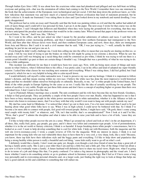*Through Indian Eyes Since 1492.* It was about how the avaricious white man had plundered and pillaged and was hell-bent on killing everyone and getting rich—that was the orientation all whites had coming to the New World. I remember there was one statement in the book that the achievements of the Europeans were technological and not social. I felt that deep down the professor knew, as I did, how ridiculous that statement was and how much of a hatred toward Western civilization that kind of statement promoted, but he didn't criticize it. It made me frustrated. I was sitting there in class and I just looked down in my notebook and started doodling. I was pretty disappointed.

The professor had us write an essay and I basically said that the book was painting whites as evil and that the author had added all sorts of nasty things and I could tell it was personal for him. I got an A on the paper. The next essay I wrote for that course was on the Founding Fathers. I said I thought that Jefferson and Hamilton when they were laying the groundwork for everything, that they may not have anticipated the peculiar racial admixture that would be in the country later. When I turned that paper in the professor wrote on it in red letters, "See me." And I was, like, "Oh boy."

So I went to his office, and he just asked me what I meant by the peculiar admixtures of cultures and races. I said that with increasing pluralism comes increasing problems, and then I mentioned how first northern Europeans had immigrated to the New World, and then after that African slaves were freed, and then southern Europeans came, and now, these days, there are immigrants from Asia and Mexico. But I said it in such a civil manner that he said, "OK, I was just trying to..."—well, actually he didn't say anything; he just let me out and gave me an A.

Even though he didn't really challenge me, I took him calling me into the office to mean that you maybe are skating on thin ice, so to speak. I felt he was kind of trying to put the brakes on what he felt might be going in too extreme a direction. When he saw the second essay and I still was bringing up a racial thing that could be construed as pro-white, I think he was trying to tell me there is a certain point I shouldn't go past or there are certain things I shouldn't say. I thought that was a possibility of what he was trying to do. It was a little ambiguous.

This incident was different for me than it would have been two years ago. Now, with me being more aware of things and more secure in what I believe, when I followed him to his office, I was pretty calm. I sat in his office and kind of adopted my super friendly exterior. I asked him what classes he was teaching next semester and everything. When I was sitting there, I did feel grilled, but I had expected it, which for me is very helpful in being able to calm myself down.

I would definitely call myself a white nationalist now. I want to preserve my race and my heritage. I think it is important to follow nature's dictums, and that means staying within my own race. I believe the white race has done the most impressive world historical things and that we shouldn't dilute ourselves biologically or culturally. Basically, to me, "us" is white people in the United States, but I think of the white people in Europe fighting for the cause as us too. I really like the idea of actually sacrificing for my people. The notion of sacrifice is very noble. People are just these little atoms and don't have a concept of anything higher or greater than their own individual lives. I don't want to live like that.

I go to [National] Alliance meetings once a month. The unit coordinator and his wife have become like my best friends. Goodness, it helps to find good people. They are probably a couple of the best people I have ever met. Really, what has happened to me is that I have been so busy meeting neat people in the white power movement and in white nationalism, whether it is the Alliance or kids on the street who listen to resistance music, that I'm so busy with that why would I even want to hang out with people outside my race?

My dad has some land in Oklahoma. I've noticed that when I go out to there now, I'm a lot more interested than I used to be just hearing about what good white folks have to say. When I was in high school, I could never be bothered with that. So I think I've become a lot more able to connect with people, feel good will toward people. Before, I might have said, "Oh gosh, there's some young rural couple with twenty kids!" or whatever, and, "Oh, isn't that terrible, that's so unsophisticated!" Now I look at it and I'm like, "Wow, that's great!" I admire the discipline and what it takes to be able to raise your kids and to have a lot of kids, 'cause they are pretty neat.

I'd like to help white people recover the arts in a sense. When I go around my school and look at who's in the art department, it's all these, like, really frail, pasty, gay people, gay guys, and it's these very leftist and communist-type people. A lot of postmodernism, whether it is in the art world or literary criticism, I think is so harmful. It keeps breaking down white people's consciousness, but it is looked at as cool. I want to help develop something that is cool for white kids. I help out with Resistance, both the magazine and the web site [www.resistance.com]. I wrote a couple reviews of CDs for the magazine. With my interest in music, I think it is real important for the young kids who are real vulnerable these days to have there be a very cool, a very sharp, look, like a style? Because, you know, these rap kids have their ridiculous style and the baggy pants and everything. I'd like to help show and popularize that being a strong healthy white person is really a beautiful and cool thing, 'cause kids really want to go off on what's cool.

I definitely would like a family. I don't want one quite yet, though, even though a real close friend of mine has done a great job of having a family pretty early. She is just a year older than I am and has a little boy and a little girl. One of the things I find out about a guy now is if he eventually wants a family. A future husband will definitely have to share my racial views. Right now, what I'm going to do in terms of a job and things like that, I'm pretty confused. I've taken a big interest in photography and the visual arts. I don't know whether I want to do something artistic or go to graduate school in literature or psychology. But I feel as if I have come a long way personally and in overcoming personal obstacles and, on a larger scale, just finding the right way to look at things that helps me have a good outlook on life and contribute to something that will outlast me.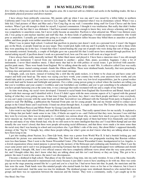### **10 I WAS WILLING TO DIE**

Eric Owens is thirty-two and lives in the Los Angeles area. He is married with no children and works in the building trades. He has a *formidable physical presence and direct manner.*

I have always been politically conscious. My parents split up when I was one and I was raised by a leftist father in northern California until I was five and then we moved to Los Angeles. My father remarried when I was in elementary school. When I was a little kid, I had pictures of Marx and Mao and a Viet Cong flag on my wall. I remember doing stuff for Cesar Chavez and the farm workers. When I got old enough to think for myself, I rejected communism. I thought it was totalitarian. But really that didn't bother me as much as the fact that it was dishonest. I had been around communists enough to know they were always scheming and lying. I was sympathetic to anarchism some, but I never really became an anarchist. Pacifism is what attracted me. When I was thirteen years old, I was going to anti-nuclear marches and stuff like that. At those kinds of gatherings, I would encounter communists who would pose as anarchists. I actually got conned into going to a couple of communist rallies because they billed them as anarchist or pacifist rallies, and those people were neither anarchists nor pacifists.

When I was in junior high school, I realized that pacifism in practice just doesn't work on a personal level. I wasn't the biggest guy on the block, so people found me an easy target. They would pick fights with me and I'd actually be trying to talk to them while they were punching me in the face. I found that when I started beating the crap out of people who were doing that sort of thing, peace was instantly restored. Ironically, a couple of fistfights gave me a peaceful life that I could never have attained through pacifism. So I started asking myself, if pacifism doesn't work on a personal level, how can I be sure it will work on a larger level?

I have always been really musically inclined. My father liked music and played it. I have been a musician since I was old enough to pick up an instrument. I moved from one instrument to another— guitar, flute, piano, accordion, bagpipes. I play a lot of instruments. I never liked mindless music. I liked music that had to do with politics or social issues. I got involved with anarchopacifist punk music. There were bands from England. We're talking about the early- to mid-'80s. A collective called Crass was really big. Then Oi! music started coming around—bands like 4Skins and Blitz. These were skinhead bands, basically, that were preaching a working class and patriotic and violent ethos, a very street-smart message.

I thought, yeah, you know, instead of looking like a slob like the punk rockers, it is better to be clean-cut and have some selfrespect and hold your head up. The music was saying you have worth, your country has worth, your ancestors have worth, and you should take pride in yourself. And you have certain responsibilities. They were very low-level responsibilities, just be a proud worker and work hard and be honest and forthright and patriotic. For a white young person going to school where the teachers are telling you that you're worthless and your country's worthless and your forefathers are worthless and you've got something to be ashamed of, and you have people harassing you at the same time, it was a message that really resonated with me and a couple of my friends.

As time went along, my racial views developed. I listened to racial bands from England like Screwdriver and Brutal Attack and I agreed with their message and I identified with it. Even if I didn't agree with the more extreme aspects of it, I agreed with the general feeling of what they were getting across. At that time I thought, you know, hey, there's nice black people and there's nice everybody, so you can't paint everyone with the same brush and all that. Screwdriver was affiliated with the National Front party in England, so I started to read *The Bulldog,* a publication the National Front puts out for young people. Me and my friends started to contact racial groups in the United States and I read books I found out about through them. A couple of them were *The Turner Diaries* [by Andrew Macdonald (William Pierce)] and *White Power* by George Lincoln Rockwell.

I also went to my high school library and read *Mein Kampf* cover to cover. That really opened doors for me racially. It explained a lot of things that just hadn't made sense to me. Like, if blacks are equal to us—and I believed that they were, because I was told that they were by everyone, there was no disputing it—I certainly was curious about why, no matter how much you gave them, they could never measure up. And they sure didn't seem very intelligent, and even though many of them had better lives financially and socially than me and many of my white friends had, why do we still seem to be more intelligent than they are? I read *Mein Kampf* and saw that actually the case wasn't closed, that there were people advocating racial differences, and that those views made a lot more sense than the racial story that I was hearing in school and everywhere else. I got Hitler's side of the story, like about Hitler's supposed dastardly strategy of the "big lie." I thought, hey, either these people telling me what's gone on don't know what they are talking about or they have been lying to me.

I got into reading about Nazism. In a *Time-Life* book, there was a poster from World War II. It had a brutish looking guy and underneath his picture was *untermensch*—subhuman. The *Time-Life* book said this was propaganda teaching that Russian soldiers were less than human. Then I went to the Simon Wiesenthal Center. [The Simon Wiesenthal Center, headquartered in Los Angeles, is a Jewish organization whose stated purpose is preserving the memory of the Holocaust and combating anti-Semitism.] There I saw the exact same poster and it said it was propaganda convincing Germans that the mentally ill and handicapped were subhuman and should be put to death. I thought, OK, here's two official sources who have completely different views about what the very same poster was for, and I thought either they don't know what they are talking about and this isn't real history or they are lying. This got to be a pattern: the more I went to the source, the more I saw discrepancies.

I became a skinhead in high school. That phase of my life lasted a long time, into my early twenties. It was a folk scene, basically. I had never been much attracted to mainstream rock music because it just didn't seem to have anything to do with me. Here was some guy up on the stage prancing around like he's a god and you're a loyal fan. I had never been into that. In punk, the musicians and the fans were the same. Punk bands were like-minded people who started bands for their views or for fun or for whatever, but it least it wasn't profit-motivated. And the same was true for skinheads. The skinhead groups were skinheads themselves who started their own groups and there was no separation between the musician and the listener. They were a community, really. I got caught up in the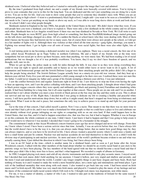skinhead scene. I believed what they believed and so I started to outwardly project the image that I saw and admired.

By the time I graduated from high school, me and a couple of my friends were basically covered with tattoos. You're trying to prove to your comrades that you're in this for the long haul. You are dedicated and this isn't just something you are doing for a week or two. You are in this for life. And you want to show some people that you're someone they shouldn't mess with. When you are an adolescent going to high school—I went to a predominately black high school, I might add—you want to be seen as a formidable foe if that needs to be. I never got anything on my hands or above my neck, so I was able to wear long sleeve shirts at work and look cleancut. At school I didn't care what people thought.

Skinheads started in England in the late 1960s, but people in the United States in the mid-' 80s didn't know what they were. If you told people here you were a skinhead, you'd have to explain it. There were only a few skinheads in the whole country and we all knew each other. Skinheads here in Los Angeles would know if there was one lone skinhead in Nevada or New York. We'd all write to each other. People thought we were ROTC guys from high school or something, but then the Nazi/KKK/skinhead image started going out on the talk shows and things changed on a dime. All of a sudden the blacks at school knew who they were dealing with. Most of them didn't harass me because they had known me for so many years, but of course there were always new people at the school, so I did get in a fair number of fights over it. Although there was violence at that school all the time anyway—gang fights, shootings, you name it. Fighting was normal there. I got in fights over all sorts of issues. There were racial fights, but there were also other fights, lots of fights.

A real turning point in me becoming a dedicated racialist was when I was eighteen. There was a racial concert, the first one of its kind, called Aryan Woodstock up in Napa Valley in northern California. Me and a bunch of my friends who at the time were sympathetic but not racial per se drove up there because, more than anything, we were music fans. We had been reading a lot of racial publications, but we thought a lot of it was probably overblown. You know, they'd say we don't have freedom of speech, and we thought, well, sure we do.

When we got up there, the police made us walk for miles through the hills. It was clear to us they were doing everything they could to stop our right to speech and assembly and to harass us so we would either leave or never want to do it again. A lot of communists and homosexual groups and the Jewish Defense League were there attacking people and the police didn't lift a finger to help the people being attacked. The Jewish Defense League actually beat on a ninety-six-year-old war veteran. And they beat up a thirteen-year-old kid. Forty-five-year-old men pummeled a child young enough to be their own son. I realized these were not men like my father. I could never imagine my father and a group of his friends stomping a thirteen-year-old boy. I was just infuriated.

I saw the conflict between Jews and regular Americans right in front of me. I saw them try to stop me from even having the right to hear an opposing view, and I saw the police colluding with them, and I saw them attacking people. I thought about when I had gone to black power reggae concerts where they were openly and militantly pro-black and praising [Louis] Farrakhan and slandering white people. It had been building for a long time, but it all came together at that concert. These people are on one side and I'm on another. I realized that it isn't about whether you meet a nice Jewish or black person at the bus stop one day and they smile at you. This is about our survival and our way of life. Right then, I decided that I was going to dedicate my life to creating a healthy and peaceful white society. I still have pacifist motivations deep down, but as odd as it might sound, that hasn't stopped me from being revolutionary and pro-violent. What I want in the end is peace, but sometimes the only way to achieve peace is to stand up and fight for your personal space.

Up to the time of that concert, I had called myself a patriot. Now I was a racist. That meant to me that there was no more time to waste and that I had a job to do, and it was to make a homeland for white people so that we could have a place to live and celebrate our own identity without rival groups infringing on our rights or competing with us on our own land. If that could happen here in the United States, that was fine, and if it had to happen somewhere else, that was fine too, but it had to happen. Whether it was in Europe or on this continent, the whole continent or one state, I didn't know. I just knew it had to happen and that I was going to help create it and I would move to wherever I was needed. I decided that I wasn't going to be a bystander in the struggle.

The commitment I made at that Aryan Woodstock concert fourteen years ago has never changed and never will change. From then on, I knew where I stood. I have been a serious activist since that time. Actually, I was an activist before that, too. I have always felt that the world doesn't have to be the way it is, that you can always make things better, that no matter how good things may be, they can always improve, and so you have to be involved in life. I have always wanted a peaceful society where I could raise a family and have a small home and just be content. Nuclear war and nuclear accidents do not lend themselves to that life, so as a child I took the obvious step of participating in anti-nuclear activities. As more and more of the world's problems became evident to me and what was actually causing them, I just shifted the direction in which I was firing, but I have always been firing.

I was in an Oi! band at the time—which is another name for a skinhead band—and as soon as I got home after the Aryan Woodstock concert, I talked with the other members of the band about whether we should be an overtly racial band or just stick to the patriotic songs we have been playing. The key members of the band agreed with me that we should become a racial band and that if the other guys didn't like it they were free to leave, and that's what happened. We recorded a couple of albums in Germany.

In 1990, I stopped playing rock music and sold all my electric instruments and decided to only play acoustic music. I stayed racial, but I decided that rock music didn't hold anything for me anymore. I found it hollow, just very stupid and shallow and juvenile, and the more I read and understood about the world, I couldn't any longer simplify things to just basic slogans and basic beats. Rock had nothing of beauty in it and I wanted to make the world a more beautiful place, not a more ugly and minimalistic and brutal place. I got sick of the lunkhead mentality that went along with rock music. I also wanted to get back into my roots. I had been raised on Irish music and I'm Irish myself. My father was very much into Irish music and played it. I wanted to play the music of my heritage and not the music of the commercial multi-racial system which I felt rock to be. I thought rock music was degenerate, non-white music.

One Sheaf, One Vine 28 For me, it was a matter of identity, a matter of who I am. I wanted to take part in the traditions of Ireland for the same reason I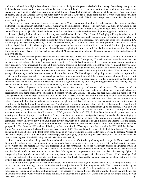couldn't stand to sit in a high school class and hear a teacher denigrate the people who built this country. Even though many of the Irish bands were leftist and the music wasn't really racial, it was still hundreds of years old and traditional, and it was my heritage no matter who was singing or what they were singing about. I always loved Irish music and I always loved the dancing. They were things of beauty, and in Los Angeles there is not much beauty of any kind. Although I should point out that it wasn't just traditional Irish music I liked. I have always been a fan of traditional American music as well. Like I have always been a fan of Doc Watson and American flatpickers.

There's a very strong nationalist message in Irish music. When people are struggling for independence, they pick up on their traditional roots and magnify nationalist themes. With my dad being a leftist of Irish decent, there was IRA music in my house all the time. This was during a time when things were really tense in Northern Ireland: Bobby Sands, the hunger strike in H-Block, and all that stuff was going on. [In 1981, Sands and nine other IRA members starved themselves to death protesting prison conditions.]

I started playing Irish music and then I put my own racial ballads in there. Then I started developing a liking for other types of European folk music as well, and so I put Scottish and Welsh tunes and other things into the mix. Now, I consider myself a Celtic folk musician. I have recorded a couple of folk albums that have a militant pro-white message. I have played in some coffee houses in LA. I used to play the Aryan Fests, basically outdoor skinhead concerts, but I found that I wasn't reaching people in the way that I wanted to. I had hoped that I could imbue people with a deeper sense of their race and their traditions, but I found that I was just providing music for people to drink alcohol to and so I basically stopped playing in those places. I felt like I was wasting my time. Now, just about the only time I play is if a group such as the National Alliance is having a gathering. Those are people who can understand what I am trying to do.

Letting go of the skinhead persona started when the music changed. It was time for me to move on, but I still felt a lot of loyalty to it. It had done a lot for me as far as giving me a strong white identity when I was young. The skinhead movement is better than the media portrays it as being, but it isn't as good as it needs to be. The skinhead identity could be a stepping-stone towards creating a really productive white individual, but instead it puts window dressing on dysfunctional cosmopolitan white youth and doesn't go any further than that. It advocates marring your body. It advocates what is brutish and primitive. It advocates alcoholism to the extreme. It advocates prison instead of college. It advocates the working class as opposed to becoming the ruling class. When I see all of the young kids dropping out of school and tattooing their arms like they are Tahitian villagers, and getting themselves thrown in prison for a fistfight with a nigger instead of going to college and becoming a hundred thousand dollar a year attorney who could win us court battles and help fund media to reach our people, I'm really disappointed. The racial leaders who have capitalized on the skinhead movement have failed our youth by not steering them in the right direction. By glorifying the thuggishness of this identity they are leading these kids into a life of alcoholism, street violence, prison, and a dead-end jobs.

We need educated people in the white nationalist movement— attorneys and doctors and engineers. The downside of not producing or attracting these kinds of people is that there are too few in the legal system to defend our rights and defend our organizations from being sacked by people like the Southern Poverty Law Center. [The SPLC has been successful in a number of civil suits against white racialist organizations and individuals.] And it means there has been too little funding for alternative media, so we have not been able to reach people with our message as effectively as we might. And skinheads don't become revolutionary cadre either. If you are looking for the militant revolutionaries, people who will lay it all out on the line and create violence in the street, it hasn't been skinheads. Richard Baumhammer wasn't a skinhead. He was an attorney who graduated at the top of his class. Buford Furrow was an engineer. Benjamin Smith had a long history of excellent scholastic achievement up to his episode. If we go back further than that, we have Robert Jay Mathews, who was not a hooligan or a rock fan or a drunk. He was a family man. Kathy Ainsworth was a schoolteacher. Sam Bowers was a USC graduate. [In May of 2000, Richard Baumhammer, thirty-four, went on a shooting and blaze-setting spree in southwestern Pennsylvania targeting Jews and immigrants, leaving five dead and a sixth clinging to life. In August of 1999 in Los Angeles, Buford Furrow Jr., thirty-eight, killed a Hispanic postal worker and wounded five at a Jewish community center. In July of 1999, Benjamin Smith, twenty-one, went on a shooting rampage in Illinois and Indiana targeting blacks, Jews, and Asians, killing two and wounding nine before killing himself. Robert Mathews formed an insurrectionary white separatist group called The Order in 1983 and was killed a year later near Seattle, Washington in a shootout with the FBI. With her husband, Kathy Ainsworth bombed a Jackson, Mississippi synagogue in 1967. She was killed by a hail of FBI bullets in June of 1968 as she attempted to place a bomb on the front porch of the home of an Anti-Defamation League leader. Sam Bowers, the Imperial Wizard of the White Knights of the Ku Klux Klan of Mississippi, was found guilty of authorizing the 1964 murder of Michael Schwerner, the head of the Congress of Racial Equality office in Meridian, Mississippi.]

I went to a community college and then a university in southern California, graduating with a major in French and Italian literature. In the beginning, I precipitated in some extremely heated racial discussions, and one time a fistfight broke out in the class. People weren't used to hearing the opinions I expressed in an open forum and some of the blacks went ballistic and punched whites in the class because they had agreed with me. A friend of mine who was also racial wrote a paper saying the Holocaust was overblown and the Jewish professor told him to leave the class. My degree was important to me, and I realized that starting fights and antagonizing Jewish professors who held the key to my future wasn't the way to get it. So I became a "low-profiler" in college. And anyway, by the time I got to the university level there were very few blacks because they couldn't keep up, so when I got into a higher level of education I no longer had to deal with them.

One Sheaf, One Vine 29 Another key turning point for me was after college, just a couple of years ago, happened when I was traveling in Europe. My record company was throwing a concert in Sweden and I went just because I had nothing better to do. The concert was raided by the police and a riot ensued and the police tear-gassed us and beat up a lot of people. The long and short of it is that me and the other Americans got locked up in solitary confinement and I was angered by it and so I refused to eat or drink. I figured that maybe if I die in a cell it would incite white youth to be more militant, to be angry and to fight harder. On the fifth day of my hunger strike, they let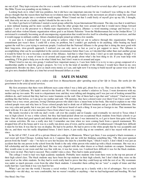me out of jail. They kept everyone else for over a month. I couldn't hold down any solid food for several days after I got out and it felt like Mike Tyson was pounding on my kidneys.

Looking back on it, what I did was pointless, but it did have one important outcome for me: I realized I was willing to die. I had always thought that the reason there had been no revolution must be that the leaders in the movement are afraid to make the sacrifices that leading their people into a revolution would require. When I found out that I could freely of myself give up my life, I thought, well, then why not me as a leader, maybe I should be the one to do it.

So when I got back to California I started a racial group called the Aryan International Movement. The idea was that it would have a more militant leaning and be more socially active than the other groups that were around and that it would move things forward quicker. I saw it as the precursor to a Hamas-type organization in America. [Hamas—a word meaning courage and bravery—is a radical and often violent Islamic organization whose goal is an Islamic Palestine "from the Mediterranean Sea to the Jordan River."] I envisioned it eventually becoming an all-encompassing organization that would involve itself in schooling and social services, and that it would engage in militant combat. About a hundred people joined up within a few months.

A year into it, I realized that I was not going to achieve what I had set out to achieve through this organization. People's commitment just wasn't there. I could fill a room, no problem, but I couldn't get anybody to do anything. After beating my head against the wall for a year trying to motivate people, I realized that the National Alliance is the group that is doing the most good with their long-term, slow-growth approach. I realized you can only move as fast as you've got support to move. The Alliance is accomplishing what can be accomplished in the current circumstance better than I can, so I decided that rather than start another group it would be better for me to become a member of the Alliance. And that is what I have done. I don't go to unit meetings, though. I've always felt that it is a waste of time to sit around and argue with people about what's the best thing to do. If you want help with something, I'll be glad to help you or do what I think best, but I don't want to sit around and argue.

When I tried to run my own group, I realized how important money is. I saw how futile it is to try to run a group composed of a membership unable to fund the group's projects. So I try to be the kind of member of the Alliance I would have liked in my own organization. Besides my dues, I give as much extra money as I can, and right now I'm trying to build myself up career-wise so that I can give not a hundred dollars at a time but several thousand dollars at a time.

### **11 SAFE IN MAINE**

### Carolyn Davies\* is fifty-three and a widow and lives in Massachusetts after spending most of her life in Texas. She works for the *government in the area of social services.*

My first awareness that there were different races came when I was a little girl, about five or six. This was in the mid-1950s. We were living in California. We hadn't moved to the South yet. We visited my mother's relatives in Texas. I went downtown with my mother and my two aunts. We went to a department store and they were talking and shopping and I was just sort of looking around like children do, and I noticed that they had two water fountains on the wall. One of them had a sign that said "colored." I had never seen anything like that before, so I ran up to my mother and said, "Oh mommy, they have colored water over there! Can I have some?" My mother was a very sweet, precious, loving Christian person who didn't have a mean bone in her body. She tried to explain to me what colored people were and why here in Texas colored people had to drink out of different fountains and go to different bathrooms. She was very calm and gentle, but it was just sort of like I had never heard of such a thing. It was just so foreign to me. That moment has stuck with me. It is one of a few memories I have from when I was very young.

My family traveled a lot with my dad's work—all over the country and in Canada—and eventually we moved to Texas when I was in high school. It was a white school, but they had hand-picked about ten exceptional black students from black schools to go there. One of them had good speech and debate talent and those were areas I was interested in, so I got to know him quite well from our various activities. He was a really nice kid. I remember one time when we were coming back from a speech tournament. We dropped him off at his house and it was in a really run-down area of town, and he seemed sort of embarrassed. I thought how difficult it must be for him. It was like he was on display. He had to be perfect. He had to prove to the white people that he was acceptable and like us, and there was his really dilapidated house. I don't know, it just really dug at me somehow, and it has stayed with me ever since.

In the fall of 1967, I went off to a private liberal arts college in Minnesota. When I got there, I was assigned a black roommate, a real sweet girl from Chicago. Looking back on it, I suppose they put me with her thinking something like, "Oh, this poor ignorant person from the South"—me—"we have to save her because she must be a horrible bigot," which I wasn't. I don't think it was just an accident that the one person in the school from the South is the only white person who ended up with a black roommate. She was on a full scholarship and she studied really hard. She was very cliquish with the other dozen or so black students on campus. Sometimes they would come to our room and that was fine with me, it was her room, too. I realized how difficult it was for the black students. They were on trial. They had to succeed. They couldn't miss a class. They had to make good grades.

The college I went to had very high academic standards. Probably most students who went there were in the top ten percent of their high school class. The black students may have been the top students in their high schools, but I don't think they were on the same level as the white students. So they had to work really hard to prove that they could keep up with the rest of us. My roommate was under so much pressure, even from the other black students. I remember them calling her an "oreo" a couple of times and that really hurt her. I just think it was very hard for her.

When I got out into the world, I became a social worker. I had grown up in a family with a lot of advantages. Not so much financially—we did okay, we were comfortable, but we weren't wealthy or anything —but we had background and breeding. We had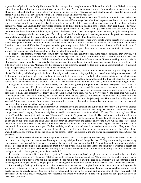a great deal of pride in our family history, our British heritage. I was taught that as a Christian I should have a Christ-like serving nature. I wanted to do for others who didn't have the benefits I did. As a social worker, I worked for a number of years with all types of people— abused children, senior citizens in nursing homes, severely handicapped and developmentally disabled people, and mentally ill in a children's psychiatric hospital. This was in Texas. I had moved back there.

My clients were from all different backgrounds: black and Hispanic and lower class white. Frankly, over time I started to become disillusioned with them. I saw that they had different desires and different ways than what I had expected and hoped. A lot of them, I came to realize, didn't really want to solve their problems and really didn't have much of any impulse to do anything to better themselves. More than anything, they just wanted someone to do things for them and take care of them so they didn't have to have any responsibility for their lives. I saw that the basic caliber of people really differs, that it isn't just that some have situations that hold them back and keep them down. Like everybody else, I had been brainwashed in college to think that everybody is basically equal. Your parents mortgage the farm to send you off to college to learn from these people, and so you assume the professors know what they are talking about and that they are telling you the truth, which I eventually found out they weren't.

When I was growing up, there were people who were from abused homes. There were people whose parents were alcoholics. There were people whose fathers or mothers had abandoned them. But they had exposure in school and in church and with their friends to what a normal life is like. That gave them the opportunity to see, "I don't have to stay in this kind of a life, I can do better." Years ago, people wanted to try to do better, and parents—no matter how poor they were, no matter how bad their situation was worked hard to give their children something a little bit better than what they had.

So many of the parents I worked with seemed perfectly happy for their children to stay in the horrible situations they were in. We have fourth and fifth generation welfare families now. We have parents who don't care if their children do even worse in life than they did. That, to me, is the problem. And I think that there's a lot of racial and ethnic influence in that. Whites are taking on the standards of minorities. I don't think that is exclusively what is going on—the way the welfare system operates contributes to the problem —but I do believe it is a big factor. Although, for that matter, to a big extent the current welfare system is an accommodation to black and Hispanic approaches to life, so there is a racial dimension there too.

In Texas, where I lived until recently when I moved to Massachusetts, I had a lot of experience working with Hispanics and blacks. Particularly with black people, in their philosophy or value system, being a jerk is great. You know, being rude and crude and foul-mouthed and putting people down and being irresponsible, the way you see it in the black recording artists and the athletic stars now—that's what I mean. Blacks take pride in being that way. There's something admirable about it to them. It's like they no longer have to meet our standards, white standards. They can do whatever they want and if we don't like it, there's something wrong with us.

I'm going to sound like I am a hundred I know, but when I was growing up, people had manners. Everyone was expected to behave in a certain way. People who didn't were looked down upon or ostracized. It wasn't acceptable to be crude or rude or obnoxious or foul-mouthed. I think it started with Muhammad Ali. At least that's the first person I can ever remember behaving like that, like so many kids especially act today, and I'm talking about white kids. Ali was a very bright young black man who had a tremendous physical talent in his boxing, but he was also a smart-mouthed jackass. We accepted that and even loved him for it and thought it was fabulous that he did that. There were black celebrities at that time like [singers] Lena Horne and Leslie Uggams, and you had Arthur Ashe in tennis, for example. They were all very much ladies and gentlemen. But Muhammad Ali came around and made it cool to be smart-mouthed and smart-alecky.

So I do see the influence of race and different value systems helping to diminish our culture and our country. I'll give you another example of the kind of thing I am talking about. The apartment complex where I was living had been all white, but then the composition started changing. Some new neighbors moved in next to me who were from Mexico. I'd say "Good morning" and "How are you?" and they would just smile and say "Thank you"—they didn't speak much English. They had almost no furniture. It was a family of a husband and wife and three kids, but there were ten or twelve other Mexican people over there all the time. They would all go out and sit out on the stairs and drink Cokes and eat candy and throw trash and garbage all over the place. When I tried to get in and out, I could barely do it because they were sitting there. The kids would stare in my windows. Their daughter and her boyfriend would hang out in their apartment when she got off school and they would scream and have fights and curse at each other. Many times, they would do it right outside my window. One time, I thought the young lady might be being abused or something and I asked her if she was all right, did she want me to call the police or her parents. "No!" she shouted at me and started back screaming obscenities at her boyfriend.

Black people also started moving into the apartment complex and it started getting to where they would come through at two or three in the morning with their car stereos blasting and having wild parties and things like that. Yelling and screaming and swearing and carrying on was normal for them. And I guess they have a right to live that way, but I don't want them underneath me or next door to me. I got tired of listening to it and picking up trash. I just don't want to live like that. I started to think that if I wanted a decent life I would have to run away from these people. And why should I have to do that? Why can't they live up to my standards instead of me having to leave in order to get away from their standards?

I remember saying to a friend one time, "I just can't stand being around black people who are so crude and vulgar and foulmouthed and overbearing and obnoxious." Before she could get on her high horse and say, "How dare you say such a thing?" I said, "But I don't like white people who are like that either." So for me it is not so much the race or the ethnicity, it's the behavior. I don't like being around vulgar, low-class people, period. I like being around upper class people or nice, normal, decent middle class people.

One Sheaf, One Vine 31 I was making a fairly good living and was able to move from the apartment complex I was in, but there are a lot of Anglo people who aren't as fortunate as I am and they are still back there living with all that. For example, there were some neighbors who were just lovely people, an elderly couple. She was in her seventies and he was in his eighties and he was very ill. They were really not physically able to move and, secondly, it is very expensive and where would they go? I tried to help them out, but I just wasn't able to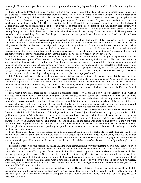do enough. They were trapped there, so they have to put up with what is going on. It is just awful for them because they had no options.

Back in the early 1990s, I did some volunteer work at a bookstore. It had a lot of things about our founding fathers, what their goals and desires were, the kind of country they wanted to make, and so on, and I spent a lot of time reading those books. I began to be very proud of what they had done and in the fact that my ancestors were part of that. I began to get an even greater pride in my European heritage. Someone in my family did extensive genealogy and found out that one of my ancestors was the first civilian ever knighted in England back in the 1300s. He had saved the life of King Richard during the peasants' revolt and he was Lord Mayor of London twice. That was so exciting for me to discover. I was just so proud of the people from whom I came and my heritage that, even though that was hundreds of years ago, I felt like it was still in my genes somehow. As my relative delved more deeply, I found out that my family on both sides had been very active in the colonial movement in this country. One of my ancestors had been governor of one of the colonies and things like that. So I began to have a tremendous pride in who I was and where I had come from. I was probably around forty at that point.

I am very patriotic and love America and have great respect for the Founding Fathers, who felt that they had a great gift from God. I think our country was founded on wonderful principles. But now our country's founders are being portrayed as monsters instead of being revered for the abilities and knowledge and courage and strength they had. I believe America was intended to be a white European country. That doesn't mean we don't want anyone here from other races. I don't want to go back to exclusion and segregation. But I do want people here who love this country and are proud of it, and who want to be Americans and who don't constantly put this country down and tell us how horrible everybody was and how horrible everybody is now.

I read a lot of things I got from this bookstore about the Frankfurt School kind of theory that is trying to change this country. The Frankfurt School was a group of Jewish scholars in Germany during Hitler's time and they fled to America. Their ideas are the root of what we call political correctness. The Frankfurt School intellectuals are the ones who started all this about racism and sexism and homophobia and, you know, it's not acceptable to be proud of who you are if you're white and it's not acceptable to feel critical of any groups that do not behave like normal people. I became conscious that what is going on in society isn't just an accident. Somebody is trying to change America. They are trying to bring about what they would call a utopian world, and that involves destroying the white race, or compromising it, weakening it, taking away its power, its place in things, you know?

I don't believe the leaders of the politically correct movements have any real desire to help anyone—the civil rights movement, the various homosexual rights movements, and the women's movement. By the way, what a crock feminism is. Where did all the men go? I think the people at the top of those movements are doing what they are doing for power and control and to destroy what we have so that they can have the kind of world they want. I don't think they really care about the poor and the masses and the minorities. I think they are basically using them to get what they want. That's what political correctness is all about. That's what the Frankfurt School started.

From what I have read, there are people making a conscious effort to create the kind of world our ancestors didn't want in America. They want the whole world run by an oligarchy of very wealthy, powerful people, and the rest of us will be slaves and serfs and peasants and peons. To do that, they have to destroy the white race and the middle class, and basically America and Europe. I think it's very conscious, and I don't think it has anything to do with helping anyone or wanting to right all of the wrongs of the past. It's very deliberate, and they're using a lot of good people who do want to right wrongs and correct things for their own purposes. I think that once they achieve what they want, a lot of people are going to be real surprised at what happens to them.

At the bookstore, I would pick up one book and that would lead to another. I read some things about the civil rights movement and I was so shocked. I couldn't believe some of the things that happened. It wasn't just a lot of wonderful people trying to solve terrible problems and injustices. When the civil rights marches were going on, I was a teenager and it all seemed so noble to me. And growing up in a very strong Christian household, it was "God loves us all equally"—which I still believe—but now as a mature woman, I'm starting to say, "Wait a minute, this was all a fraud!" I used to think that all the people who came rushing down from the North were wonderful Christian people or great Jewish liberals. That is what we were told by television and everything. But I have read that many of the people who went down there were paid to participate in this movement, and that many of them were disgusting people, foulmouthed and totally immoral.

Even Martin Luther King, who was supposed to be the greatest saint that ever lived: what his life was really like and what he was really like and what the people around him were really like was disgusting. Some of the things I read were by black authors, so that made me feel like, well, at least it's not just some members of the Ku Klux Klan or something that are saying that. These are people who were actually part of his movement. I wondered why I had never heard about any of this before. It obviously was being kept from us deliberately.

I remember when I was young somebody saying Dr. King was a communist and everybody jumping all over him: "How could you say that, you awful person?" But then I read that John Kennedy called him to the White House and said, "You've got to get rid of your communist advisors," which King ignored. One of the books I read had a section by a black woman who saw what he was really like. Disgusting sexual practices, horrible! Not at all what you would expect from any Christian much less a minister. I think he may have started out as a sincere black Christian minister who really believed he could do some good, but he was used by people who realized what they could accomplish with him. From what I have read, a lot of it had to do with giving him all the women he wanted, particularly a lot of white women to go to bed with. The FBI file on Dr. King is being withheld from the public until the year 2028, I think it is. Why? What is in that file?

One Sheaf, One Vine 32 South Texas where I was living has many wonderful aspects to it. The cost of living is low and housing is reasonable, and while the summers are hot, the winters are mild, and there's no state income tax. But it got so I just didn't want to live there anymore. I wanted to go to New Hampshire or Montana or someplace, and that's why I ended up moving and taking a different job, because I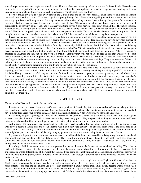wanted to get away to where people are more like me. This was about two years ago when I made my decision. I'm in Massachusetts now, in the central part of the state. But to my dismay, I'm finding that even up here, thousands of Hispanics are flooding in. I guess they came up, or are being brought up, to work in factories or something. I really don't know.

I love to travel. My goal is to see every state in the United States and to see every capital. I color them off on a map as I finish because I love America so much. Two years ago, I was going through Iowa. There was a big thing when I was there about how they are bringing in hordes of immigrants so that they can work in industries and agriculture. I went through the governor's mansion on a tour and I had a chance to meet the governor's wife. I said to her, "Thank you for taking me through your lovely home, and I appreciate the opportunity to meet you, and if I can say one thing to you it's for heaven's sake don't bring all these Hispanic people in. Everybody else is trying to get away from them. Why do you want to bring them in when you have a state that's ninety-eight percent white?" Her mouth dropped open and she stared at me and pushed me aside. I'm sure that she thought I had lost my mind. But I thought they had lost their minds to have a place where they didn't have any of them and then to bring them in on purpose.

I have two nephews. One is getting ready to go to college and the other one will be going to college in a couple of years. They are both bright, talented boys. But of course they're facing this "You can't get into our college because we have to have this number of blacks and this number of Hispanics and this number of whatever." There is a lot of discrimination against white people in favor of minorities at the present time, whether it is done formally or informally. I think that is bad, but I think also that much of what is being done is actually very cruel to minorities. If Jane Doe Minority or John Doe Minority could do well at a small teachers college and get a decent education and a good job, that's wonderful. But if you take that person and stick them at Harvard or Yale or Princeton or Stanford or Columbia and they can't do the work, it's cruel because they may well not be able to keep up and they will drop out. From what I understand, the minority dropout rate is huge in those kinds of places. These kids go to Harvard or Yale and they're built up like they're gods, and then a year or two later they come crawling home with their tails between their legs. They were set up for failure, and nobody doing this to them seems to care how humiliating and degrading it is to the minority children. And of course they couldn't care less about how unfair it is to deserving white children to be the victims of racial discrimination.

I had just had my fifty-third birthday. I've lived alone for years— my husband was killed in Vietnam. I've never been afraid of anything, but I've started to think, "What am I going to do when I am sixty and seventy and eighty and all by myself?" I don't want to live behind burglar bars and be afraid to go to the store for fear that some monster is going to beat me up and rape me and rob me. I am feeling my mortality, and a lot of that is tied into the fear of what is going on with other racial and ethnic groups and how that's changing our country and our communities. I've always felt safe because I was a nice person. If I met someone, I was always friendly with them. It didn't make any difference if it was a black janitor or a Hispanic bus driver or whatever, I was always very friendly and nice, and people always appreciated the fact that I treated them just like everybody else. But what's going on today, people don't care who you are or how nice you are or how unprejudiced you are. If you are in their sights and you're the wrong color, you're dead. And their turf is expanding rapidly. I keeping thinking, where can I go to be safe when I get older? I am thinking of moving to Maine. I think it is safe there still.

### **12 WHITE BOY**

### *Glenn Douglas \* is a college student from California.*

I am twenty-one years old. I was born in Canada, in the province of Ontario. My father is a native-born Canadian. My grandfather emigrated from Scotland. My mother is Irish. She was born and raised in Ireland. My parents met while going to school in Canada. I have a sister three years younger than I am. My dad is a high school teacher. When I was five, we moved to California.

I was pretty religious growing up. I was an altar server in the Catholic Church for a few years, and I went to Catholic grade schools. I am glad I went to Catholic schools because they were really good. They emphasized reading and writing a lot and I was doing more advanced stuff in the fourth grade than I did in the public middle school and even in high school.

At the end of the third grade, my mother and my sister and I went to Ireland for the summer. We stayed with my grandparents, who have a beautiful house near the ocean. Ireland was like a fairy tale country—so different from what I had been used to in California. In California, my sister and I were never allowed to venture far from my parents' sight because they were worried about what might happen to us, but in Ireland the only thing my parents worried about was us being home on time to eat dinner.

My sister and I spent the whole summer roaming around the hills and the fields. We would be walking along the country road and cars would stop and people would start talking to us. They would know my mother. I thought it was really cool how close the community was there and how everybody knew each other and how everybody's family went back. Ireland was just a very close-knit, family-oriented place, and I really liked it a lot.

In hindsight, I think that summer was a very important time for me. It was really the start of my racial understanding. When I went back to California, I missed the farm animals, and I had to be careful again where I went. I was kind of changed because I had experienced a whole different side of the world that the kids I was going to school with had no idea existed. In California I didn't even know my next-door neighbors, where in Ireland I knew everybody. I just thought California was a dump compared to where I had been in the summer.

In Ireland where I was, it was all white. The closest thing to foreigners were people who were English or German. Over here in California, it is completely different. We have all different types of people. I very much preferred the environment where it was homogeneous—one race and one culture and a close-knit community. I am not saying that I immediately became what I would call a racialist or anything from that summer, but I do think that the Ireland trip sowed some seeds in my mind. I am really glad I went because it made me realize at a young age that America and California aren't the whole world, that there were very different places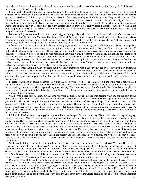from what we have here. I went back to Ireland every summer for the next five years after that first visit. I always looked forward to the summer and enjoyed going back there.

I never really thought consciously in racial terms until I went to middle school where it was about sixty to sixty-five percent Mexican. There were also Filipinos and blacks in the school. I was made fun of and called "white boy" a lot. I was often beaten down by packs of Mexican or Filipino guys. I told teachers about it a few times, but they wouldn't do anything. They just kind of said, "OK, I'll talk to them," and nothing happened. I noticed everybody who was cool wore pants that were like five sizes too big and listened to rap. And there were a few girls I liked in the class, and they hung around with that type of people. My reaction to what I experienced was to kind of go along with the flow. I looked at my clothes and, you know, I was really uncool. I thought to myself, "Well, I've got to go shopping." My dad started saying, "Well, you want to be a Mexican now," but I wasn't really thinking in those terms. I just thought I was being fashionable.

For a while I guess you could say I turned into a wigger. [A wigger is a white person who dresses and takes of the manner of a black.] Most of my friends were Mexican. They taught me about "tagging," which is basically vandalizing, writing things everywhere. I started buying markers and going to malls and tagging 'cause I thought that was what I was supposed to do. And I got into drugs. I was really going downhill. My parents were concerned, but they really didn't do anything.

After a while, I started to notice that the Mexicans hung together and had their thing, and the Filipinos and blacks hung together, and the whites, including me, were always trying to get into those groups. I started wondering, "Why aren't we doing our own thing?" So I gradually slipped away from the crowd I had been hanging with. In my school, there were really two main cultures, "rappers" and "rockers." About ninety percent of the kids were rappers. If you were white, that meant wearing baggy clothes and pretending to be Mexican or black. The rockers were kind of rebellious against that. They wore their hair long and listened to, like, Metallica and Guns N' Roses. I began to see a conflict where the rappers and rockers were struggling for power in the school. I kind of drifted into the rocker group. Even though we weren't using drugs all that much, we were called "stoners." Looking back on it, joining up with the rockers was the beginning of me trying to identify with my own kind.

I remember when the film *Braveheart* came out. I was really impressed with it and very inspired by it. I saw it with my father and he pointed out to me, "That's our ancestors up there on the screen." I started thinking, you know, Mexicans wear "brown pride" Tshirts to school and talk about who they are, and I am white and I've got a culture and a great history and I am proud of that. So I started to identify with white people a little bit more. It was fashionable to act ashamed of being white and I really couldn't relate to that anymore.

I started to notice huge double standards—how it is OK to be proud if you belong to any race but the white race. I noticed that I couldn't even talk about being white without being ridiculed, and it usually came from other whites, who said how wrong it was to have an affinity for your own kind. I spent all my time wishing I lived somewhere else but California, like Ireland or some place in Europe, where I imagined that they didn't have these kinds of problems, where you could just go to school and all you had to worry about was getting good grades.

When I was in high school, I grew my hair long and wore all black. I met another kid who became really my one and only friend during high school. He was heavily into death metal and black metal music. Him and I discovered Norwegian black metal and really got into that. That music really had a big influence on my behavior and way of looking at things. Black metal was obscure, little known music. At that time, you couldn't buy it in mainstream stores. The only way we got hold of CDs was through mail order. Me and my friend were the only ones who listened to it, so we felt kind of special, like it was our music, like it was made just for us. We spent our time together listening to black metal music in his house, or we'd go hiking somewhere, just wander off in the woods and just talk about whatever.

I'd describe black metal as very angry. It expresses disdain and disgust for modern society. Black metal bands use pagan imagery, European imaginary. Most of band members had long hair and they wore all black, or they might have some form of medieval armor and tall boots. They'd pose for pictures in forests with swords. All that appealed to us because, for one, it was sort of a white thing. What also made black meal so special to my friend and I was that the members of these bands seemed to be dead serious. In interviews, they would talk about overthrowing Christianity and returning to a Middle Ages-type European society. My friend and I spent time reading about pagan religion. I began to really have a hatred for Christianity because I thought, "Look what Christianity has done to us. It's disarmed our people and made us tolerate and embrace other races who bring us down." Being an alienated kid, black metal was just very appealing. If you have disdain for society and you don't feel like you belong, and you see somebody basically standing up for what you believe in, it just ... I guess we were sort of reaching back into the past where life was better than the one we were living.

We listened a lot to a band called Burzum. It was a one-man band, really, a Norwegian guy named Varg Vikernes. He had a big impact on me. He would come out and say, "I do my own thing, and if anybody doesn't like it, I will kill them." As crazy as it might sound now, I really looked up to that. Vikernes referred to himself as a racialist pagan and a neo-Viking and he flirted with National Socialist imagery. A lot of the black metal CDs had runes [ancient Germanic symbols] on them. Burzum and most of the other bands were from Norway. At the time, I didn't even know where Norway was in the world. I started reading about Norway and about European history, the Vikings in particular. It was my way of reaching toward my European roots—having some kind of identity.

One Sheaf, One Vine 34 During high school, I would seldom talk to anybody, and a lot of people seemed to kind of fear my friend and I because we were just considered so weird. That gave us a sense of identity. It made us stand out and feel kind of good. I continued to be picked on by Mexicans, but I started discovering ways of fighting back. On one occasion, a big Mexican walked by me and said, "Hey white boy." I simply turned around and said, "Hey spic." He went ultra dramatic: "What did you call me?" I just calmly told him that I had called him a spic. He looked me in the eye and I looked him right in the eye and did my best to give him the impression that I really didn't give a damn, and he backed off. I spent a lot of my time trying to learn how to intimidate people as best as I could because I felt that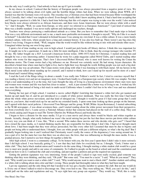was the only way I could get by. I had nobody to back me up if I got in trouble.

In my classes in school, I noticed that the history of European people was always presented from a negative point of view. We always seemed to be talking about civil rights and the horrible things whites had done. When we were talking about WWII, all I learned was that the Germans were evil racists. The swastika was a Christian cross that had been twisted because Hitler worshipped the Devil. Literally, that's what I was taught in school. Even though I really didn't know anything about it, I had a hard time accepting that and I began to question it a little bit. I had a hard time believing that this evil empire was trying to take over the world. I also noticed how blacks were always referred to as African Americans, and there were Asian Americans. But we were always white with a small "w." And I thought, "Well, we came from Europe, so why aren't we referred to as European Americans?" I just kind of noticed that there was a double standard. I was never really upfront and challenged my teachers, though.

Teachers were always portraying a multicultural attitude as a virtue. But you have to remember that I had made trips to Ireland. That was a very different environment and, to me, a much more preferable environment. I thought to myself, "Why do I like it so much in Ireland?" I decided that I wasn't alienated in Ireland because I was among my own kind. It was a white culture. It was a more family oriented culture, with roots, where people have a long and common history. It was also less built up. There weren't any big cities like where I was living. I began to think, "Well, imagine what the world would be like without having to mix with and tolerate other races." I imagined whites having our own living space.

I spent a lot of time reading on my own in high school. I would just pick books off library shelves. I think this was important for me. It taught me to be a questioner. It made me a little bit more intelligent, I like to think, than the average teenager who watches TV all day. My father bought me a H.P. Lovecraft [American fiction writer, 1890-1937] book for Christmas. I started reading him and thought he was a very interesting author. I learned that he wrote for a pulp magazine called *Weird Tales,* and I started reading other authors who wrote for that magazine. That's how I discovered Robert Howard, who is most well known for writing the Conan the Barbarian stories. The Conan stories had a big influence on me. Howard was certainly racial. He had strong Aryan characters. He described a brutal time where men had to fight to live, had to fight their way through the world. Killing people was not such a big deal. Almost every day was an adventure. The Conan stories went along with what I was listening to with black metal. All my heroes in the black metal scene talked about standing up for yourself, and I started to think, how can I stand up for myself and be more of a man? My friend and I started lifting weights.

I read the Lord of the Rings trilogy in about a month. I was really into Tolkien's world. In fact, I tried to convince myself that I was reading a history text and not an imaginary story. I looked back fondly to a European-type society where life was simpler. Not that I had a real understanding of it at the time, but I just thought the idea of living in a homogeneous environment where men were men and women were women and life was hard but closer to nature ... well, it just seemed like a better way of living to me. I wished my life was more like that instead of being a kid stuck in multi-racial California where I couldn't feel free to be who I was and was alienated from everything.

During the last part of high school, I watched a movie called *Higher Learning* that featured a white kid who got taunted and beaten up and made fun of, and he got introduced to a couple of white power skinheads. That was really the first time I had heard about the whole white power movement, and that kind of intrigued me. I thought it would be great if I had some group that I could relate to; you know, that would stick up for me and be my extended family. I spent some time looking up these groups on the Internet, and I agreed with their racial policies. I discovered Tom Metzger and his group, WAR [White Aryan Resistance]. I started subscribing to the WAR newspaper—I was about seventeen then—and I started reading about the white power movement from their perspective, not from everybody else's. I came across a National Alliance sticker that someone had placed on the wall of a coffee shop. They sent me a book catalog and I began to read *The Turner Diaries* [by William Pierce] and books like this.

I began to have a distaste for the mass media. I'd go to a teen movie and always there would be blacks and whites together as friends. Actually, though, what really bothered me wasn't the racial mixing but just the fact that these movies put down white culture in every way you can think of. I was, like, "Wait a second. Who makes these movies and who decides who gets cast?" I heard that Jews owned the mass media, so I started thinking maybe they are responsible for these things I don't like. I had never thought much about Jews. I had been taught that they were always persecuted, but like every other kid I assumed that must be due to bigotry and people not being able to understand them. I thought, Jews are white people with just a different religion, so what's the big deal? But I gradually began looking into it and I realized that Christianity wasn't really the source of the degeneracy I was seeing around me. It was a part of it, but the main fact was that there was an alien race, the Jews, that was influencing us through the mass media. It was a gradual process, but I started to see how things fit together a little bit.

After high school, I went to a community college. To be honest with you, the first year I spent there I didn't take it more seriously than I did high school. I was basically getting C's. I saw that they had clubs for everybody but us. I thought, "Gosh, I better start a white club." They had a black student union and I wanted to do the same thing. I thought starting a white student club would be a great way to meet new people and add to our sense of community. So I talked to people on the board at school and read the constitution and found out how to do it. I outlined the club and everything, and put together a petition and got the required ten signatures.

Getting the petition signatures was very interesting. Some of the people I asked to sign were really excited, glad someone was thinking what they were thinking, and they said, "Oh yeah!" But some said, "You must be a racist." I said, "What do you mean?" They said, "Why would you want to start a white club?" I said, "Why would anyone want to start a black club?" Another student said calling it a white club is talking about skin color and that's wrong. These people had thoroughly taken in what they had been taught.

I got my signatures and the only thing left that I needed to do was get a faculty member to sponsor the club. But not one would do it. Every one of them I talked to tried to discourage me. They even lied to me. They were telling me, "Well, you can't do this," and I would pull out the rules and regulations and say, "It says right here any group can organize." They would say, "Well, this is really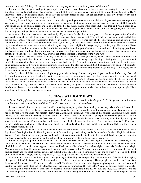meant for minorities." I'd say, "It doesn't say it here, and anyway whites are a minority now in California."

It's almost like you go to college to get stupid. I took a sociology class where the professor was trying to tell me race was completely a socially constructed phenomenon. He said that there is just one human race and that we are all members of it. That's ludicrous. There are human races plural, just as there are different breeds of dogs. You can call them all dogs if you want to, but don't try to pretend a poodle is the same thing as a pit bull.

The way I see it, it is just natural for you to want to identify with your own race and socialize with your own race and reproduce your own race. You want to preserve your own race in the same way that someone wants to preserve the environment. But anybody who thinks as I do is called a racist, which, as it is defined today, means hating other races. But to me that isn't what a racist is. A racist is someone who acknowledges the obvious fact that there are significant differences between races that go beyond skin color. I'm talking about things like intelligence and tendencies toward certain ways of living.

A racist sees his or her race as an extended family. If you have a family of your own, you know that while you are friendly with your neighbors and you help them, when it comes down to it, your family comes first. You look out for your family and see that they are fed and clothed. You don't necessarily think your family is superior or better than all the other families around you in your neighborhood, and you don't deny your neighbors the right to exist, and you respect their space. But you do believe you have the right to your own house and your own property and to live your way. If your neighbor is always barging in and saying, "Hey, we are all one big family here," and saying that he really doesn't like you and is entitled to part of what you have and starts cluttering up your house and beating up your children, after a while you start to resent him. You want to reclaim your home, reclaim your life. I think, in a way, that is a good analogy to describe how what I would call true racists feel as members of the white race.

I have never had the chance to say this in any of my classes. As soon you raise your voice, they basically shut you up. I did write a paper criticizing multiculturalism and contradicting some of the things I was being taught, but I got a bad grade on it, not because I didn't do the research or back up my arguments or it was badly written. The professor simply didn't agree with me. I had the same thing happen on a paper I wrote criticizing feminism. I have learned to play the game a little bit better, however, and now I get pretty good grades. I don't have any problems in school now. I'm pretty much compromising myself to get my degree. I'm trying not to forget who I am and what I believe in, though.

After I graduate, I'd like to be a psychologist or psychiatrist, although I'm not really sure. I guess at the end of the day, first and foremost I am a white racialist. I feel obligated to help out my race in some way if I can. I just hope whites learn to organize and stand up for themselves, and I want to contribute to that. I love Ireland and I'd like to live there, and maybe someday I will. But in a way I don't like the thought of moving to Ireland because that seems like running away from the problems we face here. I have a girlfriend now and she's racially conscious. She wasn't when I first met her, so I guess I have influenced her in that regard. I'd like to have a family some day—you know, raise some kids. I don't want my children going through what I went through growing up, though. I'll do what I can to try to see that that doesn't happen.

### **13 NEWS WITHOUT JEWS**

Alex Linder is thirty-five and has lived the past few years in Missouri after a decade in Washington, D. C. He operates an online white *racialist news service called Yanguard News Network. His manner is energetic and direct.*

I have a factual bias, you might say. I dislike anything or anybody that claims reality is one way when it's not. I don't like anything or anybody that gets between people and what is really going on. I consider myself a true conservative. True conservatism has to do with facts and limits. My mother's family are Christian Scientists and I was raised in that religion. Christian Science claims that disease is a product of bad thoughts. I don't believe that myself. I never did believe it. If you apply conservative principles, that's a ridiculous claim. Just like the idea that Jesus walked on water. I am a white racist because racism is simply factual reality. And by the way, "racist' and "racialist" are interchangeable terms to me. Really, I don't label myself—"I'm a white nationalist," "I'm a pan-Aryan," whatever. Labeling is for the other guy. I don't worry about labeling. I just call myself white and know that I want to live in a white neighborhood, that's it.

I was born in Madison, Wisconsin and lived there until the fourth grade. I then lived in California, Illinois, and finally Utah, where I graduated from high school in 1984. My father is of German background and my mother's side of the family is English and Swiss. We weren't rich, but thanks to my parents' hard work I enjoyed a comfortable, stable, middle-class childhood. My parents' stability and love for each other and me and my siblings showed me how a solid white family and society can work.

I didn't really grow up around blacks much at all. I went to suburban schools and was taught the same b.s. that everybody else is about race not existing and the rest of it. I basically swallowed the individualist bias they were pumping at me that we had to be colorblind. I do recall one incident that suggested to me that blacks are not like whites. I was about eight or nine. My family went to Magic Mountain down in L.A. It's an amusement park with big roller coaster rides. We were in line waiting to go on a gondola that went back and forth and two black teenage couples cut in front of us. My father isn't a shrinking violent and so when we got up to the front of the line, he said to the guy running the gondola, "These people cut in line. We were here before they were."

At that point, those fucking little niggers starting cursing and bitching and complaining. I remember one of the black girls saying, "I hope you fall off halfway across!" I was totally taken aback. I remember thinking, "These people are not like us. There is a fundamental difference." It is like the scene in [the novel] *The Turner Diaries* where the niggers are pissing in the river. Jefferson said that the two races equally free can't live together under the same government and he was right. We are just different breeds of animals.

Growing up, I read a bunch of Mencken [iconoclastic journalist prominent in the 1920s, '30s, and '40s, H.L. Mencken], and his stuff seemed perfectly attuned to the way I think and what I find amusing and worthwhile. I decided that I wanted to spend my life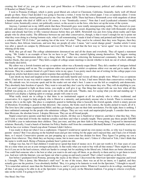creating the kind of joy you get when you read good Mencken or O'Rourke [contemporary political and cultural satirist, P.J. O'Rourke] or [Mark] Twain.

I went to Pomona [College], which is pretty good liberal arts school in Claremont, California. Generally, fairly well off liberal people go there. Since I had decided I was going to become a writer, I wrote for the school paper. I was co-opinions editor. I wrote some editorials and they started getting pissed at me. One was about AIDS. There had been a *Newsweek* cover with snapshots of about a hundred people who died of AIDS on it. Of course, it was "Semitically correct." Note that I used [syndicated columnist Joseph] Sobran's term, Semitically correct, not politically correct, so the accent is on the Jews, who have set up the terms of the system.

Anyway, I pointed out in my AIDS article that these *Newsweek* guys were totally misrepresenting reality. They showed six-yearold kids and ninety-five-year-old grandmothers instead of a bunch of loose-assed, disgusting fags who slept with thousands of people apiece and already had forty or fifty venereal diseases before they got AIDS. *Newsweek* was just Jews lying about reality and I hate people who lie about reality. The difference between me and other conservatives, though, is that it wasn't enough for me to point out what they were doing in a boring footnote style, what I call remonstrating. I made it kind of funny and pointed and barbed. I also wrote a column called "Of (f) Color," just making fun of the term "of color." They used to be colored, then they were Negroes, then they were blacks, then African Americans, and now they are people *of* color. I mean, "ain't social change grand." Another article I wrote was after a speech on campus by [Holocaust survivor] Elie Wiesel. I said that the best way to "never again" was for Jews to stop whining all the time.

Well, they got all mad. The college administrators denounced me and all the deans and everybody. They all signed a statement saying, "Mr. Linder is an example of how far we have to go." Then they started fighting among themselves. The faggots starting writing in, "The administration didn't say a thing when Mr. Linder was criticizing the homosexual community, but the minute he touches blacks, they just go nuts!" They held a couple of college senate meetings to decide whether to kick me out of school, although that finally died down.

My editor was a Jewish feminist and my co-opinions editor was a Kennedy-esque liberal. They did a number of intrigues behind my back and sprung stuff on me. The co-opinions editor was promoted to *senior* co-opinions editor over me and got to make all the decisions. They let a mulatto friend of a girl I knew write in my space. I was pretty much shut out of writing for the college paper even though my articles had drawn more student response than anything in its history.

I just shook my head and laughed at how intolerant and really hateful and vicious all these people were. When I was co-opinions editor, I had never in any way tried to suppress anyone who wrote for me. In fact, I had more liberals than conservatives writing for me. My attitude was, let everyone speak and let the reader sort out what's best. I came to see the left as completely anti-democratic. They absolutely hate freedom of speech. They want to win and they don't care by what means they win. They will do *anything* to you. If you aren't prepared to fight on those terms, you might as well give it up. One thing that stayed with me was how when all this hubbub was going on, a lot of people came up to me on the side and said, "Thanks, man, for saying what you did and standing up." I realized if you display a fighting spirit or courage, people will come to you.

What really struck me in college is that there is no institutional support at all for anybody who is white, traditional, and conservative. It is rigged to help anybody who is liberal or a minority, and particularly anyone who is Jewish. There is resistance to anyone who is on the right. The place is completely geared to furthering what is basically the Jewish agenda, which is ninety percent of liberalism. Everything is geared in that direction—the courses, the books used in the courses, the faculty picked to teach, all of it. The Jews have [the campus organization] Hillel, and they get funding to put out their little newsletters. For the right, there is nothing. I have unlimited contempt for the people who administer colleges. They are very weak and unprincipled people. I consider them worse than Mexicans, the absolute lowest. I despise Mexicans. They are an off-brand people.

Stupid conservative parents send their kids to these schools. All they see is Stanford or whatever, and that is what they buy. They don't look at what kind of books the students actually read there and what is actually taught. These parents pay these people \$20,000 or \$30,000 a year to indoctrinate their children. They just trust, and they put their faith in the wrong thing. I majored in international relations. Basically, I read a bunch of Institute for Policy Studies stuff from the communist [Richard] Barnett. I've probably read every book he has ever written. I heard crap about Vietnam I didn't believe.

I was ready to drop out when I was a sophomore. I figured I would never spend my own money on this, so why was I wasting my parents' money? But I was playing on the baseball team and got into writing for the paper and I enjoyed that, and I had a lot of friends there, so I stayed. Conservative parents are just propping up a system that has disdain for them. They figure I'm getting my son a degree from wherever. They think they are buying a name, but in most cases they aren't. Unless it's Harvard or Yale, I don't think that the name is worth much. Being a Pomona graduate hasn't gotten me shit.

College was fun, but if I had children I would never spend that kind of money on it. It's just not worth it. It's four years of your life at a time when you are at your strongest physically. Is that really what you want to buy with all that money? There might be a case for it if you are in the hard sciences, which are harder to corrupt, but for anything in the liberal arts, I think there are better alternatives. You could find someone who is the best at what you want to do and copy off them, or go directly to them and try to get them to teach you. And now with the Internet, you can figure out what is going on and teach yourself. That's what I would say at thirty-five.

Just before I graduated from Pomona, perusing the stacks at the library I discovered the *American Spectator* magazine and loved it. I thought, "This is *funny,* like Mencken's stuff was!" In one of the issues, there was an ad for an intern, so I applied, and they actually gave me the position. I was absolutely thrilled. "Boy, it is going to be fantastic to work for the *Spectator,"* I thought to myself. "It is somewhat satirical, more than the *National Review* is, and it's got great writers. Whatever I wanted to do in college, mocking and all that, I am going to be able to do at the *Spectator.* I am going to carry on the Mencken tradition. I'm going to criticize everybody, take on the world. I'm going to be free!"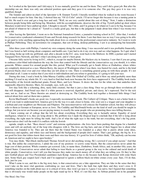So I worked at the *Spectator* and I did enjoy it. It was mutually good for me and for them. They said I did a great job. But after the internship ran out, there was only one editorial position open and they gave it to someone else. The guy they gave it to was very qualified, though.

The founder and editor-in-chief of the *Spectator* is R. Emmett Tyrrell. I literally trembled when he walked in the room because I had so much respect for him. One day, I showed him my "Of (f) Color" article. I'll never forget this because it was a turning point in my life. He read it over and got a long face and said, "Well, we are very careful about this sort of thing." Now, I make a distinction between people being little and being big. Mencken, with his accomplishments, deserves the title of big. Tyrrell pulled up short where Mencken would *never* have pulled up short. I thought to myself, "He's little, and I'm going to do whatever I can to be big, because I'm not afraid of whatever he's afraid of." Tyrrell is a really good guy, but that is the judgment I made about him when I was twenty-two years old.

After leaving the *Spectator,* I went on to the National Journalism Center, a journalist training school in D.C. After that, I worked for [conservative syndicated columnists] Evans and Novak doing research for them. I saw that there was no way I was going to be able to get paid to write anything approaching the truth about Jews or coloreds in the professional conservative industry. So I went to work at Phillips Publishing. They do newsletters for companies, that sort of thing, desktop publishing. I saw it as uninspiring but honorable work.

After three years with Phillips, I started my own company doing the same thing. I was successful and it was profitable financially, but I was bored as hell writing about computers and health care. I just had to do it my own way and see what happens. So I quit what I was doing, broke up with my girlfriend, and, after a decade in the D.C. area, went back to the Midwest. In 2000, a partner and I started Vanguard News Network, and that's what I am doing now, and it's been great.

I became fully racist by living in D.C., which is, except for maybe Detroit, *the* blackest city in America. I saw that if you are going to embrace color-blind individualism the way the Jews that control both the liberals and the conservatives say you should, it is white genocide. Whites cannot live around people like this, period. What you'll eventually get is South Africa or Zimbabwe, where whites are completely destroyed as a race. Marion Berry, the mayor of Washington when I was there, was busted for crack, and he is the kind of person blacks elect over and over when they are left alone to vote. There is something general going on with these people. It's not individual at all. I came to realize that if you stick to individualism and you refuse to generalize, it's going to kill your race.

During this time, I read a book by John Murray Cuddihy called *The Ordeal of Civility,* and it blew my mind probably more than anything I'd read in my whole life. It's very hard to find that book now because the Jews have suppressed it. The Cuddihy book tracks the hostility of the Jewish intellectual giants, Freud, Marx, and Levi Strauss. It shows the hate for the white race that underlies their supposedly objective theories. Marx, for example, says, well, yes, the

Jew may look like a scheming, dirty, nasty little creature, but that is just a class thing. Once we go through these revolutions all that will disappear. And Freud says that if a white person is reserved, dignified, private, and classy, he's repressed. *You're* the sick ones, not us. And so on. These theories are aimed at destroying us. The Cuddihy book tied together a thousand little things I had noticed about Jews and set them into a pattern.

Kevin MacDonald's books are good, too. I especially recommend his book, *The Culture of Critique.* There is not a better book to read if you want to understand how America got to be the way it is and, closer to home, why your son is a wigger and your daughter is a lesbian and your neighbors are Mexicans and Filipinos. The neoconservatives will criticize the Frankfurt school, but they will always refer to them as German or European, never as Jews. The Cuddihy and MacDonald books are the kind of stuff you should be taught in college, but you never are because you are paying money to exactly the same people who are promoting these race-killing theories.

I knew coming out of college that the left lies about everything. Everything they say is factually untrue. Equality of racial intelligence, whatever it is, they are lying about it. My problem was I made the illogical leap to conclude that if the left is lying about everything, the right must be telling the truth. And a lot of what the right says is the truth, but not everything, that's the big point. Conservatives don't tell the truth if it conflicts with the Jewish

agenda, simple as that. "Race doesn't exist" and extreme egalitarianism—the Jews have been pushing that dogma for a hundred years and will cut anybody out of the loop who disagrees with it. The Jews are big liars, and one of their biggest lies is about what America was founded to be. They put out there that the United States was founded as a place that is purely about some ideas, democracy and equality, and where race and history and the background of people don't matter. That's just garbage, the big lie. It is not good for Jews that whites know their roots and their own true history. It's good for Jews if whites think, "Oh, anybody can become an American and we ought to have open borders."

You may think, "But [black intellectual] Thomas Sowell never did anything wrong. He's screwed if you adopt racism." And that is true. But unlike the conservatives, I admit the cost of my position—it screws some blacks. But the conservatives never admit the *huge* cost of their position. Whole countries get screwed. Like, to name three, Zimbabwe, South Africa, and, in another fifty years, the United States. Conservatives never admit that failing to treat blacks as a general group is the way to the cultural and racial death of white people. Conservatives won't tell you that because they make too much money off of what they are telling you. Or they're like [pro football player and Vice Presidential candidate] Jack Kemp. America has to die because Jack Kemp showered with some black men. Some black guy soaped Jack's back and I'm supposed to ignore a million black-on-white crimes every year. Sure, I'll do that, Jack, just for you.

What I came to see, and this is the big story here, is that conservatives are a fake opposition. They are fake in the sense that they won't take on the most vital questions confronting us: race and Jews. That's the fault line right there and they won't cross it. If something touches on the truth about race or is critical of Jews, they won't go near it. I guess I was naïve, but I figured that something that is obviously true would make people on the right stand up for it. Well, it's not like that. As Sobran pointed out in his pamphlet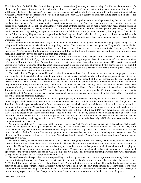*How I Was Fired by Bill Buckley,* it is all just a game to conservatives, just a way to make a living. But it's not like that to me. It's blood, complete blood. If you're a writer and you're pulling your punches, if you are writing things you know aren't true, if you're withholding the truth, what are you? How can you have any self-respect at all? I got into writing to be Mencken. You've got the *American Spectator* that is supposed to be the heir of Mencken—they have a dummy of Mencken sitting there in their office, for Christ's sake!—and you're afraid??

I had learned what liberalism is by living through my editor and co-opinions editor in college conspiring behind my back and totally shitting me over. Then I learned what conservatism is by working at the *American Spectator* and seeing that they were just as scared as the weakling liberal college administrators were about anything that touched on race. I mean, what needs mocking more in our society than niggers? It's fucking ridiculous. You can't read word one about them that is disrespectful. Just today, I was online reading some black guy writing an opinion column about an Oliphant cartoon [political cartoonist, Pat Oliphant]—"Oh, that is racism!" Racism is anything or anybody opposed to the black agenda. Blacks take that directly from the Jews. An anti-Semite is simply somebody who is opposed to any item on the Jewish agenda. You oppose a Jew and you are an anti-Semite, it doesn't matter what it is about.

Blacks and the Jews have these terms they stick on anybody that doesn't go along with them and the right just plays along. I'm not doing that. I'm the true heir to Mencken. I'm not pulling punches. The conservatives pull their punches. They won't criticize blacks. Now, what could be more ludicrous than Al Sharpton and Jesse Jackson? Jesse Jackson is a nigger extortionist. Everybody in America knows that. You're supposed to be a conservative journalist following the line of Mencken and you don't say that in a crude, crass, nasty, and direct way? If you don't say it like that, then what are you?

Plus it takes the joy out of it to write cautious, coded, weak little trivial things. People don't want that. They want what we're doing at VNN, which is full of joy and slurs and truth. Slurs and the truth go together. To call someone an African American when he's a nigger? I refrain from calling Thomas Sowell a nigger, but I don't refrain from calling niggers niggers. [Conservative columnist] George Will wrote a column the other day about yet another great black guy who pulled himself up by his bootstraps. It's just stupid. I spit on them all. People are responding to what we're doing at VNN because it's clear that we are free. Something that is free has a distinct aroma and the conservatives don't have it.

The basic idea of Vanguard News Network is that it is news without Jews. It is an online newspaper. Its purpose is to do something daily that's carefully edited, reliable, pro-white, and anti-Jewish, with absolutely no Jewish participation at any point in the process. The American public understands there is something wrong with the media, that it is very biased, but they don't understand exactly what it is that is wrong. The conservatives who pretend to tell them, gutless clowns like Brent Bozell and Reed Irvine, will only go so far as to say the media is biased, which a child of three can see after watching Dan Rather for five minutes. What these people won't tell you is *why* the media is biased and *in whose interest* it's biased. It's biased because it is owned and controlled by Jews and serves their racial interests. VNN says that openly, forthrightly, and explicitly daily. Whatever attractiveness we have is attributable to that. We don't have as many readers as some of the big-name conservative sites, but we are going in the right direction and we are going to pass them eventually.

We have people who contribute original articles, opinion pieces, book reviews, cartoons, whatever, and we post those. I edit the things people submit. People also feed me links to news articles they think I might be able to use. We do a kind of *ju jitsu* on the Jewish media: their reporters write articles for the various newspapers and wire services, and then we pull the articles we want and link them but with our own spin. We call our introductions "spintros." An example of what we might do, a guy on our side might write up an article on a National Alliance demonstration and at the same time we'll link to the *Washington Post* description of the same thing. The idea is to create an alternative medium that is free of Semitic bias. It mostly comes down to selecting the right articles and presenting them in the right way. There are people working with me, but it is all done over the Internet. People from all over the country chip in writings and suggest articles to spin. We can't afford to pay anybody. Basically, VNN takes one monomaniac with a computer to do it, and that's me.

We are saying stuff on VNN you can't really find anywhere else. And it's not just that we are racists and reliable that attracts people. We're aggressive and people hunger for that, they love that. People sense that we really believe what we say, and they don't sense that when they read libertarians and conservatives. People see their stuff is just hackwork. There's a spiritual difference between us and the others. And we're funny. You can't get genuine humor any more because it is censored. It's dangerous. You can't make fun of Jews and "Mexcrement," but we do it all the time. We subject them to ridicule. We don't remonstrate, we ridicule. Anything can be destroyed by ridicule.

We aim to destroy Jewish control of the United States. And we are going to reveal and destroy the fake opposition in the form of conservatives and libertarians. True conservatism is racist. The people who are presented to us today as conservatives are not truly conservative. Every day since we started, we have been saying what they won't say. We point out their financial interest in keeping the truth from people. And we are doing the same thing to libertarians. We are going to make it clear that white nationalism is the only real opposition to the Jewish tyranny. The rest of what is going on is just a game. The two major political parties are both racial egalitarians selling the idea that race doesn't matter. Of course it matters.

We aren't considered respectable because respectability is defined by the Jews who control things as not mentioning Jewish power and not criticizing Jews as Jews. Conservatives will criticize the left or liberals or atheists or secular humanists, but never, never, NEVER will they point out the Jewish roots of these things. We point that out every single time. That is the fundamental difference between us and the rest of them. That is the market niche my partner and I saw. The only thing limiting us is distribution. If we could get our stuff on newsstands, people would buy it right up. But the Jews control news dissemination everywhere but on the Internet, and they are trying to get control of that. Except on the Internet, Jews control which writers and artists have access to the public.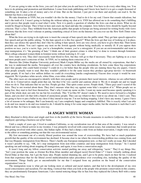If you are going to take on the Jews, you can't do just what you do and leave it at that. You have to do every other thing, too. You have to do printing and promotion and distribution. I come from trade publishing and I know how hard it is to get a couple thousand of something out. It takes a lot of money and a lot of time. But on the Internet, I just put it out there and anybody can read it. So the Internet has been a real godsend.

We take donations at VNN, but you wouldn't do this for the money. I had to do it for my soul. I know that sounds ridiculous, but that's the truth of it. I wasn't going to fucking die without taking my shot at it. VNN has allowed me to do something that's fulfilling and it proves that people want to read what I write. Now it is purely a question of whether the Jews can shut us down. What we do would be illegal in Europe. They'd bust in here and crack my head and take the computer. Jews believe Jews should be legally beyond criticism. That's a fact. They withhold from the American public that people in Europe are being arrested for writing books with views of history that the Jews won't tolerate or putting something critical of Jews on the Internet. Do you ever see the *New York Times* write about that?

What the Jews are trying to do right now is insert the concept of hate speech into the public mind. They get hate speech opposed to free speech and get the public asking, "Is this hate speech or is this free speech?" When the Jews get that way of looking at it in place, then they can silence the speech they don't like by calling it hate speech. Jews are very clever, you have to give them that. Their terms preclude any debate. You can't oppose any item on the Jewish agenda without being medically or morally ill. If you oppose their position on race, you're a racist; fags, you're a homophobe; women, you're a misogynist. If you are an environmentalist and want to stop immigration, it's "the greening of hate." I think one of their greatest crimes is what they've done to women through feminism. Most college-educated women think in feminist terms without realizing it. It's sad.

Jews want to win. They don't necessarily want blood to flow, but they will go to that if necessary. They are fighting us as a race and most people aren't conscious of that. At VNN, we're making them conscious of it.

Marxists like [Johns Hopkins University professor] Mark Crispin Miller say the media are all owned by corporations, that that's the way to understand the media. Newspapers all over the country have declining circulations. So how come these big corporations don't hire people who could build revenue? I could do it a lot better than the people who are running these big city papers. I know what people actually want to read. But they wouldn't publish it for the same reason they produce agit-prop movies—to brainwash white people. If we had a few million dollars we could do everything [media conglomerate] Viacom does except it would be nonniggerish. We'd produce white novels, white films, even white clothes.

The other races are encouraged to identify with their own people and to promote their racial interests, whereas we are called haters if we do it. Conservatives might point that out, but they'd be very careful and cautious about it. We do it straight out and we laugh when we do it. That indicates that we are free. People get that. That spirit comes across. People think, "These guys aren't scared of the Jews. They're not worried about them. They don't measure what they say against some kike's reception of it." When people see us being free, they start to feel freer themselves. That's why I want my name on this. I want my name used because openly speaking it is part of the whole deal, not only for me but for everybody. This "I'm Otto 94" doesn't make it. We need to move forward to a brighter future, and you don't do that with a bunch of anonymous people. They can say whatever they want to say about me. I don't care. They are going to have to put a bullet in my chest if they intend to stop me. I'm not fucking stopping. I don't have any money. I guess I have a lot of reasons to be unhappy. But I can honestly say I am completely happy and completely fulfilled. This is exactly what I am able to do and was meant to do and was trained to do. I should be doing it for some major media outlet, but the situation is such that I can't really do that. So I have to make my own way.

### **14 ANGRY WHITE WOMAN**

Mary Rowland is thirty-three and single and lives in the foothills of the Sierra Nevada mountains in northern California. She is self*employed, operating a business out of her home.*

Until a couple of years ago, I lived in southern California, so my socialization was all in that area of the country. I was raised a liberal and was a liberal activist in my twenties. I was primarily involved with conservation issues, but sometimes that would prod me into getting involved with other causes, like Indian rights. If they had a dump a mile from an Indian reservation, I might write a letter to the editor or something pointing out that this was environmental racism.

My first movement out of a strictly liberal position was around the issue of overcrowding. We have had so much population growth that the quality of the environment has declined. It became clear to me where the overcrowding problem was coming from, and that was Hispanic immigration from Mexico. There's hardly any European immigration now, so that isn't really an issue. But I decided it wasn't possible to say, "OK, let's stop immigration from non-white countries and keep immigration from Europe." So I started speaking out and writing about stopping all immigration, and again, it was from a conservation angle.

It wasn't long and my fellow conservation activists started pushing me away and whispering "racist." They'd say things like, "Isn't your position the same as [former Ku Klux Klan member and alleged racist] David Duke's?" I knew virtually nothing about David Duke at that time, but I got the basic idea. People started shunning me, and I got to be pretty much on their hit list. I realized from that experience that for the liberal crowd multiculturalism takes precedence over everything else, including the quality of the environment. Things finally got so uncomfortable for me that I resigned from my position on the board of the conservation organization I was in.

The immigration issue is what got me looking more at cultural and racial matters, and that led to the development of my own racial consciousness and racialism. For one thing, I noticed that when you look at the people who promote conservation in this country, they are predominately European Americans. I also started noticing things like in San Jose they replaced the Liberty Bell with a statue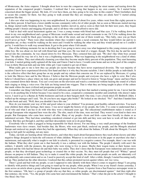of Montezuma, the Aztec emperor. I thought about how in wars the conquerors start changing the street names and tearing down the reputation of the conquered people's founders. I realized that I was seeing that happen in my own country. So I started being concerned about the bigger picture. My kids, if I ever have them, are they going to be welcome in this country? Their forefathers died to secure this country for them. Are they going to walk around like they are strangers, like they are aliens here? I started asking questions like that.

I also saw what was happening in my own neighborhood. In a period of about five years, whites went from like eighty percent to about thirty percent. It had been a lower-middle income community with a lot of older people, but as soon as Mexicans started moving in, things started really breaking down. Young minority families moved in, and as soon as their kids hit their teen years, they began robbing people's houses and mugging old people, and so all those who could afford to move did.

I had to deal with racial harassment against me. I was a young woman with blond hair and blue eyes. I'd be walking down the street in my own neighborhood and a group of Mexicans would make sexual and racial comments to me. Or I'd be walking down the street and there would be black guys loitering on the side of the street, and one of them would say, "Hey baby, once you go black you'll never go back." There were other incidents where they wouldn't make a racial comment, but they would follow me and try to intimidate me, or they would be walking on the street and I would be walking the other way and they would spread out so I couldn't get by. I would have to walk way around them. It got to the point where I felt unsafe.

One of the defining moments for me in deciding that I was going to move away was what happened to this young sixteen-year-old white boy. He was about six feet tall with blond hair and blue eyes. He was kind of a wigger, though. The first day he and his mom moved into the community, he was chased down by five Mexicans. They cornered him and said, "We don't like white boys around here." He talked his way out of it, but it was a frightening experience. What was happening in the neighborhood was a kind of ethnic cleansing of whites. They start ethnically cleansing you when they become maybe thirty percent of the population. They start harassing your kids. I started getting really agitated all the time and I knew I had to leave. I would come home and see in the pool of the complex I was in thirty Mexican kids and one little white girl. I just wanted to get out of there.

What really gets to me is how they say people are racists because they have never experienced diversity. The vast majority of racialists I know have experienced diversity first hand and that is it why they became racialists. I don't dislike people as individuals. It is the collective effect that their group has on my people and my culture that concerns me. If we are replaced by Mexicans, it's going to look like Mexico here and be like Mexico. I believe that the Mexican people and everyone else have a right to exist. But I also believe I should have a place where my kids can grow and prosper and not be forced to listen to "booga-booga" music and have black boys crammed down their throats. You can't even turn on the television and watch a commercial without hearing the sound of a black male singing or doing a voice-over. Our kids are being turned into wiggers. That is what they are being taught in place of the culture that made whites the most civilized and prosperous people on earth.

I remember one thing I did before I left southern California and moved up here that marked a turning point for me. I never had the nerve to do anything like it before because I was raised to be a nice, cooperative community member and somebody who doesn't make waves. I used to go to a Barnes & Noble bookstore and look at their bargain shelf. One time, I saw a book titled *101 Redneck Jokes.* I walked up the manager and I said, "Sir, do you have any nigger joke books?" He looked at me shocked. "No!" And then I handed him the joke book and said, "Well, then you shouldn't have this one."

How do you transmit your way of life and good values to your children? You promote good healthy cultural activities. You teach your children their ethnic heritage, their music. I was never taught the history of my people, the Celts. I've come to understand that a lot of who and what I am has to do with who they were a thousand years ago. The educational establishment makes it sound as if average Europeans who migrated here were the elite. The elite, much of the time, were not kind. They weren't even kind to their own people. But Europeans who came here weren't all elite. Many of my people—Scots and Irish—came here literally in chains or as indentured servants. They had done something considered criminal or got into debt and they were sent here to work off their debt to society. But they got through it, and they and their descendents went on to do great things.

Everybody who is white is pegged as being responsible for black slavery. For one thing, a very small percentage of the Southern landowners were slave owners. And besides that, the Moors, who were part black, enslaved my people, and the Mongols attacked Europe and enslaved my people when they had the opportunity. When they talk about the Indians, I'll talk about the Mongols. I'm not going to feel guilt for anything, not any more.

Today, our kids are learning about African history, and when they teach about European history they teach about slavery and other negative things designed to harm the self-esteem of white children. Whatever is on television or in the paper or anywhere else that's mainstream, and especially what is taught to our kids in schools, is presented in a negative context. For example, there's our war with the Indians. What they don't point out is that basically it was a military war with the Indians. The people I identify with aren't the soldiers. I identify with the pioneers, the people who were trying to live in peace. Maybe their wagon trains or their homes were attacked and the wife had her throat slit and their baby was stolen. They don't stress that the Europeans were industrious and inventive people, or that they developed great technology or created this or that vaccine. No, they must tell people that evil "Whitey" spread disease on purpose to kill Indians. They try to make it sound like white people, the most tolerant people on earth, are inherently evil and inherently anti-conservation and so on. I used to passively accept this kind of stuff. After a while, though, I started becoming really fed up. They pushed me the other direction. I realized that this culture promoted racism against whites, not vice versa.

One Sheaf, One Vine 41 There's good and bad with my people, so am I supposed to only identify with them when it comes to negative things? I am going to identify with positive things and I am going to stand up for my people, white people. When I was at my friend's house yesterday, I came across an article about a group called the European American Issues Forum. A reporter from a San Francisco newspaper wrote in the first sentence, "Oh, here's a group of people who say that they, as white people, are discriminated against." And then right after that sentence, she wrote, "Yes, the people who came here and exterminated the Indians." That's what she put in the article! I thought to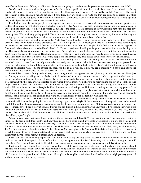myself when I read that, "When you talk about blacks, are you going to say these are the people whose ancestors were cannibals?"

We *do* live in a racist society. It's just that we're the only acceptable victims of it. I feel like a war of extermination is being conducted against us, I really do. They want to kill us kindly. They want you to marry an Asian and have a half Asian baby. They want me to marry a black and have mulatto babies. If I have kids, they are going to be white and they are going to be raised in a white community. They are not going to be raised in a multicultural community. I don't want anybody telling my kids at a young age that they are bad people and that their ancestors were dishonorable.

I'm thinking now that white people need a separate area where we can reproduce and live amongst our own and practice our traditional cultures. I'm not talking about a situation where it is like, "We claim this area for Aryans and anyone who tries to come in we're going to shoot you." It's more like people all moving to the same area. I'm planning to leave California next year. It's nice now where I am, but I want to leave while I am still young instead of when I am old and it's unbearable, when, to be blunt, the Mexicans move up here. We are already getting graffiti. There are a lot of beautiful natural places here and some lovely little towns, but they are coming up here and spraying their scrawl on everything in sight and vandalizing our schools. It's terrible.

This morning, it was reported in the paper that "hate flyers" were found in—I don't remember which state it was. I think the flyers were the ones the National Alliance distributes that say, "White people are an endangered species." Somebody does something as innocuous as that somewhere and I find out in California the next day. But most people didn't find out about what happened in Cincinnati, where about three hundred blacks blocked off a street and started pulling white people out of their cars and beating them up. The media always tries to cover up things like that. The people who control what we read and see on television in this country don't want white people to wake up. Hate knows no color—hate's not just a white thing. All racially aware white people aren't haters. What I am about isn't hate. I'm about love for my people and the heritage they have passed down to me to preserve and enhance.

I am a white separatist, not supremacist. I prefer to be around my own folk and practice my own folkways. That does not mean I am a bad person. In fact, I am basically a warm-hearted and generous person. I simply direct my love toward my own people in the same way other races do toward their own people. I will no longer be made to feel guilty for that. That doesn't mean I won't have a working relationship with someone outside my race, but that is all it will be. When you are a racialist, you can't have interracial friendships or love relationships and still be consistent. At least I can't.

I would like to have a family and children, but it is tough to find an appropriate man given my racialist perspective. There just aren't many men who see things as I do. And even if I found one of them, or at least someone who could accept me for who I am, there are all the other qualifications they must meet. I have very high standards around the way men think about women and the way they treat them and whether they are goal-oriented or not. A man I would marry would have to be hardworking and not an alcoholic or take drugs. I used to smoke but I quit, and I now I won't even accept smokers. So it's tough. And needless to say, the man I have children with will have to be white. I never bought the idea of interracial relationships that Hollywood is selling so hard to young people. Even before I was racially conscious, I never considered an interracial relationship. I simply wasn't attracted to non-whites, and on some level I knew it was wrong despite having been raised to seek out and befriend minorities. Continuing the white race is a non-negotiable for me. I feel a strong moral obligation to have white children and make up for the feminist who has none.

Sometimes I wonder if what I have been through around race has taken my humanity away from me some and made me tougher to be around, which could be getting in the way of meeting a good man. Maybe if there weren't such immigration and multicultural overkill I would be the compassionate, generous person that I want to be toward everyone. All this has made me rougher around the edges. I mean, now I'll see a story about Jose Fuertes and his thirteen kids no longer having anywhere to live because there was a fire and they were burned out of their two bedroom apartment and I don't go, "Oh, how sad" like most people. I go, "My God, thirteen people?! Deport them all!!" Had Jose only had one child and his entire country wasn't moving in on us, I would feel compassion for his and his peoples' plight.

When I was in Frisco last week, I was looking at the architecture and I thought, "This a beautiful place." But look who is going to inherit it. My people built this country, and now these people have come in and my people are expected to put out the welcome mat and teach them how to take the reins of this society. They don't want to have anything to do with our culture, but they want to benefit from the society and infrastructure we created, all the while calling us names and accusing us of racism. Well, yeah, now I am a racist, Jose! If they say we were here first, this is Aztlan [the name Mexicans give to the Southeast United States], my attitude is, if you want it back I'm going to scorch the entire state and you can have it back the way it was when you were here dirt, clay, and leaf huts. I know that maybe sounds harsh, but that is how I've become.

I can't say that I'm completely happy right now, but I'm not totally unhappy either, because I'm out in the country and not in the midst of the multicult cesspool as I was before. I was very unhappy in the city. But I know they will soon be "coming up the hill" toward me. I'm going to leave the state. Hopefully, my moving to a snowy, economically depressed area will keep them at bay.

I just want to live a normal life, preferably with a family, but if I can't have that, a life with good friends in a community where I feel safe and I'm free to walk down the street without looking over my shoulder. I just want to be able to express pride in my people and admiration for our white ancestors and to continue their traditions without minority harassment and interference. When I am really old, I want to live in peace instead of like those old people in the neighborhood where I used to live who are eighty-ninety years old without the energy or the money to escape.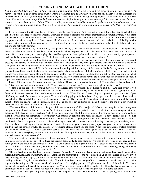### **15 RAISING HONORABLE WHITE CHILDREN**

Ken and Elizabeth Gordon \* live in New Hampshire and have four children, two boys and two girls, ranging in age from seven to fifteen. The family lives on three acres of land, where the children tend to the many chickens and goats. Both Ken and Elizabeth are university educated, Ken graduating from an Ivy League school and Elizabeth getting her degree from a public university on the West Coast. Ken works as an actuary. Elizabeth was in investments before leaving that career to be a full-time homemaker and focus her energies on homeschooling the children. "There is nothing as important I could be doing with my life than what I am doing now," she reports. I have spent a good amount of time in their home and have come to know them and the children well. This is my report on *them.*

In large measure, the Gordons have withdrawn from the mainstream of American society and culture. Ken and Elizabeth have concluded that they need to circle the wagons, as it were, in order to preserve and extend their racial and cultural heritage. While there is a television set in the home, I have never seen it on except a few times when the family watched a classic old film. I have not heard any popular music playing. I asked thirteen-year old Helen whether she ever wanted to watch television, take in one of the big movies showing in the theaters, or buy a pop music CD. I don't recall her exact words, but she said something to the effect that those activities are low and not worth her time.

"It is inconceivable to us," Ken told me, "that people actually sit in front of the television—videos included—hour upon hour, letting this degrading material into their homes. Something either inspires the soul or destroys it. For music, we listen to classical music. Our children read good books, play chess and backgammon, draw, paint, and sew. We take hikes as a family, go on picnics, cycle, and take in museums and concerts. We do things together in order to cement our bonds as a family."

There is also what the children *aren't* doing: they aren't attending to the persona and career of a pop musician; they aren't pressing their parents to come up with the cash for the latest video game; they aren't preoccupied with the plot twist of a television show; they aren't stewing over the fate of a professional sports team; and they aren't chattering on about a blockbuster film.

As far as I can tell, Ken and Elizabeth are successfully pulling off this embargo of the mass media. Before my contact with these parents, I would have said that whatever the merits of getting the mass media out of the lives of one's children, as a practical matter it is impossible. The mass media, along with computer technology, so I assumed, are so ubiquitous and enticing they are going to embed themselves in the lives of your children no matter what you do. Now I think that if parents are clear enough and committed enough, it is possible to keep Hollywood and music company moguls and television executives and website creators out of your children's lives.

I asked Elizabeth what she wants most for her children. "Honor," she immediately answered. "I want them to live an honorable life." Ken, who was sitting nearby, concurred. "Your honor means everything. Today, too few people understand that."

"There is an old concept of wanting more for your children than you yourself had," Elizabeth told me. "And part of that is you want them to have a better education than you did, or at least as good. With today's schools as they are, that isn't going to happen. Standards have been lowered. Kids aren't being pushed in school. When Ken and I were going through school, you would fail if you didn't do your work. But now everyone passes. There is a leveling going on in the schools. They operate so that no one is lower and no one is higher. The gifted children aren't really encouraged to excel. The students don't spend enough time reading now, and they aren't taught to think and analyze. Schools just seem to plod along day after day and little gets done. So many of the children don't want be there, and they just waste their own time and others' time."

"The worse kind of child abuse is to deny a child a decent education," Ken interjected. "One of the strengths of this country was our public school system, but not now. We've lost something terribly important. Today's graduates couldn't compete with the graduates at the turn of the last century. And I'll be frank with you: I think the integration of the schools and immigration patterns since the 1960s have had something to do with that. Our schools are reflecting the needs and styles of a new clientele, and people like us are paying the price for it. Look, you aren't going to understand what is going on in education if you don't take race into account the direction Federal programs take, the problems with city schools, what content is stressed, testing, whatever you are talking about. The schools are providing what amounts to an education for a lesser people, not a great people. We point out more things to our children than the schools would. The schools are producing clones, everybody the same. A superior educational system promotes difference, not sameness. This whole egalitarian push that is the current fashion works against the advancement of the race. It is antiselection. It keeps everybody at the level of the mediocre. Although then again maybe that is what those in charge of the society want—it makes us easier to control."

"The problem from a racial standpoint," Elizabeth offered, "is that we aren't, as we once were, with our own. I want my kids to be in a stable environment, not one where there are various factions. Kids need stability. We used to have pride in our race and our heritage. We were proud of our forefathers. Now, if a white child says he is proud of his lines, proud of his race, he is considered a racist. And that is not the case at all; there is nothing wrong for anyone to be proud of his race. There is nothing wrong with being proud of the civilization your people have created."

"Before, Washington and Jefferson were our heroes," Ken added. "Now, our idols are being wiped out and replaced by people like Martin Luther King. King was immoral and decadent and had communist ties, and he is being held up to our children as a hero. If you want to bring down a people, you rewrite their history and teach that to their children. You cut off children's roots so they have nothing to tie into. They have abolished the study of Latin in the schools. Knowledge of Latin is essential to an educated person, and it is part of this cutting us off from our racial and cultural roots. Over eighty percent of English words are derived from Latin. The Latin language has greatly influenced the development of the West. We make sure our children study Latin. There has been more than just a dumbing down in the schools. There has been a *twisting* down. The story of our race is being twisted. It is being perverted."

"James [their fifteen-year-old] is studying the Roman Empire now," Elizabeth pointed out. "That is opening up his imagination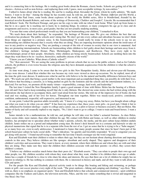and it is connecting him to his heritage. He is reading great books about the Romans, classic books. Schools are getting rid of the old classics—fiction as well as non-fiction—and replacing them with, I guess, more acceptable writings, by non-entities."

I talked to James about what he is reading. He said he is reading about Alexander the Great, whom he really admires. "He made history. I want to do that." Among the things he has recently read, he told me, are *Quo T Y adis, Thomas Jefferson and His World,* a book about John Paul Jones, some books about explorers of the world, the Hobbit series, *Alice in Wonderland, Arundel* by the historical novelist Kenneth Roberts, and some of the writings of Dostoevsky, Chekhov and Joseph C. Lincoln. He recommended that I read Roberts' book, *The Northwest Passage,* and gave me his copy to take with me when I went home. What I pick up from James is that he is on a quest: he is reaching out to learn; he is studying things. In contrast, so many youngsters his age go to class and do assignments and receive, in most cases, good grades, but they are not actually *studying* anything.

"I'm sure that some school professionals would say that you are brainwashing your children," I remarked to Ken.

"We teach them about their heritage," he responded, "the heritage of Western man. We give our children the best that our civilization has produced. The public schools aren't doing that. We don't get into every culture and subculture because we don't think those things are important in a primary sense. Is this brainwashing? It would really be ironic if the schools were to say we are brainwashing our children because that is exactly what *they* are doing. They are imposing doctrinaire opinions about the irrelevance of race in any positive or negative way. They are pushing a concept of the role of women in society that in our view is unnatural. And they are promoting internationalism. Schools are brainwashing white children to feel guilty about their heritage and turn away from it. Our children's heritage includes Homer, Plato, Michelangelo, Shakespeare, and Beethoven. They have every right to be overwhelmingly proud of their people. Absolutely, white children are being strictly brainwashed. Schools are molding them into the shape they want them to be in—raceless, historyless, malleable citizens of the world."

"I know you are Catholics. What about a Catholic school?"

"No," Ken answered. "We are seeing the same problems in private schools that we see in the public schools. And as for Catholic schools, the problem is even worse because the religious aura they have demands acquiescence from the children to what the school is putting out."

As time went along, I came to be aware that the two girls in this New Hampshire family, Helen and eleven-year-old Suzanna, always wore dresses. I asked Ken whether this was because my visits were viewed as dress-up occasions. No, he replied, most all of the time the girls wear dresses. It underscores what he and his wife believe to be the natural and healthy differences between boys and girls. "We teach our girls that being a good mother is the most important and accomplished thing they can possibly do with their lives. We believe that becoming a careerist, as is being pushed on girls by the feminists and the schools and the entertainment industry, is a dead end. For our boys, we promote all the manly virtues—responsibility, courage, hard work, and leadership."

The last time I visited the New Hampshire family I spent a good amount of time with Helen. Helen has the bearing of a fifteenyear old and I have had to keep reminding myself that she is only thirteen. She showed me some stories she had written along with the illustrations she had drawn to accompany them, and I read aloud from her stories. She told me of the impressive list of books she had read and was reading, and of her love for horses. Throughout our time together, Helen was steady-eyed, positive, considerate, confident, unthreatened, respectful, self-expressive, and interested in me.

At one point, I asked the question adults invariably ask: "I know it's a long way away, Helen, but have you thought about college and what you want to do when you are older?" It has been my experience that, these years, most girls—in good part, I think it fair to say, influenced by feminist ideology—aspire to college and a career, say, as a pilot or lawyer or business executive. But not Helen. She matter-of-factly and self-assuredly replied to my inquiry, "No, I don't want to go to college. I want to train and board horses. I want a family."

James intends to be a mathematician, he told me, and perhaps he will take over his father's actuarial business. As does Helen, James seems older, more mature, than other children his age. My contact with Helen and James, as well as other children in similar families, has prompted me to speculate about whether today's parents, schools, the media, and the peer culture keep children unduly childish. James strikes me as a proud and independent young man. He doesn't deck himself out in a costume and hairstyle or take on physical mannerisms that signal that he is in a separate tribe from the rest of us. I get no sense that he is trying to be a "babe magnet," as so many boys are, even in early adolescence. I mentioned to James that many people assume that since he hasn't been part of the school-based peer culture he lacks social skills. "That's ridiculous," he quickly and forcefully responded. "If you're congenial you can get along with anyone." I found myself trying to remember the last time I heard a teenager use the word congenial.

Ken and Elizabeth want their children to relate to others their age, but they are not hesitant about charting directions and imposing controls in this area. They believe children are like sponges: absorbent and easily shaped. They approve and disapprove of their children's activities and associations. They want to know, at every moment, where their children are and whom they are with and what they are doing. They make sure they meet the children their children associate with and their parents—in effect, they screen their children's contacts.

"I believe my children socialize much better than their peers do," Elizabeth asserts. "They can relate to people their own age and older people, too. My children socialize with whom they want about what they want, whether it be children their own age or adults. James has a couple of friends he is close to who share his ideas and interests. He says that there are a lot of children he simply has no interest in relating to. He has nothing in common with them. He is interested in history and math, and all they want to talk about are CDs and sports."

One Sheaf, One Vine 44 For the people like Ken and Elizabeth, physical activity tends to be things like boating and hiking and swimming, or perhaps tennis or golf—not soccer practice every night of the week. "The great outdoors—hiking and camping and climbing," says Ken. "But, with us, there is no emphasis on organized sports." Ken and Elizabeth believe that schools and commercial interests—sport exhibition companies like the Yankees and Lakers, the television networks, Nikes, and the rest—make something that is trivial and tangential in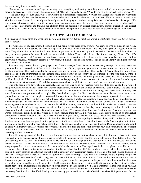life seem vitally important and a core concern.

"So many other children James' age are starting to get caught up with dating and taking on a kind of gregarious personality in order to be accepted by the group," Elizabeth points out. "But why should he do that? Why do you have to connect with everybody?"

"You don't have to," Ken adds, "unless you want to be a life insurance salesman. We want our children to socialize, but where it is appropriate and safe. We have been there and we want to impart what we have learned to our children. We want them to be with other kids, but we want them to do it morally and honestly and with integrity and without losing their souls, which could easily happen. Life can be very unforgiving. Getting in with the wrong people can ruin someone's life forever. This is why we are so fervent about setting up protected environments and training our children from the beginning on correct socialization, correct interaction, and correct activities, so that when we are no longer here they will be able to be proud of themselves and carry on their heritage and their race."

### **16 MY OWN LITTLE CRUSADE**

Rob Freeman is thirty-three and lives with his wife and daughter in Connecticut. He works in appliance repair. He has a intense, *earnest persona.*

For white kids of my generation, it seemed as if our heritage was taken away from us. We grew up with no place in the world, that's what it felt like. My parents and most of the parents of the kids I knew were liberals, and they didn't pass on a legacy of who we were. They didn't give us an identity. I don't know if you ever read the novel by the Dostoevsky, *The Possessed.* It is about an intergenerational problem between liberal parents and their children. That is what it was like for me and my friends. The '60's generation, our parents, didn't respect the traditional values of the generation before them, and the result was that their own children grew up in a vacuum. I respect my parents, I revere them, but I kind of had to raise myself. I had to find an identity and figure out what adulthood was on my own.

I became very conservative at a young age, when I was a teenager. I saw American as terminally corrupt. I'm a very passionate person and very concerned about things, that is just how I am. Other people my age didn't seem to care one way or another about anything important. They just wanted to have a good time and buy a car or something. They really didn't care about the future. They didn't care about the environment, or the changing racial demographics in the country, or the degradation of the food supply, or the ill health of Americans. Half of American citizens are overweight and something like thirty percent are obese, and that is a preventable problem. People don't know our history, and that is why we keep getting driven into one war after another. I saw America as being on a collision course with destruction. I'd tell that to people around me—well, I still do—and they'd laugh at me and scorn me.

The only people who have taken me seriously, and this was later on in my twenties, were the white nationalists. For a while, I hung out with environmentalists, Earth First was the organization, but they were a bunch of Marxists. I said to them, "The only thing an average citizen can do is practice local agriculture. That's where we can start. Let's start doing local agriculture." But they just wanted to protest and put down white people. They hated white people. I realized that the environmentalist movement, at least the people I was around, had been completely co-opted. It was just another branch of communism that was put in place to fake us out.

It got to the point that I wanted to opt out of this society. I decided I wanted to emigrate to Russia and stay there. I even learned the Russian language. This was when I was about nineteen. As it turned out, I went on to college instead, Connecticut College. I remember espousing conservative views in my classes and the Jewish kids shouting me down. At the time, I didn't make the connection between their being Jewish and their aggression toward me, but I got extremely angry that they were violating the rules of civility in a classroom. I wish I could turn back the clock and say to them, "You people should act like 'gentile-men. '" You know, a play on words: gentlemen, gentilemen? That would be perfect, because these Jewish kids were rude. They didn't belong in an intellectual environment where everybody's views are respected. By shouting me down, I see that now, these Jewish kids were censoring me.

There was a government class. This was in the fall of 1990, I think. I was majoring in Russian history and I had learned about the Bolsheviks and how they sent people to the gulags who didn't agree with them. A lot, if not most, of the Soviet regime at that time were Jewish, and they were the ones behind these things, like the extermination of seven or eight million Ukrainian farmers who didn't go along with their system. My Russian history teacher had tried to hide the connection between Jews and communism. She outright told us not to think about that. But I did think about that, and actually my Russian studies at Connecticut College pushed me towards becoming a white nationalist.

I would bring up some of the things I was learning from my Russian history class in my political science class, which was supposed to be an open exchange of ideas where we would enlighten one another, and the Jews would cut me off and start yelling. The guy teaching the class didn't do anything about it. He really wasn't in charge, and this was true in a lot of my classes—the adults weren't in charge. The kids were in charge. They had formed this left-wing Marxist tyranny. I realized that something terribly wrong was going on. Even if my views weren't perfect, we should've discussed them. That experience in that class planted a seed in me.

After college, I lived in Russia for six months. I tried to stay there, but I couldn't find a job, so I came back to this country. I spent time in the army reserves as a Russian linguist. I got a temporary duty assignment because I was one of the best Russian linguists in the army. During that time, I saw that the federal government was very corrupt. There were a lot of things, but the big thing that got me was they protected a couple of Jewish gangsters who stole millions of dollars from Russia. I was reading articles about the case in Russian newspapers—you couldn't read about it in our papers. I saw this one picture in the paper of an old man, and his face was screwed up in anger and he was holding his fist—the Russians, it's like when we give the middle finger, they make a fist and put their thumb between the middle finger and their first finger and they point their thumb at you. That's what this old man was doing who had lost all his money in this particular bank. I felt bad for him and I was very angry that our government sided with the people who stole the money from him. I was horrified. I had grown up a strong patriot and I had a crisis of faith in the whole U.S. government. For the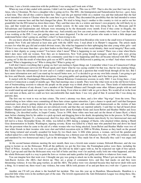first time, I saw a Jewish connection with the problems I was seeing and I took note of that.

When my tour of duty ended with customs, I didn't ask for another one. This was in 1997. That is also the year that I met my wife, Anya, who is Ukrainian. We have a daughter who is going on five. The INS—the Immigration and Naturalization Service—gave Anya a hard time. They did all they could to deport her. They said she got married while on a student visa and that indicated that she had never intended to return to Ukraine when she came here to go to school. They discounted the possibility that she had intended to return but had met someone here and that had changed her plans. We tried to bring Anya's mother to this country to visit us and to see her grandchild, but the INS turned us down three times. They said that since she is a widow and doesn't own property she will likely try to stay, and that would put a burden on the social welfare system. At the same time they were doing that to us, Mexicans and El Salvadorians and Guatemalans and Africans were streaming in by the thousands every month. Even if they come in illegally, the government just kind of winks and looks the other way. And certainly any Jew can come to this country who wants to. I saw that when I was working at the INS. I was just getting more and more disgusted. I'm the sort of person who wants to look a little deeper and understand better what's going on, and that's what I've been trying to do.

Do you know about the Nushawn Williams case? He is a black rap artist from Brooklyn who went to the small town of Jamestown in upstate New York and infected at least nine girls with the AIDS virus. I read about it in *Harper's* magazine. The article made excuses for what this guy did and avoided obvious issues, like what has happened to their upbringing that nine young white girls—and I'll bet it was a lot more than that—give their bodies to this black guy? Where is their racial identity, their racial integrity? Race aside, where is their dignity as young women? You know what I mean? What is happening to our women? There was a time when blacks didn't dare mess with our women. Now they are in Jamestown, New York going through teenagers, and these girls were giving themselves to him and evidently nobody in the community cared that it was happening until they all became infected with HIV. What is going on? Is this the result of what these girls see on MTV and the movies Hollywood is putting out, or what? And where were their parents? What is happening to us? Who is doing this? What is going on?

I still don't know everything that is going on, but I am starting to figure things out. I remember when I was at Connecticut College and they had [Holocaust survivor] Eli Wiesel speak and I knew what he was saying couldn't be that way, that he was slanting things. But I didn't have the information I do now and so I couldn't stand up and ask a question that would break through all his lies. But I have more information now and I can stand up for myself better now, so I've decided to go on my own little crusade. I am going to get the Jews and liberals, smash through their deceptions. I am going public and speaking the truth, and it has been great, fantastic.

It started with the Framingham [Massachusetts] Human Relations Commission sessions in early 2002. I was living there—I just moved to Connecticut a couple of months ago. They had meetings once a month. They were like what went on in the old Soviet Union, sort of brainwashing sessions to educate the people on the proper way to think about race in this case. These kinds of indoctrinations depend on the absence of any dissent. I am a member of the National Alliance and I brought some other Alliance people with me and we would stand up and speak out against what they were doing. Even when we didn't talk we got to them. We would all sit in the front row and stare at them, and we could see how uncomfortable that made them. I was very glad of that. It seemed like I was doing my patriotic duty.

The first one we went to was on hate crimes. The town's attorney was there, and a few other "big-wigs" from the town. They started telling us how whites were committing all these hate crimes against minorities. I got a chance to speak and I said that European Americans were always getting depicted as the perpetrators of hate crimes and non-whites and homosexuals as the victims of hate crimes. I talked about how hate crimes are not enforced evenly and that they are reported unfairly. I said that we had all heard about Mathew Shepard and James Byrd, but very few people know about Kristopher Kime and Jason Befort and Heather Muller and Jesse Dirkhising. [As described earlier, in Jasper County, Texas in 1998, three white men beat and cut the throat of James Byrd, a black man, before chaining him by his ankles to a pick-up truck and dragging him to his death, decapitating him in the process. In Wyoming in 1998, Mathew Shepard, 21, a homosexual, died five days after being robbed and beaten mercilessly by two heterosexual men and left tied to a fence. Kristopher Kime, 20, white, was killed in 2001 during a rampage of blacks, who attacked whites during a Mardi Gras demonstration in Seattle, Washington, injuring seventy. Kime was killed by a black man who punched him and drove his head into the pavement when he came to the aid of a white woman who was being attacked. Jason Befort and Heather Muller were two of four white friends in their twenties who were shot and killed execution-style in 2000 in Wichita, Kansas as they knelt on the ground after being tortured and sexually assaulted for hours by two black men. A fifth white person, a woman, survived the gunshot and walked naked for a mile before finding help. Jesse Dirkhising was a thirteen-year-old Arkansas boy who, in 1998, was tortured, raped, and murdered by two homosexual men.] I got in the newspaper for that. They made fun of me. Basically they said I was angry and pathetic.

At the second human relations meeting the next month, there was a Jewish state senator woman, Deborah Bloomer, and she was going to lecture us on the Holocaust. With all the publicity we got the first time, the Framingham police were there, including the Chief of Police. Actually, he was kind of a good guy. He told me he didn't agree with us, but he respected our right of free speech. Well, I got up and said that the Holocaust story was full of holes and they won't let anybody really look into what happened, and that the whole Holocaust myth is a way to paint the Jews as victims and make gentiles feel guilty and defer to whatever Jews want.

You can imagine how that went over. I thought one guy was going to attack me in the meeting. When I got out into the street, the Anti-Racist Action—the ARA—had shown up. They are a group of communist Jews, and they had masks on and they were threatening violence. It was like gang warfare, us and the ARA. The police were very alarmed because they had never dealt with such a thing. As it turned out, there wasn't any violence, but some ARAs took pictures of us and put them on a web site—I guess to scare us.

One Sheaf, One Vine 46 Another one I'll tell you about is the baseball bat incident. This was this year up in Hamilton, Massachusetts. Hamilton is a peaceful little white town in the northern part of the state. The Jewish organization the Anti-Defamation League was doing these, like,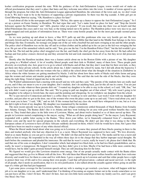kosher certification programs around the state. With the guidance of the Anti-Defamation League, towns would sort of make an official proclamation that they aren't a place that hates and they welcome non-whites into the town. A number of towns agreed to go through the program, but when the Anti-Defamation League approached Hamilton, the selectmen of the town said, no, we don't want to do it. We don't want to be in the business of supporting a private organization. So there was this big scandal. A little girl got on *Good Morning America* saying, "Oh, Hamilton is a place for hate!"

I read about all this in the newspaper and I thought, "Oh boy, this opens up a chance to oppose the Anti-Defamation League." So I set up a protest on Easter Sunday in Hamilton. We had signs that said, "Let's make Israel no place for hate" and "Stop the Jewish holocaust against the Palestinians" and "ADL, practice what you preach." If you recall, that same day there was an Israeli raid that killed Palestinians like crazy and it was very bad, so the timing turned out to be perfect. The Hamilton police were very nice to us, and people stopped and took packets of information from us. There were some hostile people, but for the most part people seemed pretty sympathetic.

As we were packing up and about to leave, a blue SUV pulls up and this gentleman who was very hostile got out. He was obviously Jewish and he was all mad and yelling. He said that it says in the Bible that that land in the Middle East belongs to the Jews and things like that. Eventually, his teenage son jumps out of the car with a baseball bat and starts swinging at me and the other people. The police chief of Hamilton was on his day off and in civilian clothes and he pulled up in his car just as the kid was swinging the bat at us. He got out of his unmarked vehicle and he said, "Son, give me the bat. I'm the Hamilton Police Chief," but the kid wouldn't give him the bat. The kid and the police chief struggled over the bat, and finally the chief got the bat away from the kid. He had called for backup and four police cruisers showed up and they arrested the kid and took statements from all of us, but they never did prosecute the case.

Shortly after the Hamilton incident, there was a feature article about me in the Boston Globe with a picture of me. My daughter was going to a Waldorf school. A lot of wealthy liberal people send their kids to Waldorf, many of them Jews. These people push diversity on everybody else, how great it is to go to school with blacks and all that, but they don't want that for their own kids, so they get them into these private schools. In the article about me, I didn't mention the school by name, but I did talk about the hypocrisy I was seeing. I said I had talked with one woman who has a child at the school about what she thought of the situation in Zimbabwe in Africa where the white farmers are getting murdered by blacks. I told her about how these mobs of blacks raid white farms and gang rape the women and torture and murder people and set buildings on fire. She said that she took the side of the blacks, that they were doing the right thing. I kind of ripped into her in the article.

The Waldorf administrators had a meeting with myself and my wife and they said, "The parents of the students here are really mad at you, and if they are mean to you or your daughter, don't retaliate, don't do anything back, just let this all run its course. You are just going to have to take whatever these parents dish out." I wanted my daughter to be able to stay in the school, so I said, "OK, fine," but my wife didn't want to put up with that. She said, "We're going to pull our daughter out of that school." My wife wasn't going to let our daughter to be subject to Jewish hate, the stares and the pointing and whispering. So we withdrew our daughter from the school.

We've just moved to Connecticut and there's a coffee shop we would go to now and then. Last week I went with my daughter for a cookie, and just after we got in the door, one of the women who owns the place came up to us and said, "I have read about you, and I don't want you in here." I said, "OK," and we left. If this woman had had any class she would have whispered it to me, but as it was she did it right in front of my daughter. My daughter was traumatized by the incident.

The most recent episode was up in Lewiston, Maine. Some refugee commission settled thousands of black Bantus from Somalia into Atlanta, Georgia. The Bantus didn't like it in Atlanta and they went looking for an area with good welfare benefits they could move to. They found their place in the little town of Lewiston, Maine, and about twelve hundred or so of them moved up there. The people in Lewiston started complaining to the mayor, saying, "What are all these people doing here?" So the mayor, Larry Raymond, responded with a public letter saying to the Bantus, "Slow down your influx, we're financially exhausted from it"—meaning the welfare costs and the need for special programs in the schools and everything. He didn't get into what it was doing to the white European culture of Lewiston to have all these Africans suddenly descend on them, which I wish he would have done, but I guess that would have been too much to expect of any white elected official.

When the liberal media heard about what was going on in Lewiston, of course they praised all these blacks pouring in there to the skies and trashed anybody who had any objection to it as a racist. Mayor Raymond was supposed to have said, "We love diversity. Send us as many Bantus as you can get to come up here." He didn't do that and he had to pay for it. The media said he was a racist and called on him to resign. He responded in the way all whites these days do to the charge that they harbor improper racial thoughts. He knelt before the commissars and pleaded his innocence. He said that he wasn't a racist, really he wasn't; oh, please don't think that. He said that one of his sons or daughters, I don't remember which, had adopted two black kids, so he had two black grandchildren, and so, really, he wasn't a transgressor. He begged for mercy, but they didn't give it to him. Maybe if he had been a little more contrite they would have, but he didn't quite prostrate himself enough. They are still attacking him for the letter.

We figured we would give this Lewiston situation some energy. One of our people actually made contact with the Bantu elders and suggested that they go live in Miami with all the Jews. We told them that Miami had great welfare benefits and that Jews welcome diversity and would love for them to come and live with them. I gave a speech up in Lewiston and said that white people have a right to protect their way of life and to live among their own people. I said that self-preservation—cultural and racial survival—is the right of all people, that it needs no justification, that it is its own justification. I also talked about the assaults against whites going on and the rape of a white girl that had just happened.

One Sheaf, One Vine 47 I got some press coverage for the Lewiston speech and my wife is starting to get worried—you know, what will happen with her job or to our daughter or to me, and I understand that. I'm thinking of becoming an organic farmer out in the woods somewhere so we can just leave all this. I don't fit here. We don't fit here. Just our own little farm somewhere where my family can live, and I can grow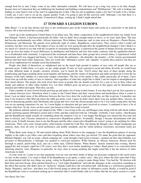enough food for us and, I hope, some of my white nationalist comrades. We will have to go a long way away to do that, though, because here in Connecticut they are bulldozing the farmland and building condominiums and "McMansions." My wife is looking into finding us some land to rent or buy and I'm supporting her in that. I like my job in appliance repair a lot, but I'm ready to be a farmer, I really am. I can't wait to set up my organic garden. Yeah, I'm going to quit all this activism stuff. Although, I see that there is a diversity symposium at my alma mater, Connecticut College, coming up. I think I might attend that.

### **17 TOWARD A LEGION EUROPA**

Mike Rienzi \* is in his late thirties and lives in the northeastern part of the United States and works as a researcher in the field of *science. He is married and has a young child.*

I grew up in the northeastern United States in an urban area. The ethnic composition of the neighborhood where my family lived had changed—before, it had been practically all white—but we didn't have enough money to move, so we were stuck there. The area had become predominantly non-white: African Americans, West Indians, Jamaicans, and, as time went on, Hispanics—Puerto Ricans, Dominicans, and Mexicans. My parents were politically right of center—Republican, conservative. They weren't what I would call racialists, but they were aware of the impact of race on what we were going through after the neighborhood changed. I don't think it is too much of a stretch to say that with the exception of Australian aboriginals, I experienced the gamut of human diversity growing up. I saw up close the reality of racial differences in intelligence and behavior and how that reality contrasts with the egalitarian rhetoric we're bombarded with constantly. I experienced the resentment and hate these other groups have toward whites. I experienced verbal harassment, and I was mugged and beaten. I saw, first hand, the unfairness—the absurdity, the insanity—of the various governmental policies that beat back white Americans. They use words like "affirmative action" and "equality" to justify these policies, but they are just clever euphemisms for outright racial discrimination.

People who think of themselves as enlightened and on the moral high ground in matters of race write off people like me as ignorant racists. Unlike them, so it goes, we pre -judge people. If only we were exposed to racial and ethnic diversity we would learn to value different kinds of people—etcetera, etcetera, you've heard the line. You'll notice that most of these people doing the pontificating and finger pointing about racial equality and harmony and the virtues of integration and multi-racialism do it from the far distance of the leafy suburbs or a university campus somewhere. The fact of the matter is that, unlike practically all of them, I have lived close up with the reality of race in America. And regardless of what they might like to think, I am not stupid or unenlightened or their moral inferior. The people who look down their noses at people like me should come live for a year or two or three where my family and millions of other white families live. Let their children grow up and go to school in this pigsty and be threatened and attacked and robbed and raped. Then they can talk.

I had a number of close Jewish friends growing up and spent a lot of time in their homes. It was then that I got my first exposure to the contrast between Jews' liberalism when it comes to the United States and their conservatism and hawkishness when it comes to Israel. I got an initial sense of the difference between the face Jews show the world and what they are like in private. I remember one time I was invited to a Bar Mitzvah where the rabbi got pretty vocal. I guess he didn't know there were any gentiles there. Anyway, he went on denouncing gentiles and Christianity and saying that Jews were the chosen people and so on. I was really young then, but that was an eye-opening experience for me. As I went higher in education and got more involved in science, I continued to have a lot of contact with Jews. So my views on Jews aren't just based on what I have read or heard.

My political outlook started to get shaped in the 1980s. I was living in the city and Reagan came along with his talk about welfare queens and being against affirmative action and so forth, and that connected with me. I thought—foolishly, I now realize—that Reagan and the Republicans might actually do something about the situation I was in. I was happy that Reagan was elected the first time and then re-elected, and I became immersed in conservative Republican politics. Eventually, though, I became disenchanted with that whole scene. It finally became clear to me that Reagan and the other conservative Republicans weren't going to do anything for white Americans. There were some foreign policy achievements around the Cold War, but during the Reagan years illegal immigrants got amnesty, there were all sorts of racial preferences and double standards, and the whole political correctness movement really got going.

When Bush came along in '88 and started talking about Willy Horton in the campaign, I saw the Republican pattern of moving slightly to the right to get white votes and then forgetting about whites once they got elected. [To make the point that his opponent, Michael Dukakis, was soft on crime, a Bush campaign ad—some thought it had racial overtones—pointed out that when Dukakis was governor of Massachusetts, a furlough was granted to convicted murderer, Willie Horton, an African American. Horton used his furlough to punch, pistol-whip, kick, and cut a white man, Clifford Barnes. When Barnes' fiancée returned that evening, Horton gagged her and savagely raped her.] Of course, now they don't even bother pandering to whites. Bush junior is so concerned about attracting minority votes, Hispanics in particular, he stays clear of saying anything that might sound like it has the interest of white Americans in mind.

As time went on, I came to see that arguments over tax cuts and those kinds of things are picayune compared to the racial issues we face in this country. I've come to think of the Republicans as an opiate, a safety valve—they give whites the false sense that if they are disenchanted with the way things are going, voting for Republicans is going to make things better. You had the '96 election with Bob Dole and Jack Kemp. Dole pitched himself as a "civil rights Republican" and told the delegates at the convention something to the effect that anyone who didn't have an "inclusive" attitude could leave the convention hall. And Kemp is a well-known panderer to blacks, Hispanics, and Jews. And there was Colin Powell going on about the virtues of affirmative action. Really, it would be good if the Republicans went so overboard sucking up to minorities that it would finally sink in to whites that the two party system is a myth.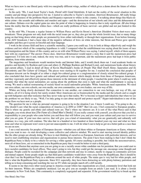What we have now is one liberal party with two marginally different wings, neither of which gives a damn about the future of whites as a race.

In the early '90s, I read Jared Taylor's book, *Paved with Good Intentions.* It laid out the reality of the racial situation in this country and put things into perspective for me. I started to subscribe to Taylor's newsletter, *American Renaissance. AR* really brings home the seriousness of the problems blacks and Hispanics represent to whites in this country. I'm talking about things like black-onwhite crime—the assaults and robberies and murders and rapes—and the destruction of our schools and cities and the debasement of our culture. Debates over the capital gains tax miss the point of what is happening in America that is truly significant. *AR* also brings home the reality that the problems whites face—which are really problems of basic survival—are global and not just limited to this country.

In the mid-'90s, I became a regular listener to William Pierce and Kevin Strom's *American Dissident Voices* short-wave radio broadcasts. Those programs not only dealt with the racial issues per se, they also got into the whole Jewish issue, that so many things going on that bring down white people are promoted by Jews either individually or through their organizations. Even before listening to the *ADV* broadcasts I had a basic idea of the negative influence of Jews on white interests, but Strom and Pierce gave specific examples and they got it across in forceful and clear language.

I work in the science field and have a scientific mentality, I guess you could say. I try to look at things objectively and weigh the evidence and test which of the competing hypotheses is valid. I compared what the establishment was saying about the issues of race and immigration and the future of this country and so on with what William Pierce was saying. I asked myself, which of them squares best with my experience? The answer: Pierce does. *American Renaissance* would report a story that it said the mainstream press had suppressed. I'd look into it and, indeed, the story was true, and it was important, and the mainstream press had kept it from public attention, from white attention.

The magazines and broadcasts would mention books and Internet links, and I would check them out. I read academic books on genetics and heredity by Rushton and Lynn and others [J. Phillippe Rushton and Richard Lynn], and mainstream books about history and current affairs. I read in detail all three of Kevin MacDonald's books [*A People That Shall Dwell Alone; Separation and Its Discontents;* and *The Culture of Critique].* The pieces were starting to fit together for me. I reached the conclusion that peoples of European descent can be thought of as either a single bio-cultural group or a conglomeration of closely related bio-cultural groups. I also concluded that Jews have genetic and cultural and political interests which sharply deviate from those of European Americans, and they vigorously and effectively pursue those interests to the detriment of white people. I reached the point where I could say with certainty that what the racial nationalists are saying about the problems that exist is right and what the establishment is saying is wrong. We need a radical restructuring of society based on racial nationalist principles. White Americans need separatism. We need our own culture, our own schools, our own media, our own communities, our own leaders, our own way of life.

Whites are being slowly decimated. Our connection to one another, our connection to our own heritage, our way of life, our numbers, all of it is being slowly but surely eroded. Most Americans are so brainwashed by the media and the schools and so caught up with ballgames and other nonsense that they never wake up to that reality. We've become so hyper-individualistic that when we see the problem we are likely to say, "Well, I'm only going to care about myself and protect myself." Hyper-individualism is one of the major flaws we have now as a people.

The question for me is what my personal response is going to be to the situation I see. I know I could say, "I'm going to die, so why should I care what the racial composition of America is in 2050 or 2100?" But I do care. I feel connected to European peoples. That is where my genetic and ethnic and cultural roots are. That's where my interests are. It is sort of like what Pierce said in that biography you wrote about him [*The Fame of a Dead Man's Deeds]:* if you really connect with yourself, you discover that you feel a responsibility to your people who came before you and those that will follow you, and you want your culture and your race to survive after you are gone. If your race does survive, that will give you a kind of immortality: what you are genetically and culturally will continue; in a way, *you* will continue. The idea that in a hundred or two hundred or three hundred years my race and what we have done and what we represent won't exist is just not unacceptable to me. I will do what I can to help us get on a better path as a race than we are on now.

I see a real necessity for peoples of European descent—whether you call them whites or European Americans or Euros, whatever term you want to use—to start developing a more collective and cohesive mindset. We need to start moving toward identity politics like the other groups are already doing. We have to start thinking of ourselves as European Americans with particular interests, and we need to start establishing structures and organizations to pursue those interests. The point I have been making is that I don't think the Republican Party is likely to be a vehicle for serving a white agenda. Of course anything is possible, but I think the neoconservatives, most all of them Jews, are so entrenched in the Republican party that it would be better to start a third party.

I have no illusion that anytime soon you are going to see a racially aware white candidate run for president. But you could start to have racialist candidates for local offices. They aren't going to win, but they could get the message out, encourage some thought and dialogue. People could be recruited for the campaign and then network and stay in contact, maybe to engage in community activism and mutual support. Some people might say that third party candidates would draw votes away from the Republicans. But it should be clear that I see the Republican Party as a millstone around the neck of white people. The status quo is very bad for white people, and that is what the Republican Party represents. Since 9/11 especially, they have been distracting us with phony-baloney patriotism and telling us to keep consuming and watching the war on TV while our people march off a cliff racially.

It seems to me that every other racial group in America except whites has organizations at a local, community level that look out for their interests. Whites are completely atomized. Let me give you an example from an article I just read. It is about a Jewish community in New York State. This community is completely segregated and separatist. If the government would try to break up that